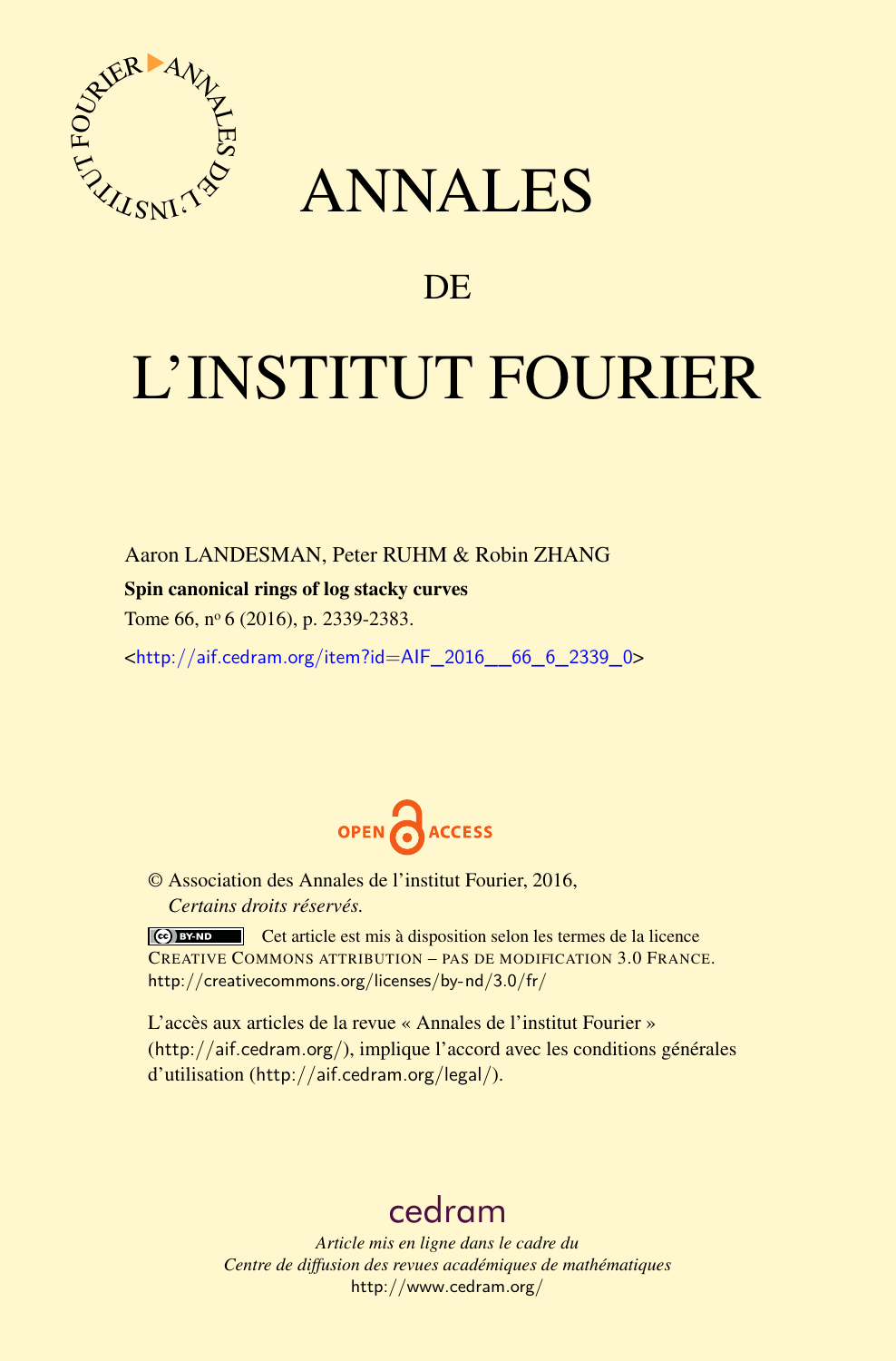

## ANNALES

### **DE**

# L'INSTITUT FOURIER

Aaron LANDESMAN, Peter RUHM & Robin ZHANG

#### Spin canonical rings of log stacky curves

Tome 66, nº 6 (2016), p. 2339-2383.

<[http://aif.cedram.org/item?id=AIF\\_2016\\_\\_66\\_6\\_2339\\_0](http://aif.cedram.org/item?id=AIF_2016__66_6_2339_0)>



© Association des Annales de l'institut Fourier, 2016, *Certains droits réservés.*

Cet article est mis à disposition selon les termes de la licence CREATIVE COMMONS ATTRIBUTION – PAS DE MODIFICATION 3.0 FRANCE. <http://creativecommons.org/licenses/by-nd/3.0/fr/>

L'accès aux articles de la revue « Annales de l'institut Fourier » (<http://aif.cedram.org/>), implique l'accord avec les conditions générales d'utilisation (<http://aif.cedram.org/legal/>).

## [cedram](http://www.cedram.org/)

*Article mis en ligne dans le cadre du Centre de diffusion des revues académiques de mathématiques* <http://www.cedram.org/>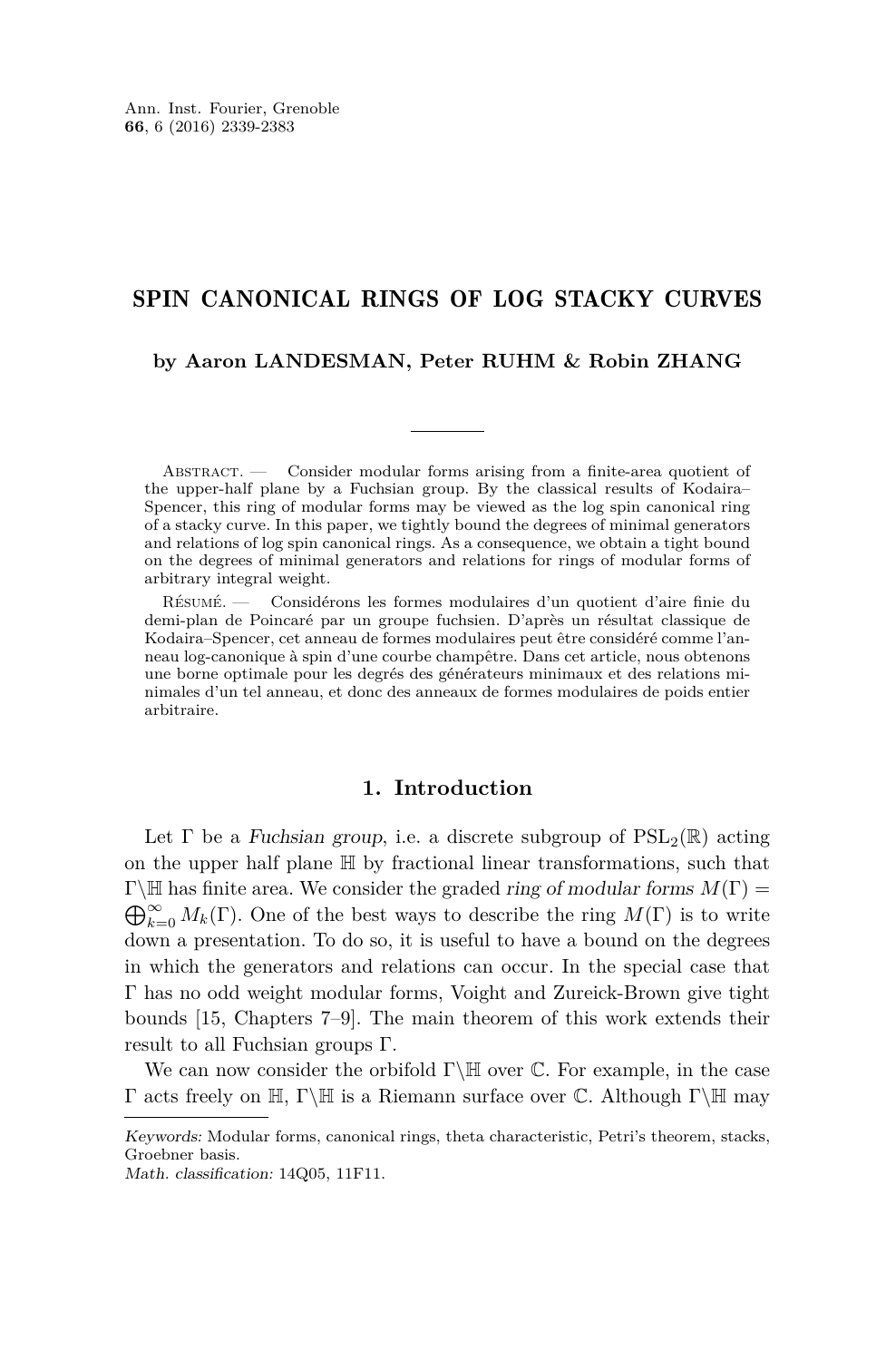#### SPIN CANONICAL RINGS OF LOG STACKY CURVES

#### **by Aaron LANDESMAN, Peter RUHM & Robin ZHANG**

Abstract. — Consider modular forms arising from a finite-area quotient of the upper-half plane by a Fuchsian group. By the classical results of Kodaira– Spencer, this ring of modular forms may be viewed as the log spin canonical ring of a stacky curve. In this paper, we tightly bound the degrees of minimal generators and relations of log spin canonical rings. As a consequence, we obtain a tight bound on the degrees of minimal generators and relations for rings of modular forms of arbitrary integral weight.

Résumé. — Considérons les formes modulaires d'un quotient d'aire finie du demi-plan de Poincaré par un groupe fuchsien. D'après un résultat classique de Kodaira–Spencer, cet anneau de formes modulaires peut être considéré comme l'anneau log-canonique à spin d'une courbe champêtre. Dans cet article, nous obtenons une borne optimale pour les degrés des générateurs minimaux et des relations minimales d'un tel anneau, et donc des anneaux de formes modulaires de poids entier arbitraire.

#### **1. Introduction**

Let  $\Gamma$  be a Fuchsian group, i.e. a discrete subgroup of  $PSL_2(\mathbb{R})$  acting on the upper half plane H by fractional linear transformations, such that  $\Gamma \backslash \mathbb{H}$  has finite area. We consider the graded *ring of modular forms*  $M(\Gamma)$  =  $\bigoplus_{k=0}^{\infty} M_k(\Gamma)$ . One of the best ways to describe the ring  $M(\Gamma)$  is to write down a presentation. To do so, it is useful to have a bound on the degrees in which the generators and relations can occur. In the special case that Γ has no odd weight modular forms, Voight and Zureick-Brown give tight bounds [\[15,](#page-45-0) Chapters 7–9]. The main theorem of this work extends their result to all Fuchsian groups Γ.

We can now consider the orbifold  $\Gamma \backslash \mathbb{H}$  over  $\mathbb{C}$ . For example, in the case Γ acts freely on H, Γ\H is a Riemann surface over C. Although Γ\H may

Keywords: Modular forms, canonical rings, theta characteristic, Petri's theorem, stacks, Groebner basis.

Math. classification: 14Q05, 11F11.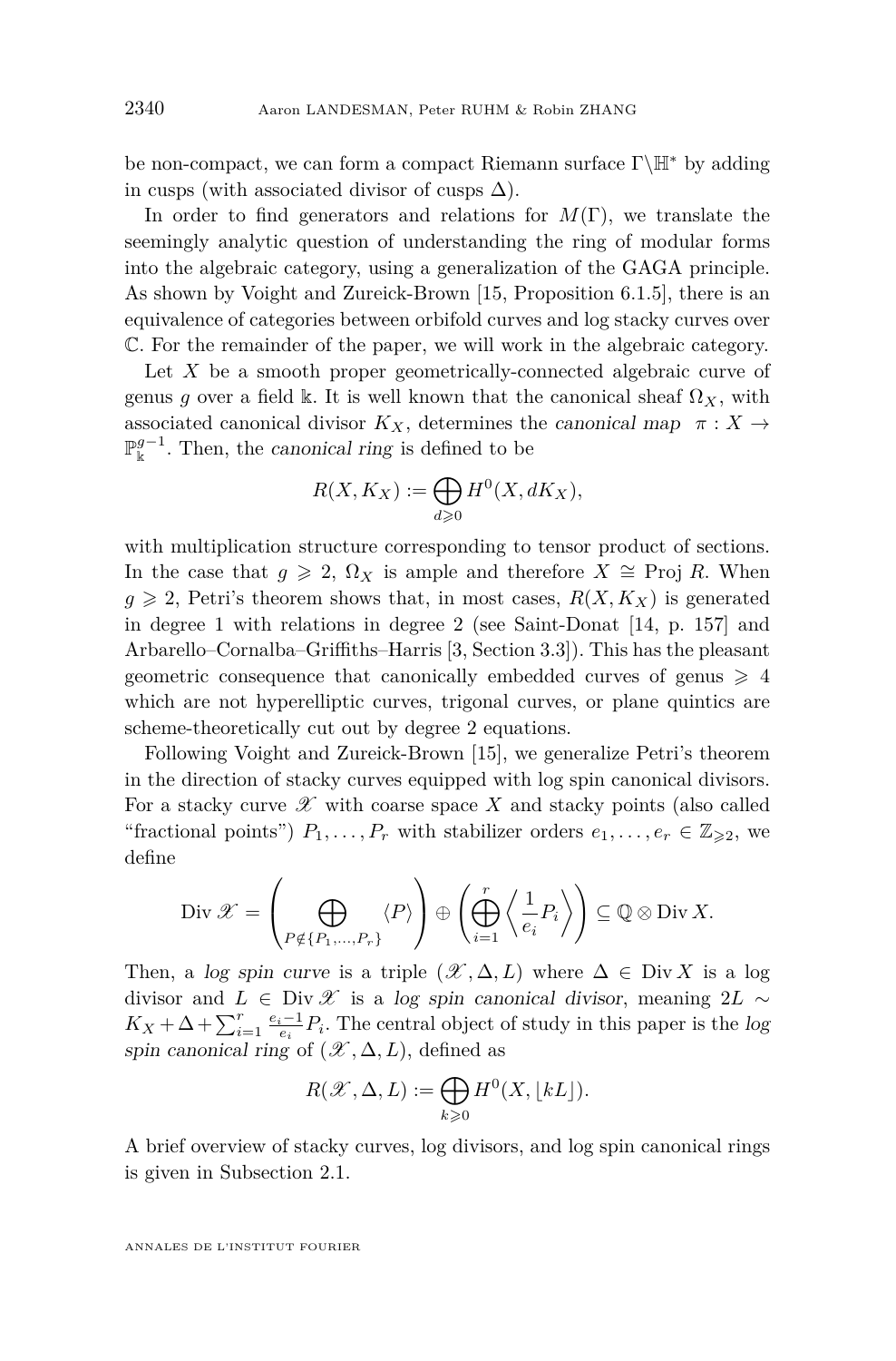be non-compact, we can form a compact Riemann surface  $\Gamma\backslash\mathbb{H}^*$  by adding in cusps (with associated divisor of cusps  $\Delta$ ).

In order to find generators and relations for *M*(Γ), we translate the seemingly analytic question of understanding the ring of modular forms into the algebraic category, using a generalization of the GAGA principle. As shown by Voight and Zureick-Brown [\[15,](#page-45-0) Proposition 6.1.5], there is an equivalence of categories between orbifold curves and log stacky curves over C. For the remainder of the paper, we will work in the algebraic category.

Let *X* be a smooth proper geometrically-connected algebraic curve of genus *g* over a field k. It is well known that the canonical sheaf  $\Omega_X$ , with associated canonical divisor  $K_X$ , determines the canonical map  $\pi : X \rightarrow$  $\mathbb{P}_{\mathbb{k}}^{g-1}$ . Then, the canonical ring is defined to be

$$
R(X, K_X) := \bigoplus_{d \geq 0} H^0(X, dK_X),
$$

with multiplication structure corresponding to tensor product of sections. In the case that  $g \ge 2$ ,  $\Omega_X$  is ample and therefore  $X \cong \text{Proj } R$ . When  $g \geqslant 2$ , Petri's theorem shows that, in most cases,  $R(X, K_X)$  is generated in degree 1 with relations in degree 2 (see Saint-Donat [\[14,](#page-45-1) p. 157] and Arbarello–Cornalba–Griffiths–Harris [\[3,](#page-44-0) Section 3.3]). This has the pleasant geometric consequence that canonically embedded curves of genus  $\geq 4$ which are not hyperelliptic curves, trigonal curves, or plane quintics are scheme-theoretically cut out by degree 2 equations.

Following Voight and Zureick-Brown [\[15\]](#page-45-0), we generalize Petri's theorem in the direction of stacky curves equipped with log spin canonical divisors. For a stacky curve  $\mathscr X$  with coarse space X and stacky points (also called "fractional points")  $P_1, \ldots, P_r$  with stabilizer orders  $e_1, \ldots, e_r \in \mathbb{Z}_{\geqslant 2}$ , we define

$$
\text{Div }\mathscr{X} = \left(\bigoplus_{P \notin \{P_1, \dots, P_r\}} \langle P \rangle \right) \oplus \left(\bigoplus_{i=1}^r \left\langle \frac{1}{e_i} P_i \right\rangle \right) \subseteq \mathbb{Q} \otimes \text{Div } X.
$$

Then, a log spin curve is a triple  $(\mathscr{X}, \Delta, L)$  where  $\Delta \in \text{Div } X$  is a log divisor and *L* ∈ Div  $\mathscr X$  is a log spin canonical divisor, meaning 2*L* ∼  $K_X + \Delta + \sum_{i=1}^r \frac{e_i-1}{e_i} P_i$ . The central object of study in this paper is the log spin canonical ring of  $(\mathscr{X}, \Delta, L)$ , defined as

$$
R(\mathcal{X}, \Delta, L) := \bigoplus_{k \geq 0} H^0(X, \lfloor kL \rfloor).
$$

A brief overview of stacky curves, log divisors, and log spin canonical rings is given in Subsection [2.1.](#page-6-0)

ANNALES DE L'INSTITUT FOURIER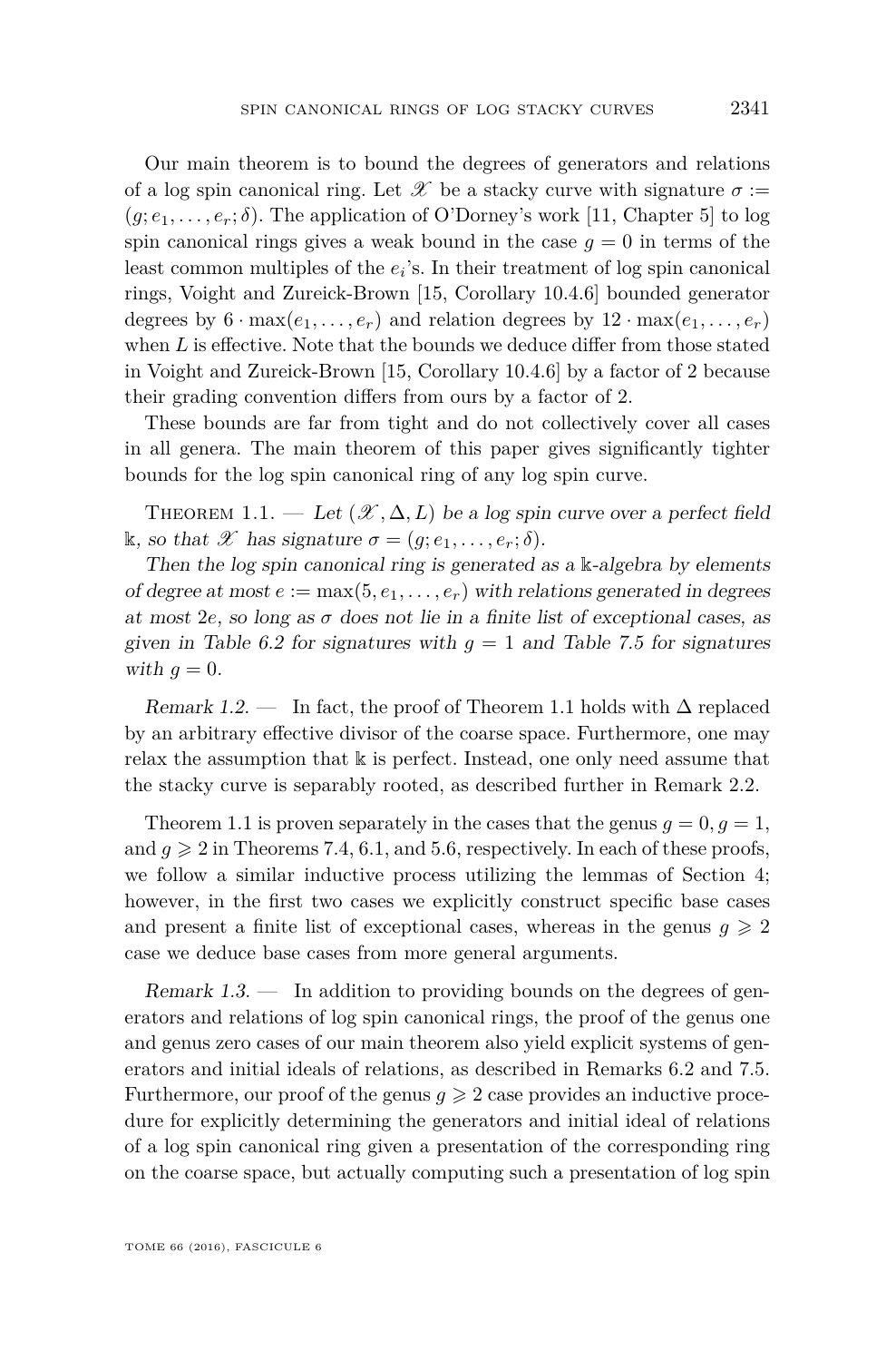Our main theorem is to bound the degrees of generators and relations of a log spin canonical ring. Let  $\mathscr X$  be a stacky curve with signature  $\sigma :=$  $(g; e_1, \ldots, e_r; \delta)$ . The application of O'Dorney's work [\[11,](#page-45-2) Chapter 5] to log spin canonical rings gives a weak bound in the case  $q = 0$  in terms of the least common multiples of the  $e_i$ 's. In their treatment of log spin canonical rings, Voight and Zureick-Brown [\[15,](#page-45-0) Corollary 10.4.6] bounded generator degrees by  $6 \cdot \max(e_1, \ldots, e_r)$  and relation degrees by  $12 \cdot \max(e_1, \ldots, e_r)$ when *L* is effective. Note that the bounds we deduce differ from those stated in Voight and Zureick-Brown [\[15,](#page-45-0) Corollary 10.4.6] by a factor of 2 because their grading convention differs from ours by a factor of 2.

These bounds are far from tight and do not collectively cover all cases in all genera. The main theorem of this paper gives significantly tighter bounds for the log spin canonical ring of any log spin curve.

<span id="page-3-0"></span>THEOREM 1.1. — Let  $(\mathcal{X}, \Delta, L)$  be a log spin curve over a perfect field k, so that X has signature  $\sigma = (q; e_1, \ldots, e_r; \delta)$ .

Then the log spin canonical ring is generated as a  $\Bbbk$ -algebra by elements of degree at most  $e := \max(5, e_1, \ldots, e_r)$  with relations generated in degrees at most 2*e*, so long as  $\sigma$  does not lie in a finite list of exceptional cases, as given in Table [6.2](#page-34-0) for signatures with  $g = 1$  and Table [7.5](#page-40-0) for signatures with  $q=0$ .

Remark 1.2. — In fact, the proof of Theorem [1.1](#page-3-0) holds with  $\Delta$  replaced by an arbitrary effective divisor of the coarse space. Furthermore, one may relax the assumption that  $\Bbbk$  is perfect. Instead, one only need assume that the stacky curve is separably rooted, as described further in Remark [2.2.](#page-6-1)

Theorem [1.1](#page-3-0) is proven separately in the cases that the genus  $q = 0, q = 1$ , and  $q \geqslant 2$  in Theorems [7.4,](#page-40-1) [6.1,](#page-34-1) and [5.6,](#page-32-0) respectively. In each of these proofs, we follow a similar inductive process utilizing the lemmas of Section [4;](#page-14-0) however, in the first two cases we explicitly construct specific base cases and present a finite list of exceptional cases, whereas in the genus  $g \geq 2$ case we deduce base cases from more general arguments.

<span id="page-3-1"></span>Remark  $1.3.$  — In addition to providing bounds on the degrees of generators and relations of log spin canonical rings, the proof of the genus one and genus zero cases of our main theorem also yield explicit systems of generators and initial ideals of relations, as described in Remarks [6.2](#page-36-0) and [7.5.](#page-41-0) Furthermore, our proof of the genus  $q \geqslant 2$  case provides an inductive procedure for explicitly determining the generators and initial ideal of relations of a log spin canonical ring given a presentation of the corresponding ring on the coarse space, but actually computing such a presentation of log spin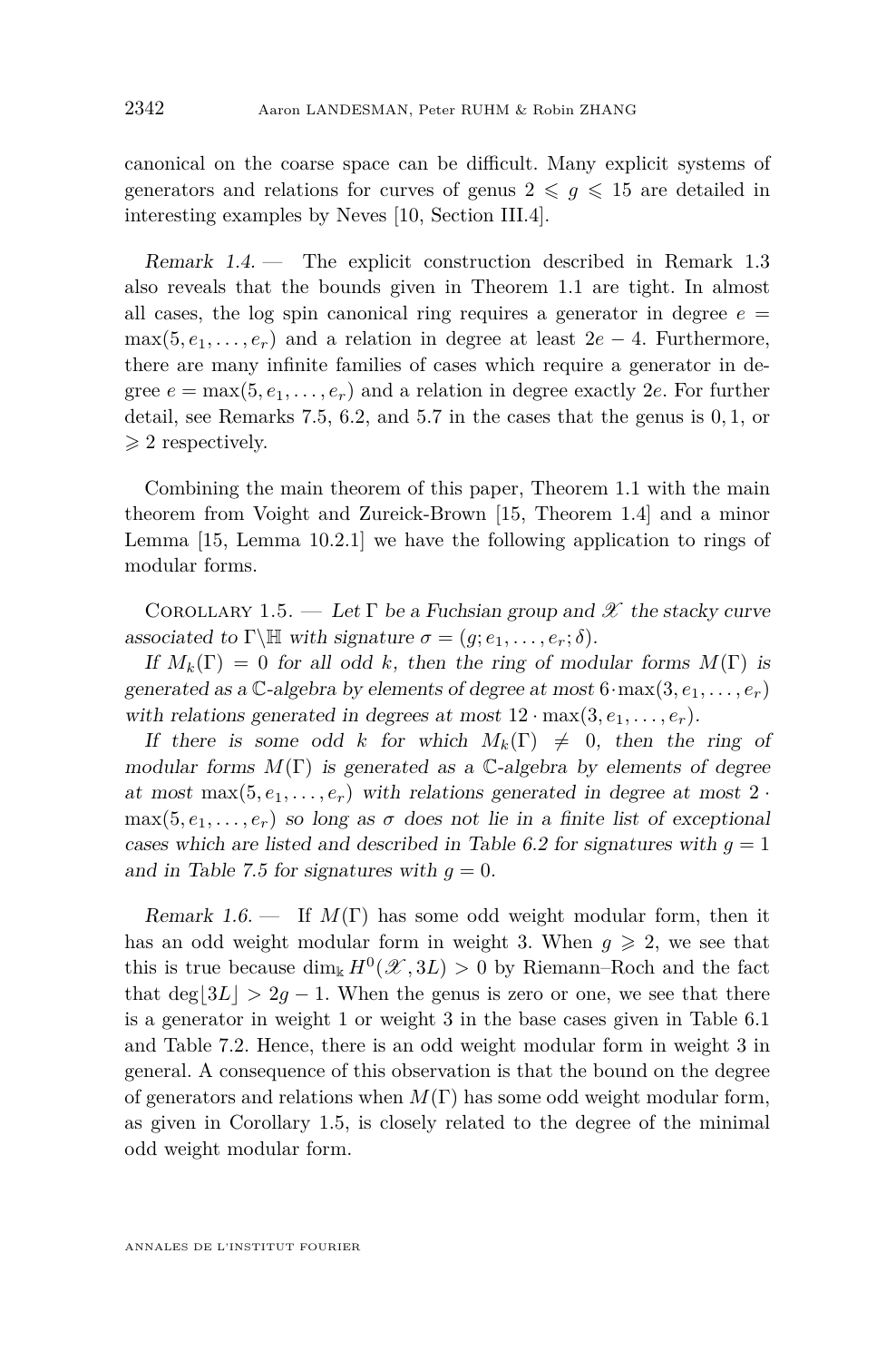canonical on the coarse space can be difficult. Many explicit systems of generators and relations for curves of genus  $2 \leq g \leq 15$  are detailed in interesting examples by Neves [\[10,](#page-45-3) Section III.4].

Remark 1.4. — The explicit construction described in Remark [1.3](#page-3-1) also reveals that the bounds given in Theorem [1.1](#page-3-0) are tight. In almost all cases, the log spin canonical ring requires a generator in degree  $e =$  $\max(5, e_1, \ldots, e_r)$  and a relation in degree at least  $2e - 4$ . Furthermore, there are many infinite families of cases which require a generator in degree  $e = \max(5, e_1, \ldots, e_r)$  and a relation in degree exactly 2*e*. For further detail, see Remarks [7.5,](#page-41-0) [6.2,](#page-36-0) and [5.7](#page-32-1) in the cases that the genus is 0*,* 1, or  $\geqslant$  2 respectively.

Combining the main theorem of this paper, Theorem [1.1](#page-3-0) with the main theorem from Voight and Zureick-Brown [\[15,](#page-45-0) Theorem 1.4] and a minor Lemma [\[15,](#page-45-0) Lemma 10.2.1] we have the following application to rings of modular forms.

<span id="page-4-0"></span>COROLLARY 1.5. — Let  $\Gamma$  be a Fuchsian group and  $\mathscr X$  the stacky curve associated to  $\Gamma \backslash \mathbb{H}$  with signature  $\sigma = (g; e_1, \ldots, e_r; \delta)$ .

If  $M_k(\Gamma) = 0$  for all odd k, then the ring of modular forms  $M(\Gamma)$  is generated as a  $\mathbb{C}$ -algebra by elements of degree at most  $6 \cdot \max(3, e_1, \ldots, e_r)$ with relations generated in degrees at most  $12 \cdot \max(3, e_1, \ldots, e_r)$ .

If there is some odd *k* for which  $M_k(\Gamma) \neq 0$ , then the ring of modular forms  $M(\Gamma)$  is generated as a C-algebra by elements of degree at most max $(5, e_1, \ldots, e_r)$  with relations generated in degree at most  $2 \cdot$  $\max(5, e_1, \ldots, e_r)$  so long as  $\sigma$  does not lie in a finite list of exceptional cases which are listed and described in Table [6.2](#page-34-0) for signatures with  $q = 1$ and in Table [7.5](#page-40-0) for signatures with  $q = 0$ .

Remark 1.6. — If *M*(Γ) has some odd weight modular form, then it has an odd weight modular form in weight 3. When  $q \geq 2$ , we see that this is true because  $\dim_k H^0(\mathcal{X}, 3L) > 0$  by Riemann–Roch and the fact that deg $|3L| > 2g - 1$ . When the genus is zero or one, we see that there is a generator in weight 1 or weight 3 in the base cases given in Table [6.1](#page-33-0) and Table [7.2.](#page-38-0) Hence, there is an odd weight modular form in weight 3 in general. A consequence of this observation is that the bound on the degree of generators and relations when  $M(\Gamma)$  has some odd weight modular form, as given in Corollary [1.5,](#page-4-0) is closely related to the degree of the minimal odd weight modular form.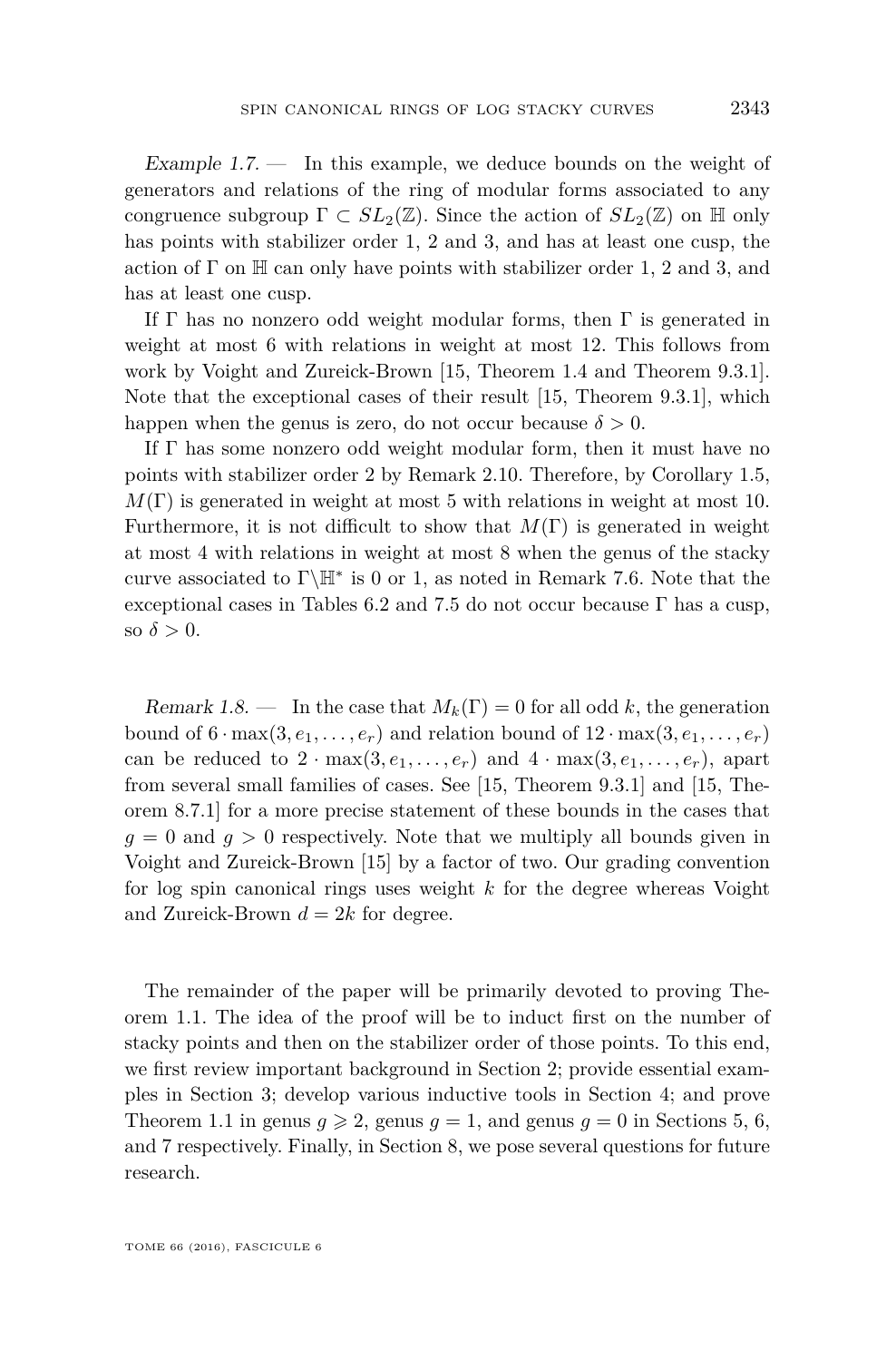<span id="page-5-1"></span>Example  $1.7.$  In this example, we deduce bounds on the weight of generators and relations of the ring of modular forms associated to any congruence subgroup  $\Gamma \subset SL_2(\mathbb{Z})$ . Since the action of  $SL_2(\mathbb{Z})$  on H only has points with stabilizer order 1, 2 and 3, and has at least one cusp, the action of  $\Gamma$  on  $\mathbb H$  can only have points with stabilizer order 1, 2 and 3, and has at least one cusp.

If  $\Gamma$  has no nonzero odd weight modular forms, then  $\Gamma$  is generated in weight at most 6 with relations in weight at most 12. This follows from work by Voight and Zureick-Brown [\[15,](#page-45-0) Theorem 1.4 and Theorem 9.3.1]. Note that the exceptional cases of their result [\[15,](#page-45-0) Theorem 9.3.1], which happen when the genus is zero, do not occur because  $\delta > 0$ .

If Γ has some nonzero odd weight modular form, then it must have no points with stabilizer order 2 by Remark [2.10.](#page-8-0) Therefore, by Corollary [1.5,](#page-4-0)  $M(\Gamma)$  is generated in weight at most 5 with relations in weight at most 10. Furthermore, it is not difficult to show that *M*(Γ) is generated in weight at most 4 with relations in weight at most 8 when the genus of the stacky curve associated to  $\Gamma\backslash\mathbb{H}^*$  is 0 or 1, as noted in Remark [7.6.](#page-42-0) Note that the exceptional cases in Tables [6.2](#page-34-0) and [7.5](#page-40-0) do not occur because  $\Gamma$  has a cusp, so  $\delta > 0$ .

Remark 1.8. — In the case that  $M_k(\Gamma) = 0$  for all odd k, the generation bound of  $6 \cdot \max(3, e_1, \ldots, e_r)$  and relation bound of  $12 \cdot \max(3, e_1, \ldots, e_r)$ can be reduced to  $2 \cdot max(3, e_1, \ldots, e_r)$  and  $4 \cdot max(3, e_1, \ldots, e_r)$ , apart from several small families of cases. See [\[15,](#page-45-0) Theorem 9.3.1] and [\[15,](#page-45-0) Theorem 8.7.1] for a more precise statement of these bounds in the cases that  $g = 0$  and  $g > 0$  respectively. Note that we multiply all bounds given in Voight and Zureick-Brown [\[15\]](#page-45-0) by a factor of two. Our grading convention for log spin canonical rings uses weight *k* for the degree whereas Voight and Zureick-Brown  $d = 2k$  for degree.

<span id="page-5-0"></span>The remainder of the paper will be primarily devoted to proving Theorem [1.1.](#page-3-0) The idea of the proof will be to induct first on the number of stacky points and then on the stabilizer order of those points. To this end, we first review important background in Section [2;](#page-5-0) provide essential examples in Section [3;](#page-10-0) develop various inductive tools in Section [4;](#page-14-0) and prove Theorem [1.1](#page-3-0) in genus  $g \ge 2$ , genus  $g = 1$ , and genus  $g = 0$  in Sections [5,](#page-29-0) [6,](#page-33-1) and [7](#page-36-1) respectively. Finally, in Section [8,](#page-42-1) we pose several questions for future research.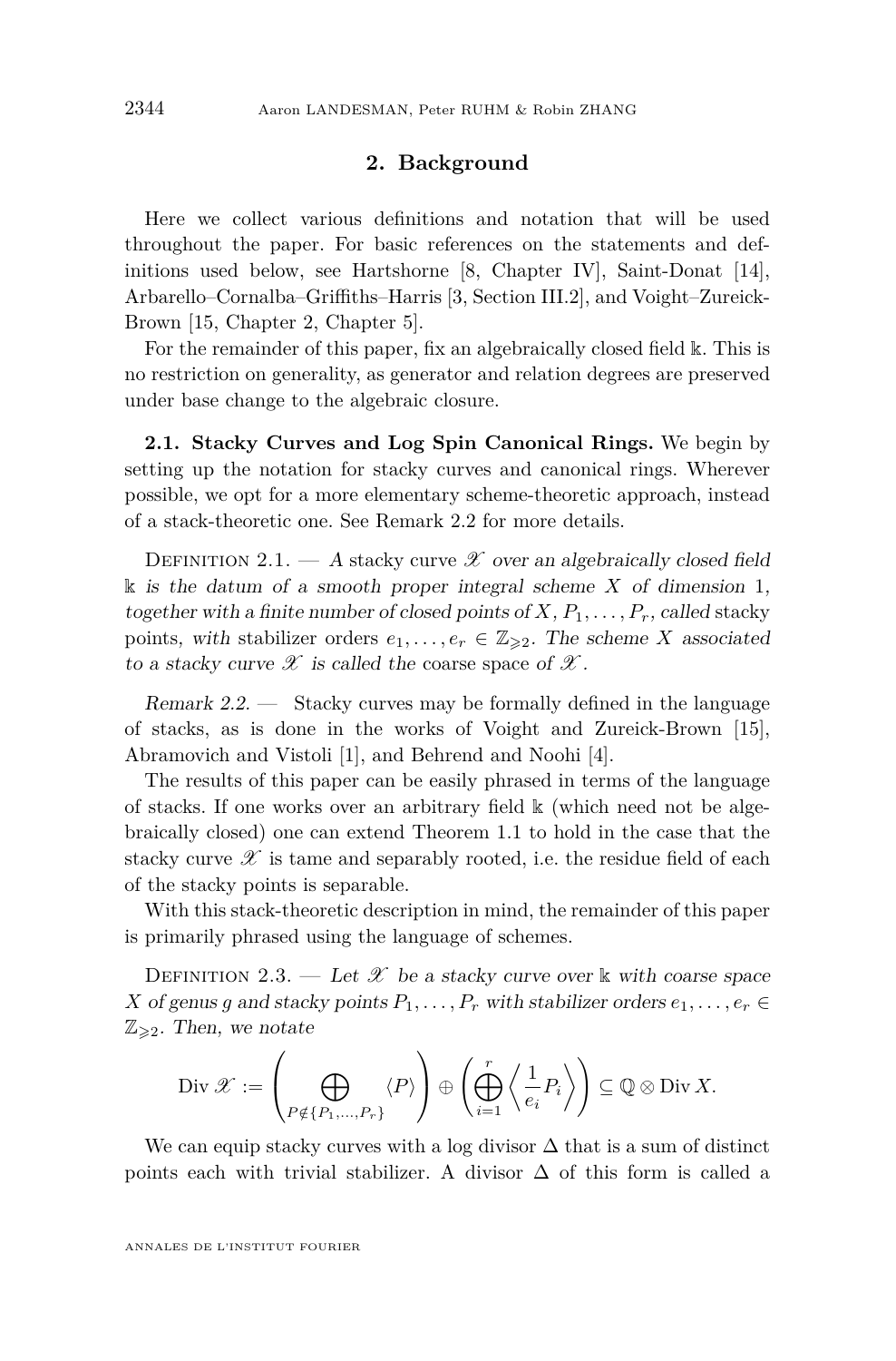#### **2. Background**

Here we collect various definitions and notation that will be used throughout the paper. For basic references on the statements and definitions used below, see Hartshorne [\[8,](#page-45-4) Chapter IV], Saint-Donat [\[14\]](#page-45-1), Arbarello–Cornalba–Griffiths–Harris [\[3,](#page-44-0) Section III.2], and Voight–Zureick-Brown [\[15,](#page-45-0) Chapter 2, Chapter 5].

For the remainder of this paper, fix an algebraically closed field k. This is no restriction on generality, as generator and relation degrees are preserved under base change to the algebraic closure.

<span id="page-6-0"></span>**2.1. Stacky Curves and Log Spin Canonical Rings.** We begin by setting up the notation for stacky curves and canonical rings. Wherever possible, we opt for a more elementary scheme-theoretic approach, instead of a stack-theoretic one. See Remark [2.2](#page-6-1) for more details.

DEFINITION 2.1. — A stacky curve  $\mathscr X$  over an algebraically closed field  $\&$  is the datum of a smooth proper integral scheme *X* of dimension 1, together with a finite number of closed points of  $X, P_1, \ldots, P_r$ , called stacky points, with stabilizer orders  $e_1, \ldots, e_r \in \mathbb{Z}_{\geq 2}$ . The scheme *X* associated to a stacky curve  $\mathscr X$  is called the coarse space of  $\mathscr X$ .

<span id="page-6-1"></span>Remark  $2.2.$  — Stacky curves may be formally defined in the language of stacks, as is done in the works of Voight and Zureick-Brown [\[15\]](#page-45-0), Abramovich and Vistoli [\[1\]](#page-44-1), and Behrend and Noohi [\[4\]](#page-44-2).

The results of this paper can be easily phrased in terms of the language of stacks. If one works over an arbitrary field  $\&$  (which need not be algebraically closed) one can extend Theorem [1.1](#page-3-0) to hold in the case that the stacky curve  $\mathscr X$  is tame and separably rooted, i.e. the residue field of each of the stacky points is separable.

With this stack-theoretic description in mind, the remainder of this paper is primarily phrased using the language of schemes.

DEFINITION 2.3. — Let  $\mathscr X$  be a stacky curve over k with coarse space *X* of genus *g* and stacky points  $P_1, \ldots, P_r$  with stabilizer orders  $e_1, \ldots, e_r \in$  $\mathbb{Z}_{\geqslant2}$ . Then, we notate

$$
\operatorname{Div} \mathscr{X} := \left(\bigoplus_{P \notin \{P_1, \dots, P_r\}} \langle P \rangle \right) \oplus \left(\bigoplus_{i=1}^r \left\langle \frac{1}{e_i} P_i \right\rangle \right) \subseteq \mathbb{Q} \otimes \operatorname{Div} X.
$$

We can equip stacky curves with a log divisor  $\Delta$  that is a sum of distinct points each with trivial stabilizer. A divisor  $\Delta$  of this form is called a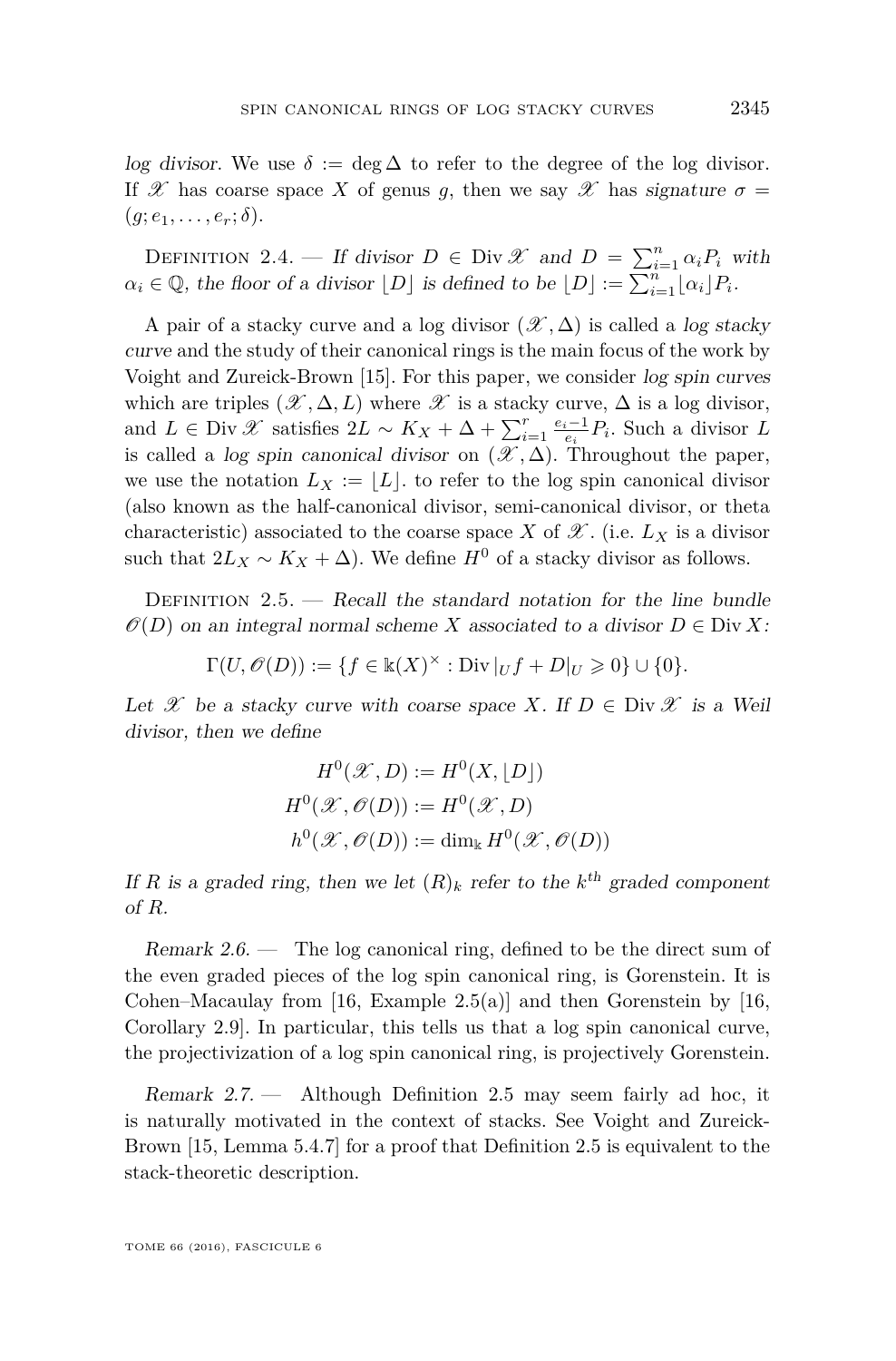log divisor. We use  $\delta := \deg \Delta$  to refer to the degree of the log divisor. If X has coarse space X of genus g, then we say X has signature  $\sigma =$  $(g; e_1, \ldots, e_r; \delta).$ 

DEFINITION 2.4. — If divisor  $D \in Div \mathscr{X}$  and  $D = \sum_{i=1}^{n} \alpha_i P_i$  with  $\alpha_i \in \mathbb{Q}$ , the floor of a divisor  $[D]$  is defined to be  $[D] := \sum_{i=1}^n [\alpha_i] P_i$ .

A pair of a stacky curve and a log divisor  $(\mathscr{X}, \Delta)$  is called a log stacky curve and the study of their canonical rings is the main focus of the work by Voight and Zureick-Brown [\[15\]](#page-45-0). For this paper, we consider log spin curves which are triples  $(\mathscr{X}, \Delta, L)$  where  $\mathscr{X}$  is a stacky curve,  $\Delta$  is a log divisor, and *L* ∈ Div  $\mathscr X$  satisfies  $2L \sim K_X + \Delta + \sum_{i=1}^r \frac{e_i - 1}{e_i} P_i$ . Such a divisor *L* is called a log spin canonical divisor on  $(\mathscr{X}, \Delta)$ . Throughout the paper, we use the notation  $L_X := |L|$  to refer to the log spin canonical divisor (also known as the half-canonical divisor, semi-canonical divisor, or theta characteristic) associated to the coarse space *X* of  $\mathscr{X}$ . (i.e.  $L_X$  is a divisor such that  $2L_X \sim K_X + \Delta$ ). We define  $H^0$  of a stacky divisor as follows.

<span id="page-7-0"></span>DEFINITION  $2.5.$  — Recall the standard notation for the line bundle  $\mathcal{O}(D)$  on an integral normal scheme *X* associated to a divisor  $D \in \text{Div } X$ :

 $\Gamma(U, \mathcal{O}(D)) := \{ f \in \mathbb{k}(X)^\times : \text{Div} |_{U} f + D|_{U} \geqslant 0 \} \cup \{ 0 \}.$ 

Let X be a stacky curve with coarse space X. If  $D \in \text{Div } \mathscr{X}$  is a Weil divisor, then we define

$$
H^{0}(\mathcal{X}, D) := H^{0}(X, [D])
$$
  

$$
H^{0}(\mathcal{X}, \mathcal{O}(D)) := H^{0}(\mathcal{X}, D)
$$
  

$$
h^{0}(\mathcal{X}, \mathcal{O}(D)) := \dim_{\mathbb{k}} H^{0}(\mathcal{X}, \mathcal{O}(D))
$$

If *R* is a graded ring, then we let  $(R)_k$  refer to the  $k^{\text{th}}$  graded component of *R*.

Remark  $2.6.$  — The log canonical ring, defined to be the direct sum of the even graded pieces of the log spin canonical ring, is Gorenstein. It is Cohen–Macaulay from [\[16,](#page-45-5) Example  $2.5(a)$ ] and then Gorenstein by [16, Corollary 2.9]. In particular, this tells us that a log spin canonical curve, the projectivization of a log spin canonical ring, is projectively Gorenstein.

Remark 2.7. — Although Definition [2.5](#page-7-0) may seem fairly ad hoc, it is naturally motivated in the context of stacks. See Voight and Zureick-Brown [\[15,](#page-45-0) Lemma 5.4.7] for a proof that Definition [2.5](#page-7-0) is equivalent to the stack-theoretic description.

TOME 66 (2016), FASCICULE 6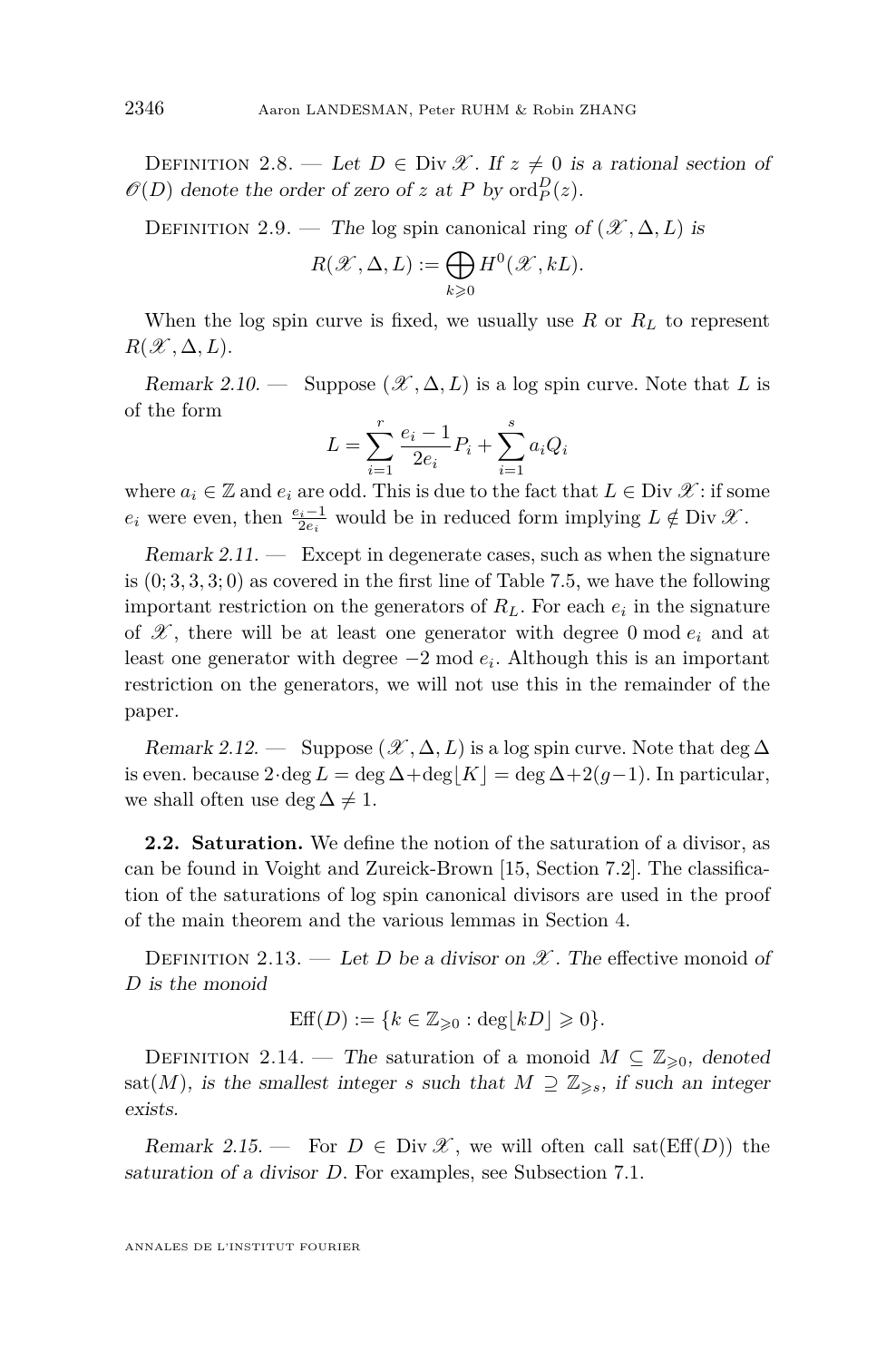<span id="page-8-2"></span>DEFINITION 2.8. — Let  $D \in \text{Div } \mathscr{X}$ . If  $z \neq 0$  is a rational section of  $\mathscr{O}(D)$  denote the order of zero of *z* at *P* by ord $_P^D(z)$ .

DEFINITION 2.9. — The log spin canonical ring of  $(\mathcal{X}, \Delta, L)$  is

$$
R(\mathscr{X}, \Delta, L) := \bigoplus_{k \geqslant 0} H^0(\mathscr{X}, kL).
$$

When the log spin curve is fixed, we usually use  $R$  or  $R_L$  to represent  $R(\mathscr{X}, \Delta, L)$ .

<span id="page-8-0"></span>Remark 2.10. — Suppose  $(\mathcal{X}, \Delta, L)$  is a log spin curve. Note that L is of the form

$$
L = \sum_{i=1}^{r} \frac{e_i - 1}{2e_i} P_i + \sum_{i=1}^{s} a_i Q_i
$$

where  $a_i \in \mathbb{Z}$  and  $e_i$  are odd. This is due to the fact that  $L \in \text{Div } \mathscr{X}$ : if some  $e_i$  were even, then  $\frac{e_i-1}{2e_i}$  would be in reduced form implying  $L \notin \text{Div } \mathcal{X}$ .

 $Remark 2.11.$  — Except in degenerate cases, such as when the signature is  $(0, 3, 3, 3, 0)$  as covered in the first line of Table [7.5,](#page-40-0) we have the following important restriction on the generators of  $R_L$ . For each  $e_i$  in the signature of  $\mathscr{X}$ , there will be at least one generator with degree 0 mod  $e_i$  and at least one generator with degree −2 mod *e<sup>i</sup>* . Although this is an important restriction on the generators, we will not use this in the remainder of the paper.

<span id="page-8-3"></span>Remark 2.12. — Suppose  $(\mathscr{X}, \Delta, L)$  is a log spin curve. Note that deg  $\Delta$ is even. because  $2 \cdot \deg L = \deg \Delta + \deg |K| = \deg \Delta + 2(g-1)$ . In particular, we shall often use deg  $\Delta \neq 1$ .

**2.2. Saturation.** We define the notion of the saturation of a divisor, as can be found in Voight and Zureick-Brown [\[15,](#page-45-0) Section 7.2]. The classification of the saturations of log spin canonical divisors are used in the proof of the main theorem and the various lemmas in Section [4.](#page-14-0)

DEFINITION 2.13. — Let *D* be a divisor on  $\mathscr X$ . The effective monoid of *D* is the monoid

$$
\text{Eff}(D) := \{ k \in \mathbb{Z}_{\geqslant 0} : \deg \lfloor kD \rfloor \geqslant 0 \}.
$$

<span id="page-8-1"></span>DEFINITION 2.14. — The saturation of a monoid  $M \subseteq \mathbb{Z}_{\geqslant 0}$ , denoted sat(*M*), is the smallest integer *s* such that  $M \supseteq \mathbb{Z}_{\geq s}$ , if such an integer exists.

Remark 2.15. — For  $D \in Div \mathscr{X}$ , we will often call sat $(Eff(D))$  the saturation of a divisor *D*. For examples, see Subsection [7.1.](#page-37-0)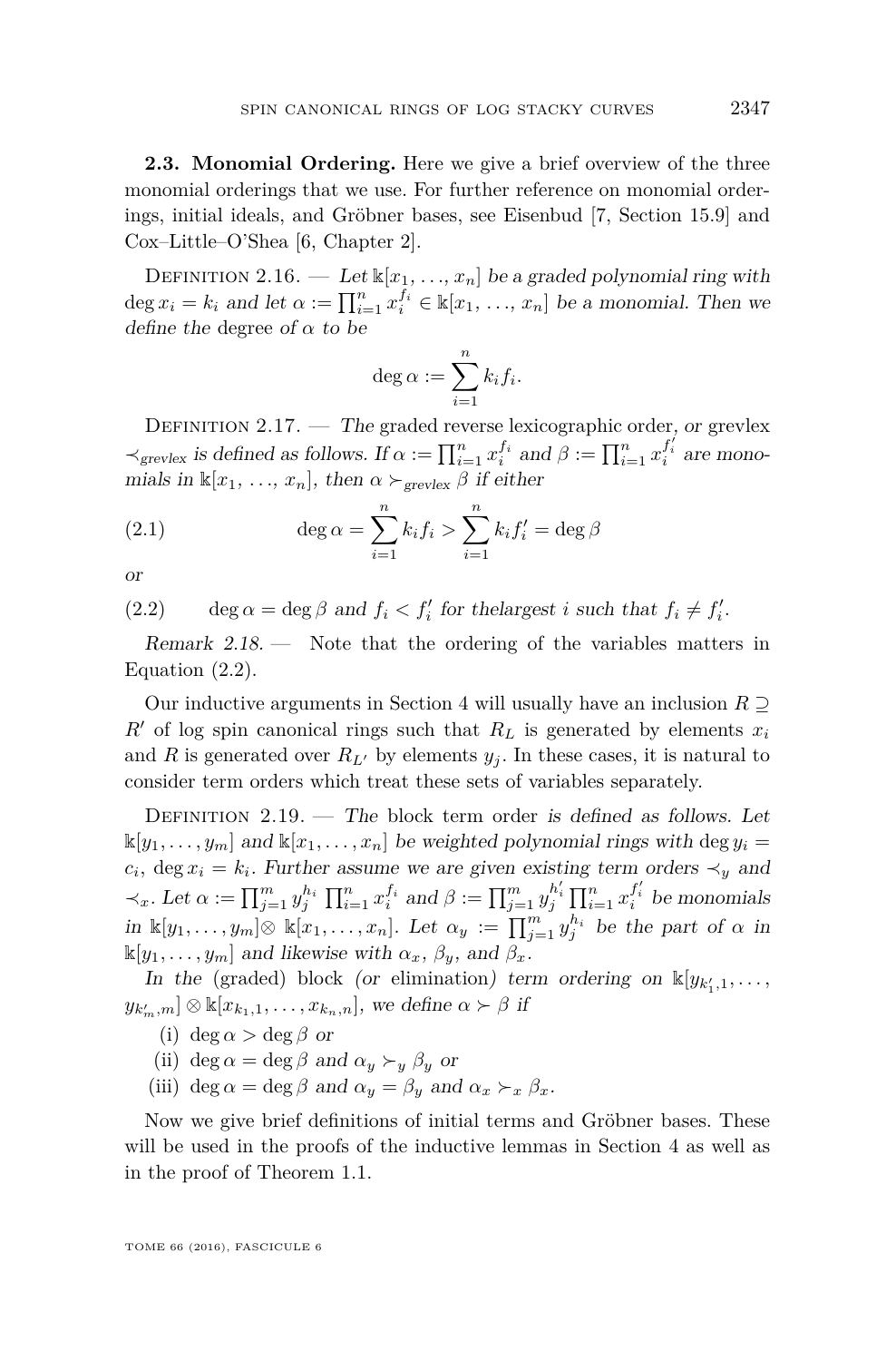**2.3. Monomial Ordering.** Here we give a brief overview of the three monomial orderings that we use. For further reference on monomial orderings, initial ideals, and Gröbner bases, see Eisenbud [\[7,](#page-44-3) Section 15.9] and Cox–Little–O'Shea [\[6,](#page-44-4) Chapter 2].

DEFINITION 2.16. — Let  $\mathbb{K}[x_1, \ldots, x_n]$  be a graded polynomial ring with deg  $x_i = k_i$  and let  $\alpha := \prod_{i=1}^n x_i^{f_i} \in \mathbb{k}[x_1, \ldots, x_n]$  be a monomial. Then we define the degree of *α* to be

$$
\deg \alpha := \sum_{i=1}^n k_i f_i.
$$

DEFINITION  $2.17.$  — The graded reverse lexicographic order, or grevlex  $\prec_{\text{grevlex}}$  is defined as follows. If  $\alpha := \prod_{i=1}^n x_i^{f_i}$  and  $\beta := \prod_{i=1}^n x_i^{f_i'}$  are monomials in  $\mathbb{K}[x_1, \ldots, x_n]$ , then  $\alpha \succ_{\text{grevlex}} \beta$  if either

(2.1) 
$$
\deg \alpha = \sum_{i=1}^{n} k_i f_i > \sum_{i=1}^{n} k_i f'_i = \deg \beta
$$

or

<span id="page-9-0"></span>(2.2) deg  $\alpha = \deg \beta$  and  $f_i < f'_i$  for the largest *i* such that  $f_i \neq f'_i$ .

Remark  $2.18$ .  $-$  Note that the ordering of the variables matters in Equation [\(2.2\)](#page-9-0).

Our inductive arguments in Section [4](#page-14-0) will usually have an inclusion *R* ⊇  $R'$  of log spin canonical rings such that  $R_L$  is generated by elements  $x_i$ and *R* is generated over  $R_{L}$  by elements  $y_j$ . In these cases, it is natural to consider term orders which treat these sets of variables separately.

DEFINITION  $2.19.$  — The block term order is defined as follows. Let  $\mathbb{K}[y_1, \ldots, y_m]$  and  $\mathbb{K}[x_1, \ldots, x_n]$  be weighted polynomial rings with deg  $y_i =$  $c_i$ , deg  $x_i = k_i$ . Further assume we are given existing term orders  $\prec_y$  and  $\prec_x$ . Let  $\alpha := \prod_{j=1}^m y_j^{h_i} \prod_{i=1}^n x_i^{f_i}$  and  $\beta := \prod_{j=1}^m y_j^{h'_i} \prod_{i=1}^n x_i^{f'_i}$  be monomials in  $\mathbb{K}[y_1,\ldots,y_m] \otimes \mathbb{K}[x_1,\ldots,x_n]$ . Let  $\alpha_y := \prod_{j=1}^m y_j^{h_i}$  be the part of  $\alpha$  in  $\mathbb{K}[y_1, \ldots, y_m]$  and likewise with  $\alpha_x, \beta_y$ , and  $\beta_x$ .

In the (graded) block (or elimination) term ordering on  $\mathbb{K}[y_{k'_1,1},\ldots,$  $y_{k'_m,m}$ ] ⊗ k[ $x_{k_1,1},\ldots,x_{k_n,n}$ ], we define  $\alpha \succ \beta$  if

(i) deg  $\alpha > \text{deg }\beta$  or

(ii) deg  $\alpha = \text{deg }\beta$  and  $\alpha_y \succ_y \beta_y$  or

(iii) deg  $\alpha = \text{deg }\beta$  and  $\alpha_y = \beta_y$  and  $\alpha_x \succ_x \beta_x$ .

Now we give brief definitions of initial terms and Gröbner bases. These will be used in the proofs of the inductive lemmas in Section [4](#page-14-0) as well as in the proof of Theorem [1.1.](#page-3-0)

TOME 66 (2016), FASCICULE 6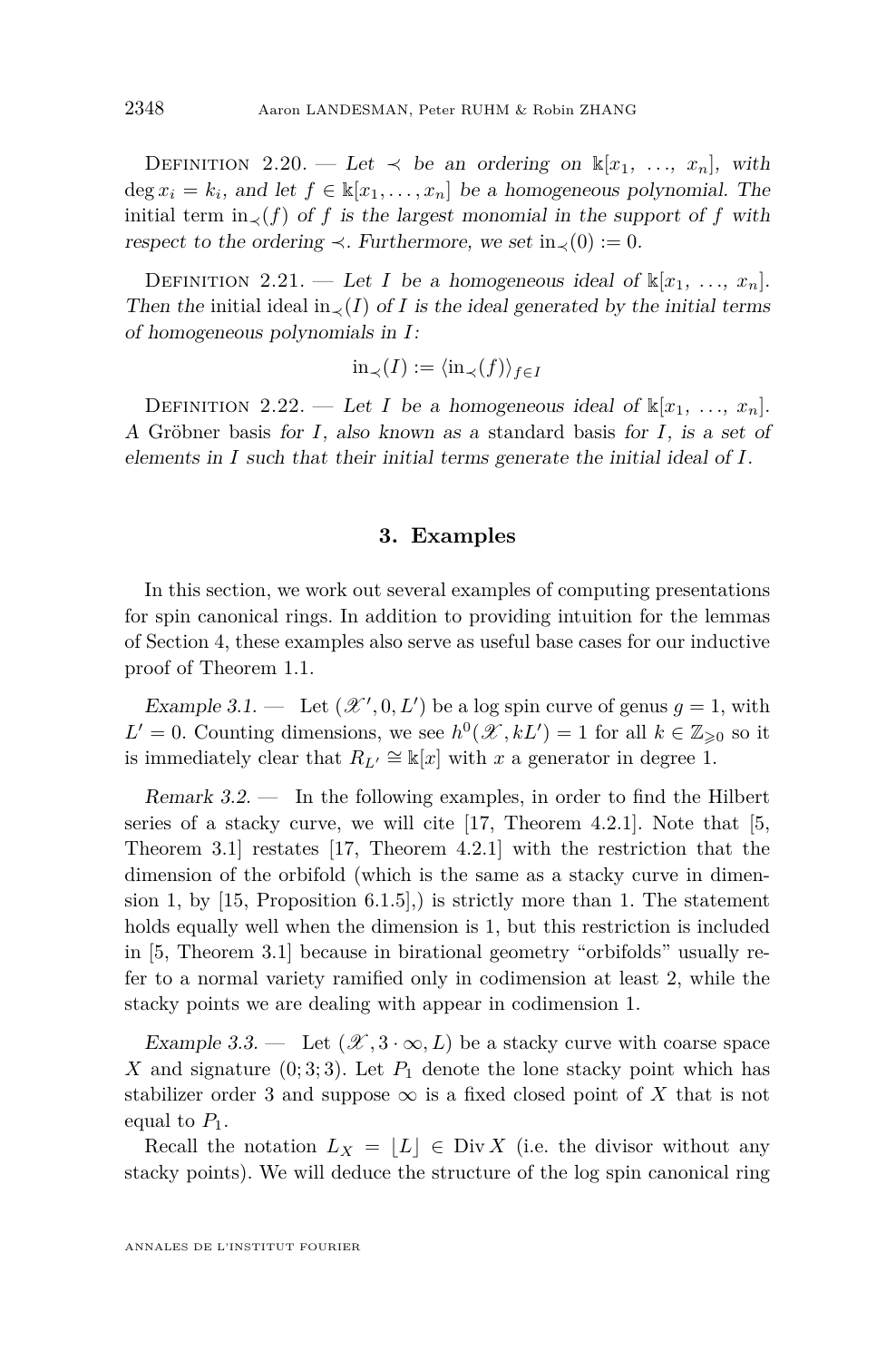DEFINITION 2.20. — Let  $\prec$  be an ordering on  $\mathbb{k}[x_1, \ldots, x_n]$ , with deg  $x_i = k_i$ , and let  $f \in \mathbb{k}[x_1, \ldots, x_n]$  be a homogeneous polynomial. The initial term in $\chi(f)$  of *f* is the largest monomial in the support of *f* with respect to the ordering  $\prec$ . Furthermore, we set in<sub> $\prec$ </sub>(0) := 0.

DEFINITION 2.21. — Let *I* be a homogeneous ideal of  $\mathbb{K}[x_1, \ldots, x_n]$ . Then the initial ideal in<sub> $\prec$ </sub>(*I*) of *I* is the ideal generated by the initial terms of homogeneous polynomials in *I*:

$$
\operatorname{in}_{\prec}(I) := \langle \operatorname{in}_{\prec}(f) \rangle_{f \in I}
$$

DEFINITION 2.22. — Let *I* be a homogeneous ideal of  $\mathbb{K}[x_1, \ldots, x_n]$ . A Gröbner basis for *I*, also known as a standard basis for *I*, is a set of elements in *I* such that their initial terms generate the initial ideal of *I*.

#### **3. Examples**

<span id="page-10-0"></span>In this section, we work out several examples of computing presentations for spin canonical rings. In addition to providing intuition for the lemmas of Section [4,](#page-14-0) these examples also serve as useful base cases for our inductive proof of Theorem [1.1.](#page-3-0)

<span id="page-10-1"></span>Example 3.1. — Let  $(\mathcal{X}', 0, L')$  be a log spin curve of genus  $g = 1$ , with  $L' = 0$ . Counting dimensions, we see  $h^0(\mathcal{X}, kL') = 1$  for all  $k \in \mathbb{Z}_{\geqslant 0}$  so it is immediately clear that  $R_{L'} \cong \mathbb{k}[x]$  with *x* a generator in degree 1.

Remark 3.2. — In the following examples, in order to find the Hilbert series of a stacky curve, we will cite  $[17,$  Theorem 4.2.1]. Note that  $[5,$ Theorem 3.1] restates [\[17,](#page-45-6) Theorem 4.2.1] with the restriction that the dimension of the orbifold (which is the same as a stacky curve in dimension 1, by  $[15,$  Proposition 6.1.5], is strictly more than 1. The statement holds equally well when the dimension is 1, but this restriction is included in [\[5,](#page-44-5) Theorem 3.1] because in birational geometry "orbifolds" usually refer to a normal variety ramified only in codimension at least 2, while the stacky points we are dealing with appear in codimension 1.

Example 3.3. — Let  $(\mathcal{X}, 3 \cdot \infty, L)$  be a stacky curve with coarse space X and signature  $(0,3,3)$ . Let  $P_1$  denote the lone stacky point which has stabilizer order 3 and suppose  $\infty$  is a fixed closed point of X that is not equal to  $P_1$ .

Recall the notation  $L_X = |L| \in Div X$  (i.e. the divisor without any stacky points). We will deduce the structure of the log spin canonical ring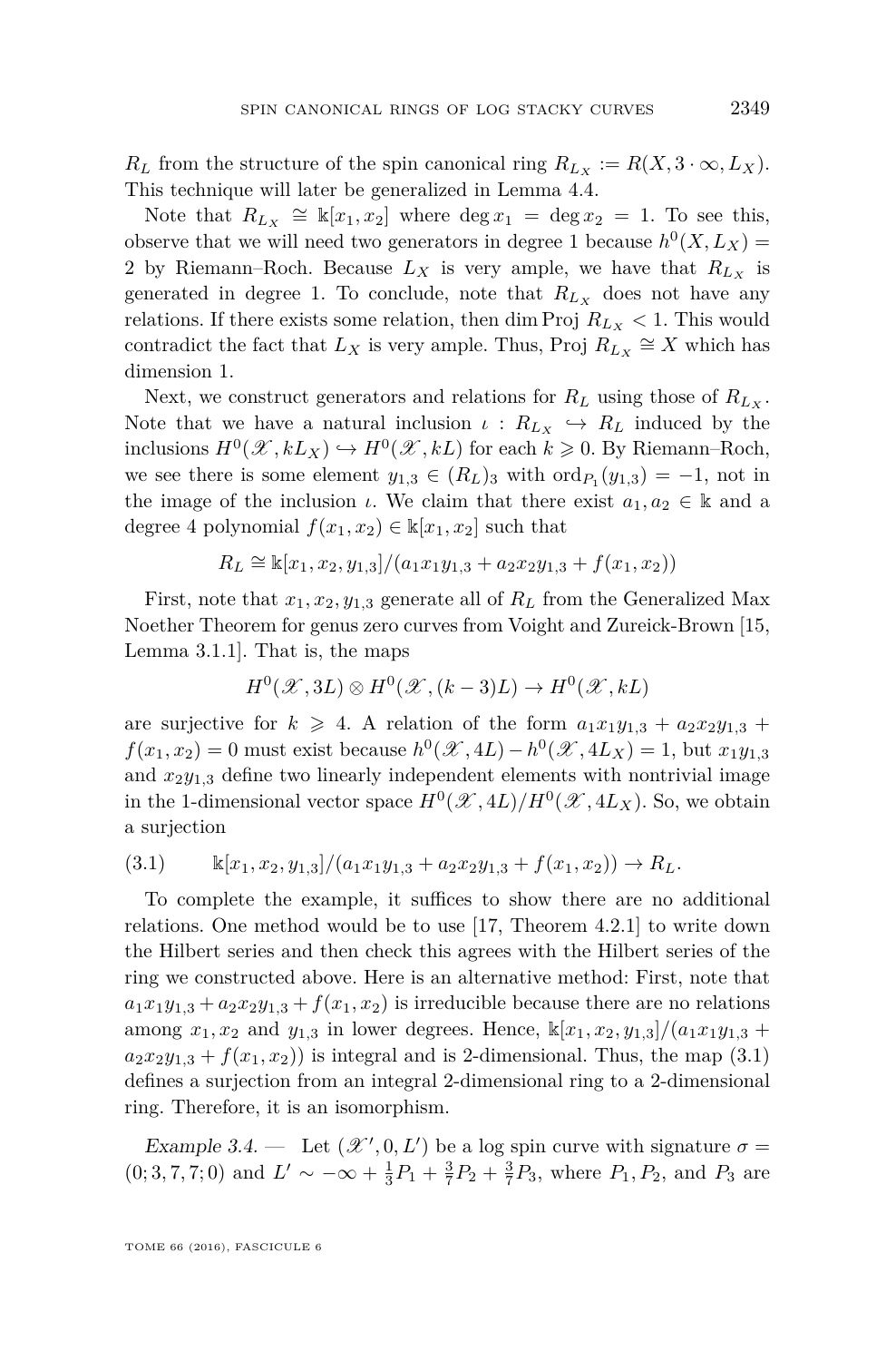*R*<sub>*L*</sub> from the structure of the spin canonical ring  $R_{L_x} := R(X, 3 \cdot \infty, L_X)$ . This technique will later be generalized in Lemma [4.4.](#page-16-0)

Note that  $R_{L_X} \cong \mathbbk[x_1, x_2]$  where  $\deg x_1 = \deg x_2 = 1$ . To see this, observe that we will need two generators in degree 1 because  $h^0(X, L_X)$  = 2 by Riemann–Roch. Because  $L_X$  is very ample, we have that  $R_{L_X}$  is generated in degree 1. To conclude, note that  $R_{L_X}$  does not have any relations. If there exists some relation, then dim Proj  $R_{L_X}$  < 1. This would contradict the fact that  $L_X$  is very ample. Thus, Proj  $R_{L_X} \cong X$  which has dimension 1.

Next, we construct generators and relations for  $R_L$  using those of  $R_{L_X}$ . Note that we have a natural inclusion  $\iota : R_{L_X} \hookrightarrow R_L$  induced by the inclusions  $H^0(\mathcal{X}, kL_X) \hookrightarrow H^0(\mathcal{X}, kL)$  for each  $k \geqslant 0$ . By Riemann–Roch, we see there is some element  $y_{1,3} \in (R_L)_{3}$  with  $\text{ord}_{P_1}(y_{1,3}) = -1$ , not in the image of the inclusion *ι*. We claim that there exist  $a_1, a_2 \in \mathbb{k}$  and a degree 4 polynomial  $f(x_1, x_2) \in \mathbb{k}[x_1, x_2]$  such that

$$
R_L \cong \mathbb{k}[x_1, x_2, y_{1,3}]/(a_1x_1y_{1,3} + a_2x_2y_{1,3} + f(x_1, x_2))
$$

First, note that  $x_1, x_2, y_{1,3}$  generate all of  $R_L$  from the Generalized Max Noether Theorem for genus zero curves from Voight and Zureick-Brown [\[15,](#page-45-0) Lemma 3.1.1]. That is, the maps

$$
H^0(\mathcal{X}, 3L) \otimes H^0(\mathcal{X}, (k-3)L) \to H^0(\mathcal{X}, kL)
$$

are surjective for  $k \ge 4$ . A relation of the form  $a_1x_1y_{1,3} + a_2x_2y_{1,3} +$  $f(x_1, x_2) = 0$  must exist because  $h^0(\mathcal{X}, 4L) - h^0(\mathcal{X}, 4L_X) = 1$ , but  $x_1y_{1,3}$ and  $x_2y_{1,3}$  define two linearly independent elements with nontrivial image in the 1-dimensional vector space  $H^0(\mathcal{X}, 4L)/H^0(\mathcal{X}, 4L_X)$ . So, we obtain a surjection

<span id="page-11-0"></span>(3.1) k[*x*1*, x*2*, y*1*,*3]*/*(*a*1*x*1*y*1*,*<sup>3</sup> + *a*2*x*2*y*1*,*<sup>3</sup> + *f*(*x*1*, x*2)) → *RL.*

To complete the example, it suffices to show there are no additional relations. One method would be to use [\[17,](#page-45-6) Theorem 4.2.1] to write down the Hilbert series and then check this agrees with the Hilbert series of the ring we constructed above. Here is an alternative method: First, note that  $a_1x_1y_{1,3} + a_2x_2y_{1,3} + f(x_1, x_2)$  is irreducible because there are no relations among  $x_1, x_2$  and  $y_{1,3}$  in lower degrees. Hence,  $\frac{k[x_1, x_2, y_{1,3}]}{(a_1x_1y_{1,3} + a_2x_2y_{1,3})}$  $a_2x_2y_{1,3} + f(x_1, x_2)$  is integral and is 2-dimensional. Thus, the map [\(3.1\)](#page-11-0) defines a surjection from an integral 2-dimensional ring to a 2-dimensional ring. Therefore, it is an isomorphism.

<span id="page-11-1"></span>Example 3.4. — Let  $(\mathcal{X}', 0, L')$  be a log spin curve with signature  $\sigma =$  $(0; 3, 7, 7; 0)$  and  $L' \sim -\infty + \frac{1}{3}P_1 + \frac{3}{7}P_2 + \frac{3}{7}P_3$ , where  $P_1, P_2$ , and  $P_3$  are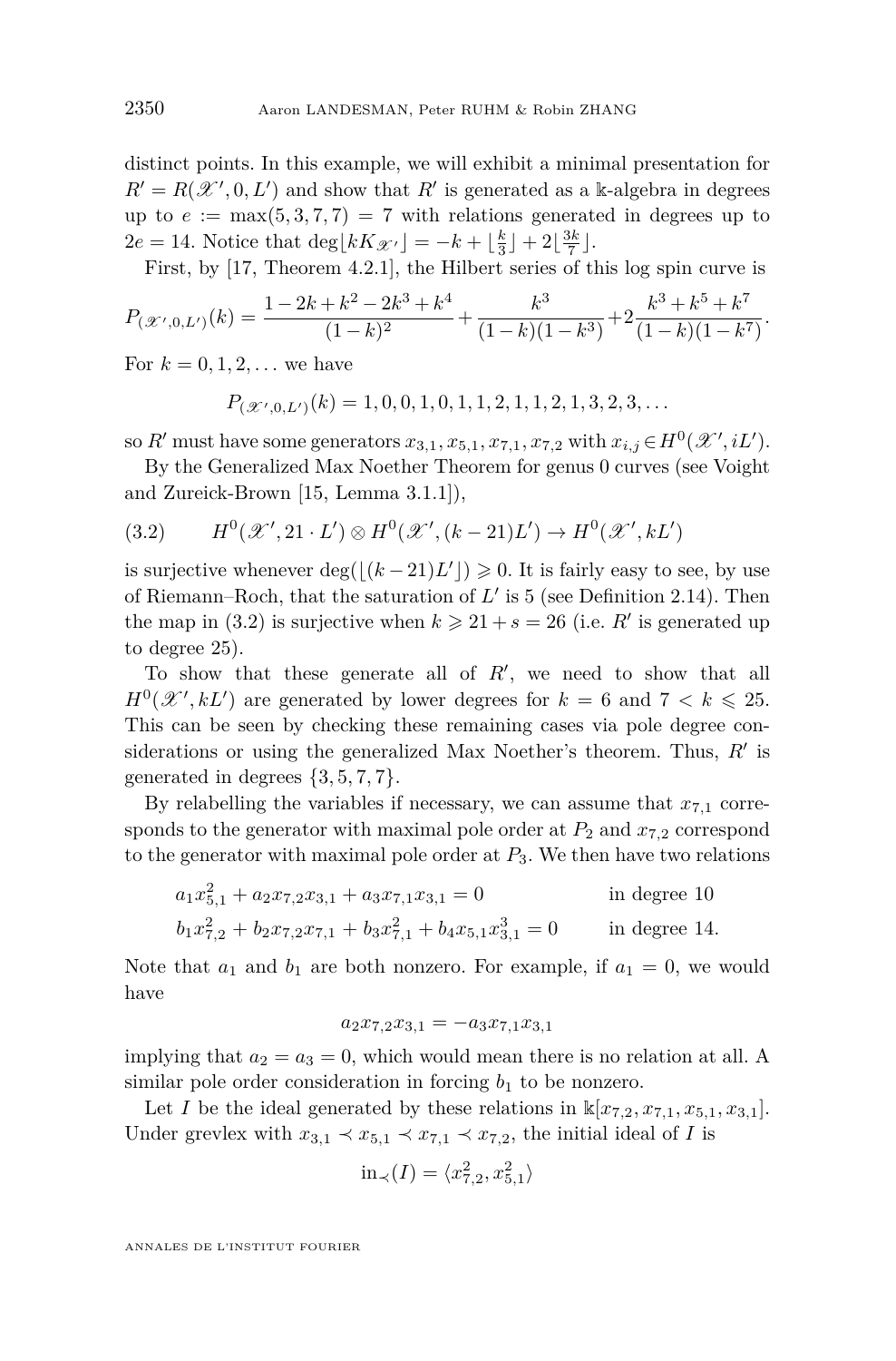distinct points. In this example, we will exhibit a minimal presentation for  $R' = R(\mathcal{X}', 0, L')$  and show that  $R'$  is generated as a k-algebra in degrees up to  $e := \max(5, 3, 7, 7) = 7$  with relations generated in degrees up to  $2e = 14$ . Notice that  $\deg\left[kK_{\mathscr{X}'}\right] = -k + \left\lfloor \frac{k}{3} \right\rfloor + 2\left\lfloor \frac{3k}{7} \right\rfloor$ .

First, by [\[17,](#page-45-6) Theorem 4.2.1], the Hilbert series of this log spin curve is

$$
P_{(\mathcal{X}',0,L')}(k) = \frac{1 - 2k + k^2 - 2k^3 + k^4}{(1 - k)^2} + \frac{k^3}{(1 - k)(1 - k^3)} + 2\frac{k^3 + k^5 + k^7}{(1 - k)(1 - k^7)}.
$$

For  $k = 0, 1, 2, ...$  we have

 $P_{(\mathscr{X}',0,L')}(k) = 1, 0, 0, 1, 0, 1, 1, 2, 1, 1, 2, 1, 3, 2, 3, \ldots$ 

so *R*<sup>*t*</sup> must have some generators  $x_{3,1}, x_{5,1}, x_{7,1}, x_{7,2}$  with  $x_{i,j} \in H^0(\mathcal{X}', iL').$ 

By the Generalized Max Noether Theorem for genus 0 curves (see Voight and Zureick-Brown [\[15,](#page-45-0) Lemma 3.1.1]),

<span id="page-12-0"></span>(3.2) 
$$
H^{0}(\mathscr{X}', 21 \cdot L') \otimes H^{0}(\mathscr{X}', (k-21)L') \to H^{0}(\mathscr{X}', kL')
$$

is surjective whenever  $\deg((k-21)L') \geq 0$ . It is fairly easy to see, by use of Riemann–Roch, that the saturation of  $L'$  is 5 (see Definition [2.14\)](#page-8-1). Then the map in [\(3.2\)](#page-12-0) is surjective when  $k \ge 21 + s = 26$  (i.e. *R'* is generated up to degree 25).

To show that these generate all of  $R'$ , we need to show that all  $H^0(\mathcal{X}', kL')$  are generated by lower degrees for  $k = 6$  and  $7 < k \leq 25$ . This can be seen by checking these remaining cases via pole degree considerations or using the generalized Max Noether's theorem. Thus,  $R'$  is generated in degrees  $\{3, 5, 7, 7\}.$ 

By relabelling the variables if necessary, we can assume that  $x_{7,1}$  corresponds to the generator with maximal pole order at  $P_2$  and  $x_{7,2}$  correspond to the generator with maximal pole order at  $P_3$ . We then have two relations

$$
a_1x_{5,1}^2 + a_2x_{7,2}x_{3,1} + a_3x_{7,1}x_{3,1} = 0
$$
 in degree 10  

$$
b_1x_{7,2}^2 + b_2x_{7,2}x_{7,1} + b_3x_{7,1}^2 + b_4x_{5,1}x_{3,1}^3 = 0
$$
 in degree 14.

Note that  $a_1$  and  $b_1$  are both nonzero. For example, if  $a_1 = 0$ , we would have

$$
a_2 x_{7,2} x_{3,1} = -a_3 x_{7,1} x_{3,1}
$$

implying that  $a_2 = a_3 = 0$ , which would mean there is no relation at all. A similar pole order consideration in forcing  $b_1$  to be nonzero.

Let *I* be the ideal generated by these relations in  $\mathbb{k}[x_{7,2}, x_{7,1}, x_{5,1}, x_{3,1}].$ Under grevlex with  $x_{3,1} \prec x_{5,1} \prec x_{7,1} \prec x_{7,2}$ , the initial ideal of *I* is

$$
in_{\prec}(I) = \langle x_{7,2}^2, x_{5,1}^2 \rangle
$$

ANNALES DE L'INSTITUT FOURIER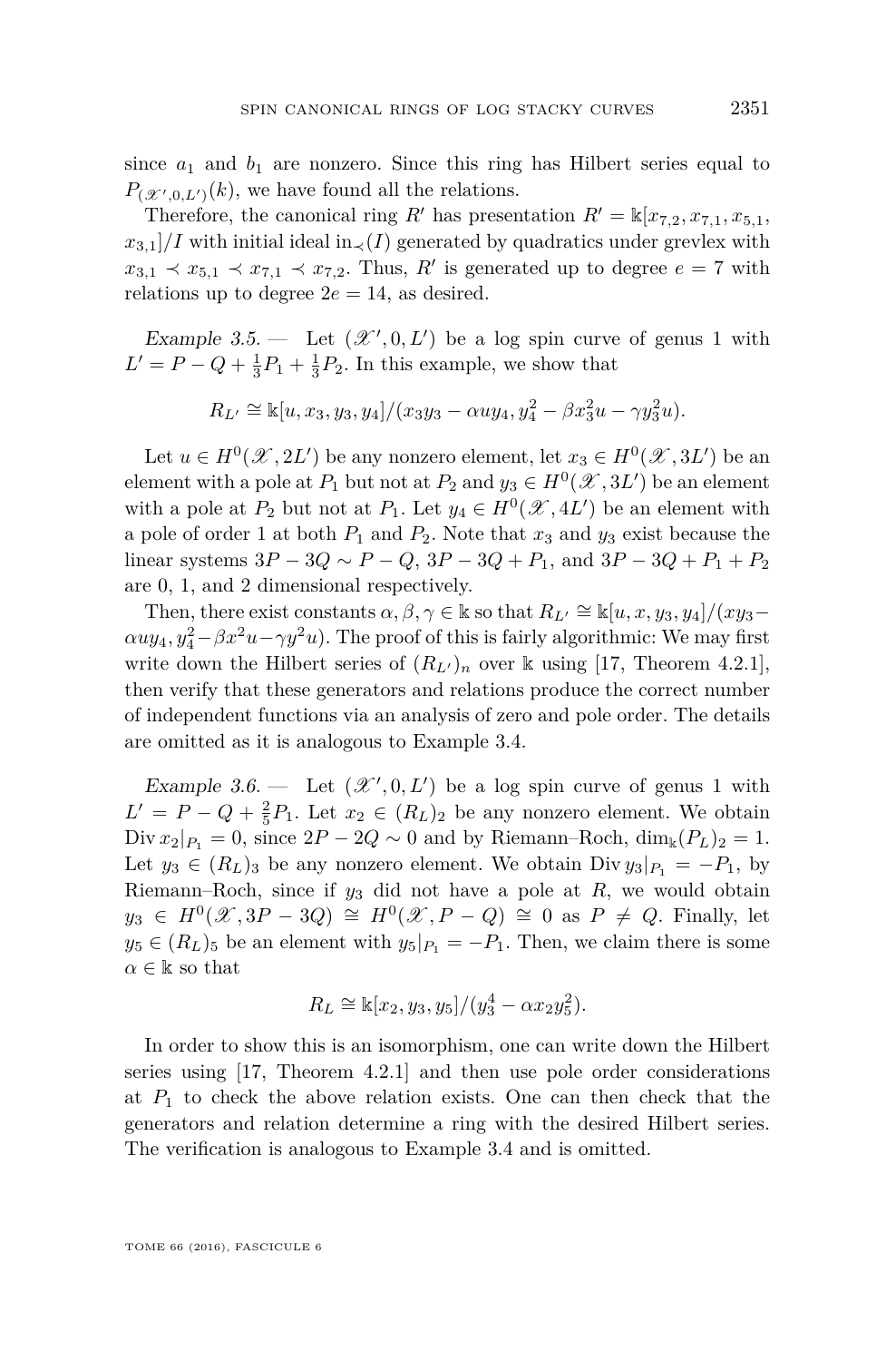since  $a_1$  and  $b_1$  are nonzero. Since this ring has Hilbert series equal to  $P_{(\mathcal{X}',0,L')}(k)$ , we have found all the relations.

Therefore, the canonical ring *R*<sup> $\prime$ </sup> has presentation  $R' = \mathbb{k}[x_{7,2}, x_{7,1}, x_{5,1},$  $x_{3,1}/I$  with initial ideal in $\langle I \rangle$  generated by quadratics under grevlex with  $x_{3,1} \prec x_{5,1} \prec x_{7,1} \prec x_{7,2}$ . Thus, *R*<sup>*i*</sup> is generated up to degree  $e = 7$  with relations up to degree  $2e = 14$ , as desired.

<span id="page-13-0"></span>Example 3.5.  $\qquad$  Let  $(\mathcal{X}', 0, L')$  be a log spin curve of genus 1 with  $L' = P - Q + \frac{1}{3}P_1 + \frac{1}{3}P_2$ . In this example, we show that

$$
R_{L'} \cong \mathbb{k}[u, x_3, y_3, y_4]/(x_3y_3 - \alpha uy_4, y_4^2 - \beta x_3^2 u - \gamma y_3^2 u).
$$

Let  $u \in H^0(\mathcal{X}, 2L')$  be any nonzero element, let  $x_3 \in H^0(\mathcal{X}, 3L')$  be an element with a pole at  $P_1$  but not at  $P_2$  and  $y_3 \in H^0(\mathscr{X}, 3L')$  be an element with a pole at  $P_2$  but not at  $P_1$ . Let  $y_4 \in H^0(\mathcal{X}, 4L')$  be an element with a pole of order 1 at both  $P_1$  and  $P_2$ . Note that  $x_3$  and  $y_3$  exist because the linear systems  $3P - 3Q \sim P - Q$ ,  $3P - 3Q + P_1$ , and  $3P - 3Q + P_1 + P_2$ are 0, 1, and 2 dimensional respectively.

Then, there exist constants  $\alpha, \beta, \gamma \in \mathbb{k}$  so that  $R_{L'} \cong \mathbb{k}[u, x, y_3, y_4]/(xyz \alpha u y_4, y_4^2 - \beta x^2 u - \gamma y^2 u$ ). The proof of this is fairly algorithmic: We may first write down the Hilbert series of  $(R_{L})_n$  over k using [\[17,](#page-45-6) Theorem 4.2.1], then verify that these generators and relations produce the correct number of independent functions via an analysis of zero and pole order. The details are omitted as it is analogous to Example [3.4.](#page-11-1)

<span id="page-13-1"></span>Example 3.6.  $\qquad$  Let  $(\mathcal{X}', 0, L')$  be a log spin curve of genus 1 with  $L' = P - Q + \frac{2}{5}P_1$ . Let  $x_2 \in (R_L)_2$  be any nonzero element. We obtain Div  $x_2|_{P_1} = 0$ , since  $2P - 2Q \sim 0$  and by Riemann–Roch,  $\dim_k(P_L)_2 = 1$ . Let  $y_3 \in (R_L)_3$  be any nonzero element. We obtain Div  $y_3|_{P_1} = -P_1$ , by Riemann–Roch, since if  $y_3$  did not have a pole at  $R$ , we would obtain  $y_3 \in H^0(\mathcal{X}, 3P - 3Q) \cong H^0(\mathcal{X}, P - Q) \cong 0$  as  $P \neq Q$ . Finally, let  $y_5 \in (R_L)$ <sub>5</sub> be an element with  $y_5|_{P_1} = -P_1$ . Then, we claim there is some  $\alpha \in \mathbb{k}$  so that

$$
R_L \cong \mathbb{k}[x_2, y_3, y_5]/(y_3^4 - \alpha x_2 y_5^2).
$$

In order to show this is an isomorphism, one can write down the Hilbert series using [\[17,](#page-45-6) Theorem 4.2.1] and then use pole order considerations at  $P_1$  to check the above relation exists. One can then check that the generators and relation determine a ring with the desired Hilbert series. The verification is analogous to Example [3.4](#page-11-1) and is omitted.

TOME 66 (2016), FASCICULE 6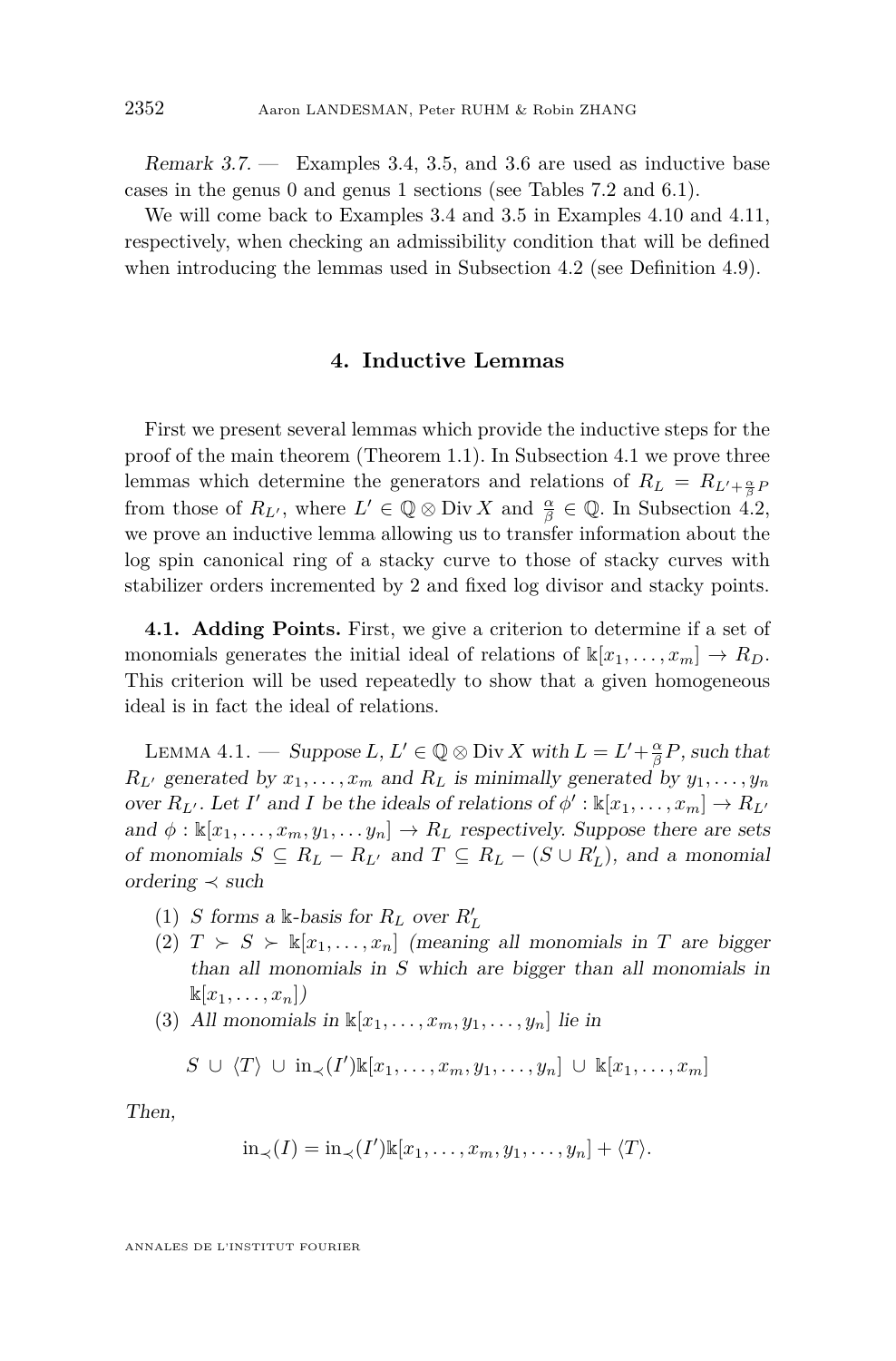Remark 3.7. — Examples [3.4,](#page-11-1) [3.5,](#page-13-0) and [3.6](#page-13-1) are used as inductive base cases in the genus 0 and genus 1 sections (see Tables [7.2](#page-38-0) and [6.1\)](#page-33-0).

We will come back to Examples [3.4](#page-11-1) and [3.5](#page-13-0) in Examples [4.10](#page-23-0) and [4.11,](#page-24-0) respectively, when checking an admissibility condition that will be defined when introducing the lemmas used in Subsection [4.2](#page-22-0) (see Definition [4.9\)](#page-22-1).

#### **4. Inductive Lemmas**

<span id="page-14-0"></span>First we present several lemmas which provide the inductive steps for the proof of the main theorem (Theorem [1.1\)](#page-3-0). In Subsection [4.1](#page-14-1) we prove three lemmas which determine the generators and relations of  $R_L = R_{L' + \frac{\alpha}{\beta}} p$ from those of  $R_{L'}$ , where  $L' \in \mathbb{Q} \otimes \text{Div } X$  and  $\frac{\alpha}{\beta} \in \mathbb{Q}$ . In Subsection [4.2,](#page-22-0) we prove an inductive lemma allowing us to transfer information about the log spin canonical ring of a stacky curve to those of stacky curves with stabilizer orders incremented by 2 and fixed log divisor and stacky points.

<span id="page-14-1"></span>**4.1. Adding Points.** First, we give a criterion to determine if a set of monomials generates the initial ideal of relations of  $\mathbb{k}[x_1, \ldots, x_m] \to R_D$ . This criterion will be used repeatedly to show that a given homogeneous ideal is in fact the ideal of relations.

<span id="page-14-5"></span>LEMMA 4.1. — Suppose  $L, L' \in \mathbb{Q} \otimes \text{Div } X$  with  $L = L' + \frac{\alpha}{\beta}P$ , such that  $R_L$ <sup>*r*</sup> generated by  $x_1, \ldots, x_m$  and  $R_L$  is minimally generated by  $y_1, \ldots, y_n$ over  $R_{L'}$ . Let *I'* and *I* be the ideals of relations of  $\phi' : \mathbb{k}[x_1, \ldots, x_m] \to R_{L'}$ and  $\phi$  :  $\mathbb{K}[x_1,\ldots,x_m,y_1,\ldots,y_n] \to R_L$  respectively. Suppose there are sets of monomials  $S \subseteq R_L - R_{L'}$  and  $T \subseteq R_L - (S \cup R'_L)$ , and a monomial ordering  $\prec$  such

- <span id="page-14-2"></span>(1) *S* forms a k-basis for  $R_L$  over  $R'_L$
- <span id="page-14-3"></span>(2)  $T > S > \mathbb{k}[x_1, \ldots, x_n]$  (meaning all monomials in *T* are bigger than all monomials in *S* which are bigger than all monomials in  $\mathbb{K}[x_1,\ldots,x_n]$
- <span id="page-14-4"></span>(3) All monomials in  $\mathbb{K}[x_1, \ldots, x_m, y_1, \ldots, y_n]$  lie in

$$
S \cup \langle T \rangle \cup \mathrm{in}_{\prec}(I') \mathbb{k}[x_1,\ldots,x_m,y_1,\ldots,y_n] \cup \mathbb{k}[x_1,\ldots,x_m]
$$

Then,

$$
\mathrm{in}_{\prec}(I) = \mathrm{in}_{\prec}(I') \mathbb{k}[x_1, \ldots, x_m, y_1, \ldots, y_n] + \langle T \rangle.
$$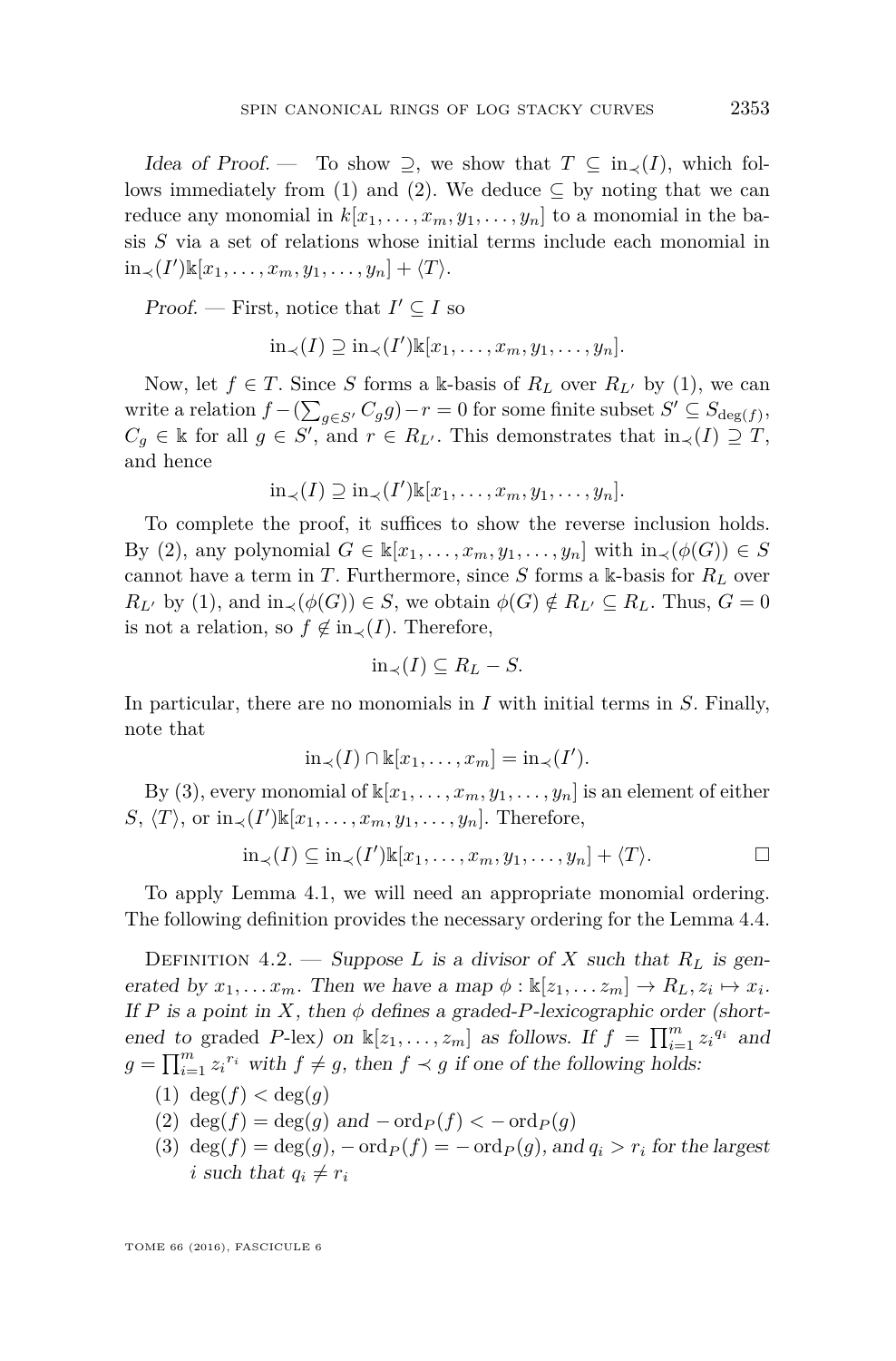Idea of Proof. — To show  $\supseteq$ , we show that  $T \subseteq in_{\prec}(I)$ , which fol-lows immediately from [\(1\)](#page-14-2) and [\(2\)](#page-14-3). We deduce  $\subseteq$  by noting that we can reduce any monomial in  $k[x_1, \ldots, x_m, y_1, \ldots, y_n]$  to a monomial in the basis *S* via a set of relations whose initial terms include each monomial in  $\text{in∠(I')\&[*x*<sub>1</sub>,..., *x*<sub>m</sub>, *y*<sub>1</sub>,..., *y*<sub>n</sub>] +  $\langle T \rangle$ .$ 

Proof. — First, notice that  $I' \subseteq I$  so

$$
\mathrm{in}_{\prec}(I) \supseteq \mathrm{in}_{\prec}(I')\Bbbk[x_1,\ldots,x_m,y_1,\ldots,y_n].
$$

Now, let  $f \in T$ . Since *S* forms a k-basis of  $R_L$  over  $R_{L'}$  by [\(1\)](#page-14-2), we can write a relation  $f - (\sum_{g \in S'} C_g g) - r = 0$  for some finite subset  $S' \subseteq S_{\deg(f)}$ ,  $C_g \in \mathbb{k}$  for all  $g \in S'$ , and  $r \in R_{L'}$ . This demonstrates that  $\text{in}_{\prec}(I) \supseteq T$ , and hence

$$
\mathrm{in}_{\prec}(I) \supseteq \mathrm{in}_{\prec}(I') \mathbb{k}[x_1,\ldots,x_m,y_1,\ldots,y_n].
$$

To complete the proof, it suffices to show the reverse inclusion holds. By [\(2\)](#page-14-3), any polynomial  $G \in \mathbb{k}[x_1, \ldots, x_m, y_1, \ldots, y_n]$  with  $\text{in}_{\prec}(\phi(G)) \in S$ cannot have a term in *T*. Furthermore, since *S* forms a k-basis for *R<sup>L</sup>* over  $R_{L'}$  by [\(1\)](#page-14-2), and  $\text{in}_{\prec}(\phi(G)) \in S$ , we obtain  $\phi(G) \notin R_{L'} \subseteq R_L$ . Thus,  $G = 0$ is not a relation, so  $f \notin in_{\prec}(I)$ . Therefore,

$$
\text{in}_{\prec}(I) \subseteq R_L - S.
$$

In particular, there are no monomials in *I* with initial terms in *S*. Finally, note that

$$
\operatorname{in}_{\prec}(I) \cap \mathbb{k}[x_1, \ldots, x_m] = \operatorname{in}_{\prec}(I').
$$

By [\(3\)](#page-14-4), every monomial of  $\mathbb{k}[x_1,\ldots,x_m,y_1,\ldots,y_n]$  is an element of either  $S, \langle T \rangle$ , or  $\text{in}_{\prec}(I') \mathbb{K}[x_1, \ldots, x_m, y_1, \ldots, y_n]$ . Therefore,

$$
\text{in}_{\prec}(I) \subseteq \text{in}_{\prec}(I') \mathbb{k}[x_1, \ldots, x_m, y_1, \ldots, y_n] + \langle T \rangle.
$$

To apply Lemma [4.1,](#page-14-5) we will need an appropriate monomial ordering. The following definition provides the necessary ordering for the Lemma [4.4.](#page-16-0)

<span id="page-15-0"></span>DEFINITION 4.2. — Suppose *L* is a divisor of *X* such that  $R_L$  is generated by  $x_1, \ldots, x_m$ . Then we have a map  $\phi : \mathbb{k}[z_1, \ldots, z_m] \to R_L, z_i \mapsto x_i$ . If *P* is a point in *X*, then  $\phi$  defines a graded-*P*-lexicographic order (shortened to graded *P*-lex) on  $\mathbb{k}[z_1, \ldots, z_m]$  as follows. If  $f = \prod_{i=1}^m z_i^{q_i}$  and  $g = \prod_{i=1}^{m} z_i^{r_i}$  with  $f \neq g$ , then  $f \prec g$  if one of the following holds:

- (1) deg(*f*) *<* deg(*g*)
- (2)  $\deg(f) = \deg(g)$  and  $-\text{ord}_P(f) < -\text{ord}_P(g)$
- (3)  $\deg(f) = \deg(g)$ ,  $-\text{ord}_P(f) = -\text{ord}_P(g)$ , and  $q_i > r_i$  for the largest *i* such that  $q_i \neq r_i$

TOME 66 (2016), FASCICULE 6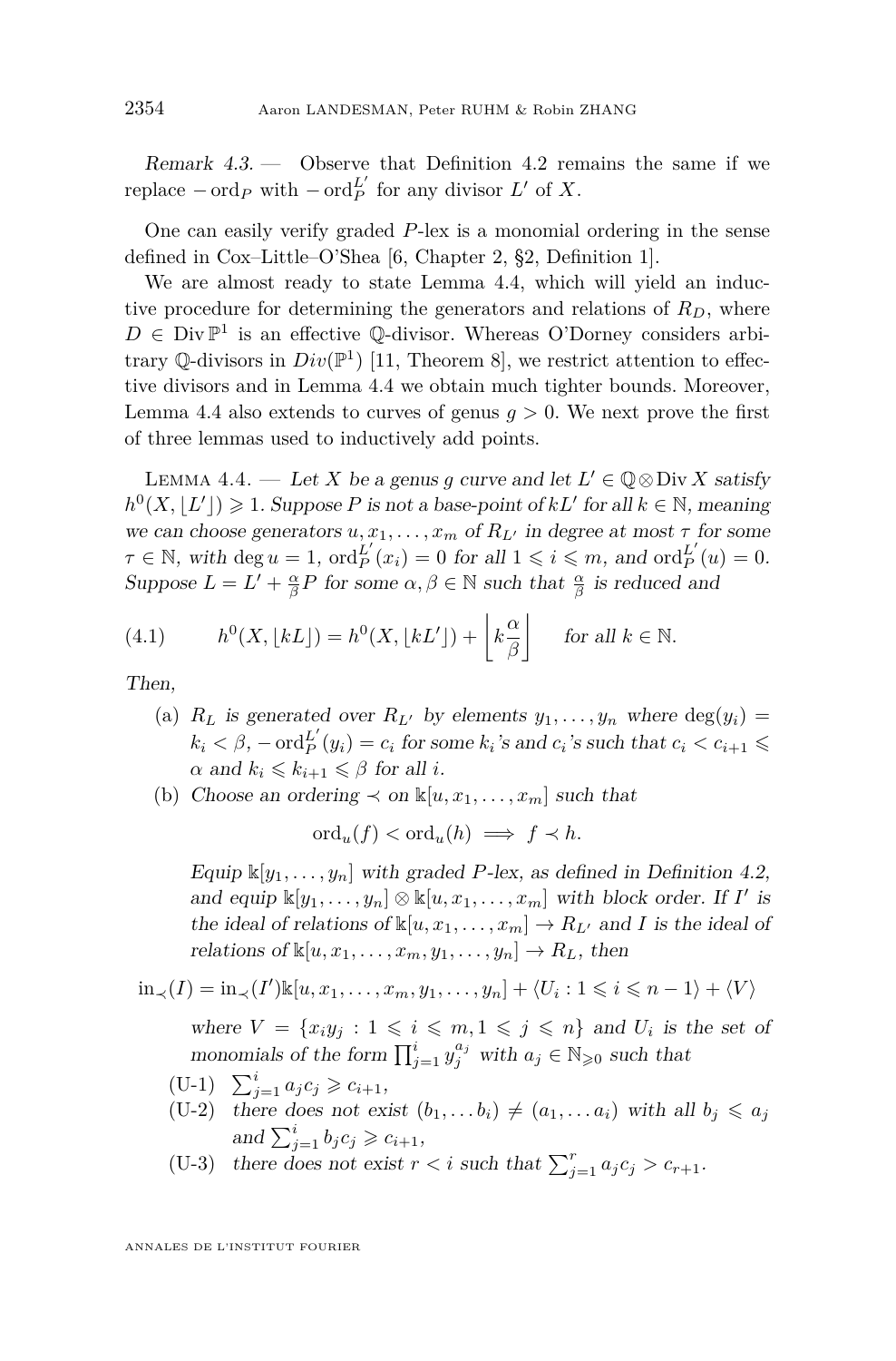Remark 4.3. — Observe that Definition [4.2](#page-15-0) remains the same if we replace  $-\operatorname{ord}_P$  with  $-\operatorname{ord}_P^{L'}$  for any divisor  $L'$  of  $X$ .

One can easily verify graded *P*-lex is a monomial ordering in the sense defined in Cox–Little–O'Shea [\[6,](#page-44-4) Chapter 2, §2, Definition 1].

We are almost ready to state Lemma [4.4,](#page-16-0) which will yield an inductive procedure for determining the generators and relations of  $R_D$ , where  $D \in Div\mathbb{P}^1$  is an effective Q-divisor. Whereas O'Dorney considers arbitrary  $\mathbb{Q}$ -divisors in  $Div(\mathbb{P}^1)$  [\[11,](#page-45-2) Theorem 8], we restrict attention to effective divisors and in Lemma [4.4](#page-16-0) we obtain much tighter bounds. Moreover, Lemma [4.4](#page-16-0) also extends to curves of genus  $q > 0$ . We next prove the first of three lemmas used to inductively add points.

<span id="page-16-0"></span>LEMMA 4.4. — Let *X* be a genus *g* curve and let  $L' \in \mathbb{Q} \otimes \text{Div } X$  satisfy  $h^0(X, \lfloor L' \rfloor) \geq 1$ . Suppose *P* is not a base-point of *kL'* for all  $k \in \mathbb{N}$ , meaning we can choose generators  $u, x_1, \ldots, x_m$  of  $R_{L'}$  in degree at most  $\tau$  for some  $\tau \in \mathbb{N}$ , with deg  $u = 1$ , ord $_{P}^{L'}(x_i) = 0$  for all  $1 \leq i \leq m$ , and ord $_{P}^{L'}(u) = 0$ . Suppose  $L = L' + \frac{\alpha}{\beta}P$  for some  $\alpha, \beta \in \mathbb{N}$  such that  $\frac{\alpha}{\beta}$  is reduced and

<span id="page-16-1"></span>(4.1) 
$$
h^{0}(X, \lfloor kL \rfloor) = h^{0}(X, \lfloor kL' \rfloor) + \lfloor k \frac{\alpha}{\beta} \rfloor \quad \text{for all } k \in \mathbb{N}.
$$

Then,

- (a)  $R_L$  is generated over  $R_{L'}$  by elements  $y_1, \ldots, y_n$  where  $\deg(y_i) =$  $k_i < \beta$ ,  $-\text{ord}_P^{L'}(y_i) = c_i$  for some  $k_i$ 's and  $c_i$ 's such that  $c_i < c_{i+1} \leq$  $\alpha$  and  $k_i \leq k_{i+1} \leq \beta$  for all *i*.
- (b) Choose an ordering  $\prec$  on  $\mathbb{k}[u, x_1, \ldots, x_m]$  such that

$$
\mathrm{ord}_u(f) < \mathrm{ord}_u(h) \implies f \prec h.
$$

Equip  $\mathbb{K}[y_1, \ldots, y_n]$  with graded *P*-lex, as defined in Definition [4.2,](#page-15-0) and equip  $\mathbb{K}[y_1, \ldots, y_n] \otimes \mathbb{K}[u, x_1, \ldots, x_m]$  with block order. If *I'* is the ideal of relations of  $\mathbb{k}[u, x_1, \dots, x_m] \to R_{L'}$  and *I* is the ideal of relations of  $\mathbb{K}[u, x_1, \ldots, x_m, y_1, \ldots, y_n] \to R_L$ , then

$$
\text{in}_{\prec}(I) = \text{in}_{\prec}(I') \mathbb{k}[u, x_1, \dots, x_m, y_1, \dots, y_n] + \langle U_i : 1 \leq i \leq n-1 \rangle + \langle V \rangle
$$

where  $V = \{x_i y_j : 1 \leq i \leq m, 1 \leq j \leq n\}$  and  $U_i$  is the set of monomials of the form  $\prod_{j=1}^{i} y_j^{a_j}$  with  $a_j \in \mathbb{N}_{\geqslant 0}$  such that

- $(U-1)$   $\sum_{j=1}^{i} a_j c_j \geq c_{i+1},$
- <span id="page-16-3"></span><span id="page-16-2"></span> $(U-2)$  there does not exist  $(b_1, \ldots, b_i) \neq (a_1, \ldots, a_i)$  with all  $b_i \leq a_j$ and  $\sum_{j=1}^{i} b_j c_j \geq c_{i+1}$ ,
- <span id="page-16-4"></span>(U-3) there does not exist  $r < i$  such that  $\sum_{j=1}^{r} a_j c_j > c_{r+1}$ .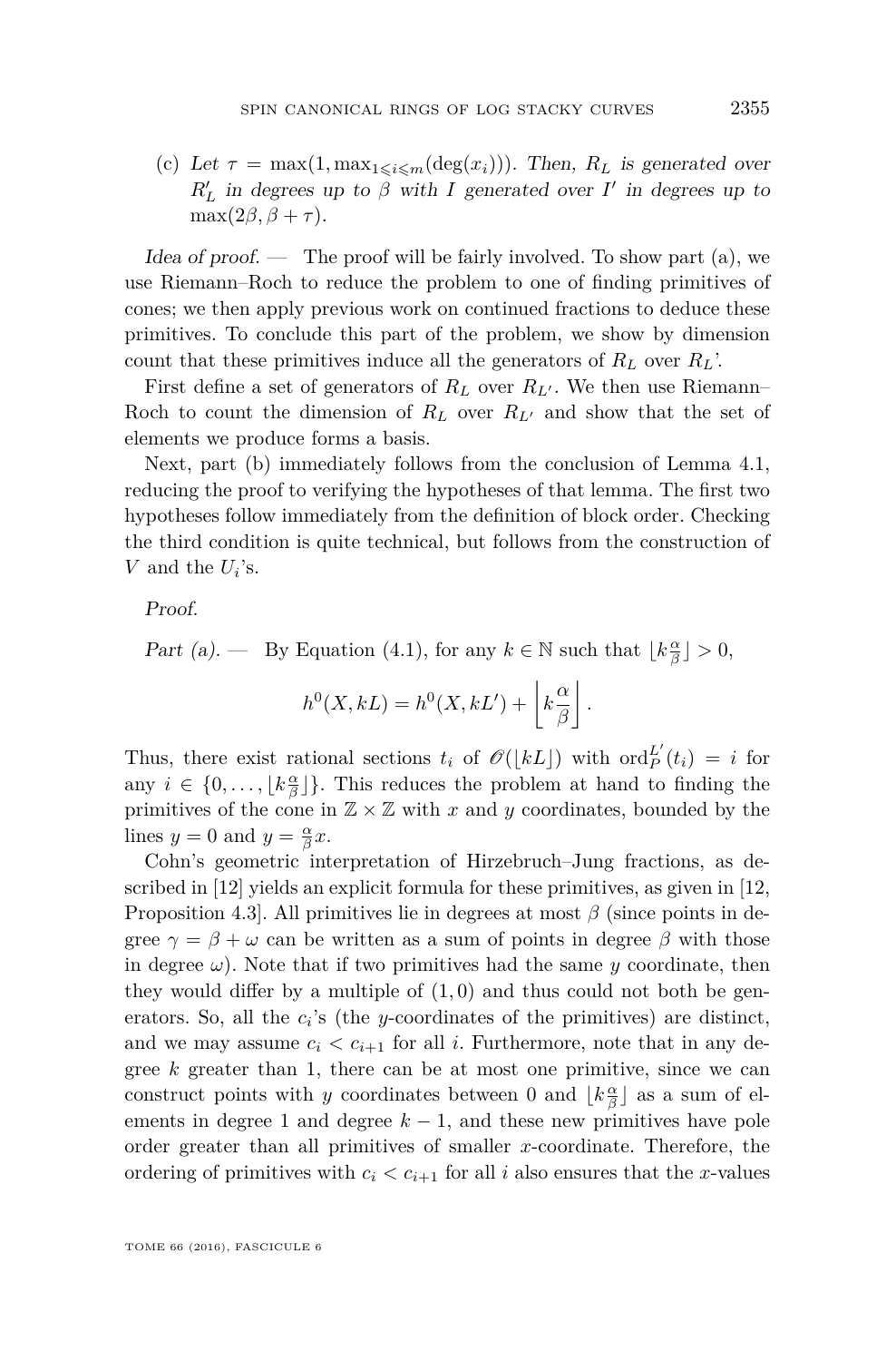(c) Let  $\tau = \max(1, \max_{1 \leq i \leq m}(\deg(x_i)))$ . Then,  $R_L$  is generated over  $R'_L$  in degrees up to *β* with *I* generated over *I*' in degrees up to  $\max(2\beta, \beta + \tau).$ 

Idea of proof. — The proof will be fairly involved. To show part  $(a)$ , we use Riemann–Roch to reduce the problem to one of finding primitives of cones; we then apply previous work on continued fractions to deduce these primitives. To conclude this part of the problem, we show by dimension count that these primitives induce all the generators of  $R_L$  over  $R_L$ .

First define a set of generators of  $R_L$  over  $R_{L}$ . We then use Riemann– Roch to count the dimension of  $R_L$  over  $R_{L'}$  and show that the set of elements we produce forms a basis.

Next, part (b) immediately follows from the conclusion of Lemma [4.1,](#page-14-5) reducing the proof to verifying the hypotheses of that lemma. The first two hypotheses follow immediately from the definition of block order. Checking the third condition is quite technical, but follows from the construction of *V* and the  $U_i$ 's.

Proof.

Part (a). — By Equation [\(4.1\)](#page-16-1), for any  $k \in \mathbb{N}$  such that  $\lfloor k \frac{\alpha}{\beta} \rfloor > 0$ ,

$$
h^{0}(X,kL) = h^{0}(X,kL') + \left\lfloor k \frac{\alpha}{\beta} \right\rfloor.
$$

Thus, there exist rational sections  $t_i$  of  $\mathcal{O}(|kL|)$  with  $\text{ord}_P^{L'}(t_i) = i$  for any  $i \in \{0, \ldots, \lfloor k \frac{\alpha}{\beta} \rfloor\}$ . This reduces the problem at hand to finding the primitives of the cone in  $\mathbb{Z} \times \mathbb{Z}$  with x and y coordinates, bounded by the lines  $y = 0$  and  $y = \frac{\alpha}{\beta}x$ .

Cohn's geometric interpretation of Hirzebruch–Jung fractions, as described in [\[12\]](#page-45-7) yields an explicit formula for these primitives, as given in [\[12,](#page-45-7) Proposition 4.3]. All primitives lie in degrees at most  $\beta$  (since points in degree  $\gamma = \beta + \omega$  can be written as a sum of points in degree  $\beta$  with those in degree  $\omega$ ). Note that if two primitives had the same *y* coordinate, then they would differ by a multiple of  $(1,0)$  and thus could not both be generators. So, all the  $c_i$ 's (the *y*-coordinates of the primitives) are distinct, and we may assume  $c_i < c_{i+1}$  for all *i*. Furthermore, note that in any degree *k* greater than 1, there can be at most one primitive, since we can construct points with *y* coordinates between 0 and  $\lfloor k \frac{\alpha}{\beta} \rfloor$  as a sum of elements in degree 1 and degree  $k - 1$ , and these new primitives have pole order greater than all primitives of smaller *x*-coordinate. Therefore, the ordering of primitives with  $c_i < c_{i+1}$  for all *i* also ensures that the *x*-values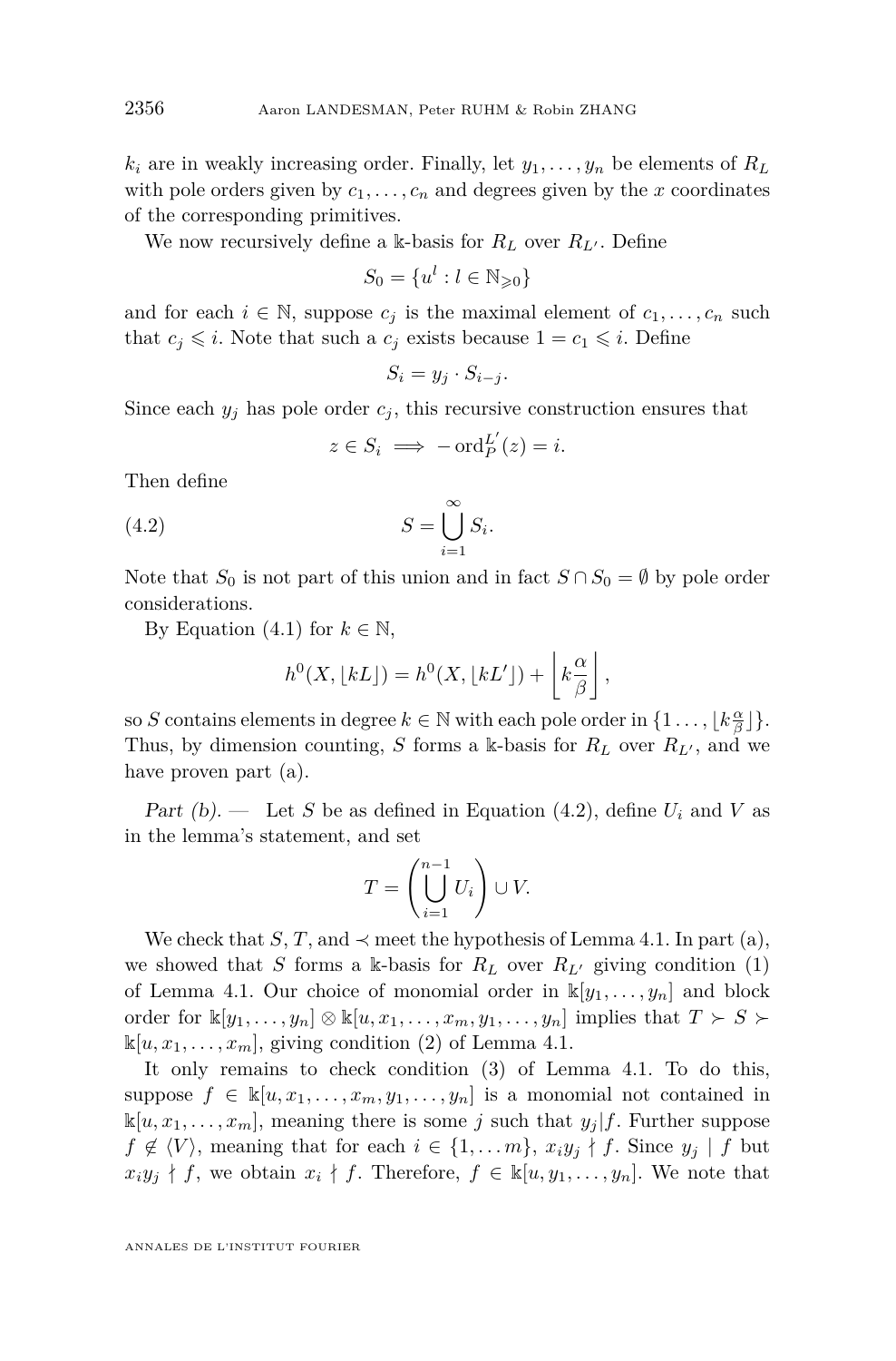$k_i$  are in weakly increasing order. Finally, let  $y_1, \ldots, y_n$  be elements of  $R_L$ with pole orders given by  $c_1, \ldots, c_n$  and degrees given by the *x* coordinates of the corresponding primitives.

We now recursively define a k-basis for  $R_L$  over  $R_{L'}$ . Define

$$
S_0 = \{u^l : l \in \mathbb{N}_{\geqslant 0}\}
$$

and for each  $i \in \mathbb{N}$ , suppose  $c_j$  is the maximal element of  $c_1, \ldots, c_n$  such that  $c_i \leq i$ . Note that such a  $c_j$  exists because  $1 = c_1 \leq i$ . Define

$$
S_i = y_j \cdot S_{i-j}.
$$

Since each  $y_j$  has pole order  $c_j$ , this recursive construction ensures that

<span id="page-18-0"></span>
$$
z \in S_i \implies -\operatorname{ord}_P^{L'}(z) = i.
$$

Then define

(4.2) 
$$
S = \bigcup_{i=1}^{\infty} S_i.
$$

Note that  $S_0$  is not part of this union and in fact  $S \cap S_0 = \emptyset$  by pole order considerations.

By Equation [\(4.1\)](#page-16-1) for  $k \in \mathbb{N}$ ,

$$
h^{0}(X, \lfloor kL \rfloor) = h^{0}(X, \lfloor kL' \rfloor) + \left\lfloor k \frac{\alpha}{\beta} \right\rfloor,
$$

so *S* contains elements in degree  $k \in \mathbb{N}$  with each pole order in  $\{1 \ldots, \lfloor k \frac{\alpha}{\beta} \rfloor\}.$ Thus, by dimension counting, *S* forms a k-basis for  $R_L$  over  $R_{L'}$ , and we have proven part (a).

Part  $(b)$ . — Let *S* be as defined in Equation [\(4.2\)](#page-18-0), define  $U_i$  and *V* as in the lemma's statement, and set

$$
T = \left(\bigcup_{i=1}^{n-1} U_i\right) \cup V.
$$

We check that *S*, *T*, and  $\prec$  meet the hypothesis of Lemma [4.1.](#page-14-5) In part (a), we showed that *S* forms a k-basis for  $R_L$  over  $R_{L'}$  giving condition [\(1\)](#page-14-2) of Lemma [4.1.](#page-14-5) Our choice of monomial order in  $\mathbb{K}[y_1, \ldots, y_n]$  and block order for  $\mathbb{k}[y_1,\ldots,y_n] \otimes \mathbb{k}[u,x_1,\ldots,x_m,y_1,\ldots,y_n]$  implies that  $T \succ S \succ$  $\mathbb{k}[u, x_1, \ldots, x_m]$ , giving condition [\(2\)](#page-14-3) of Lemma [4.1.](#page-14-5)

It only remains to check condition [\(3\)](#page-14-4) of Lemma [4.1.](#page-14-5) To do this, suppose  $f \in \mathbb{k}[u, x_1, \ldots, x_m, y_1, \ldots, y_n]$  is a monomial not contained in  $\mathbb{K}[u, x_1, \ldots, x_m]$ , meaning there is some *j* such that  $y_j | f$ . Further suppose  $f \notin \langle V \rangle$ , meaning that for each  $i \in \{1, \ldots m\}$ ,  $x_i y_j \nmid f$ . Since  $y_j \mid f$  but  $x_i y_j \nmid f$ , we obtain  $x_i \nmid f$ . Therefore,  $f \in \mathbb{K}[u, y_1, \ldots, y_n]$ . We note that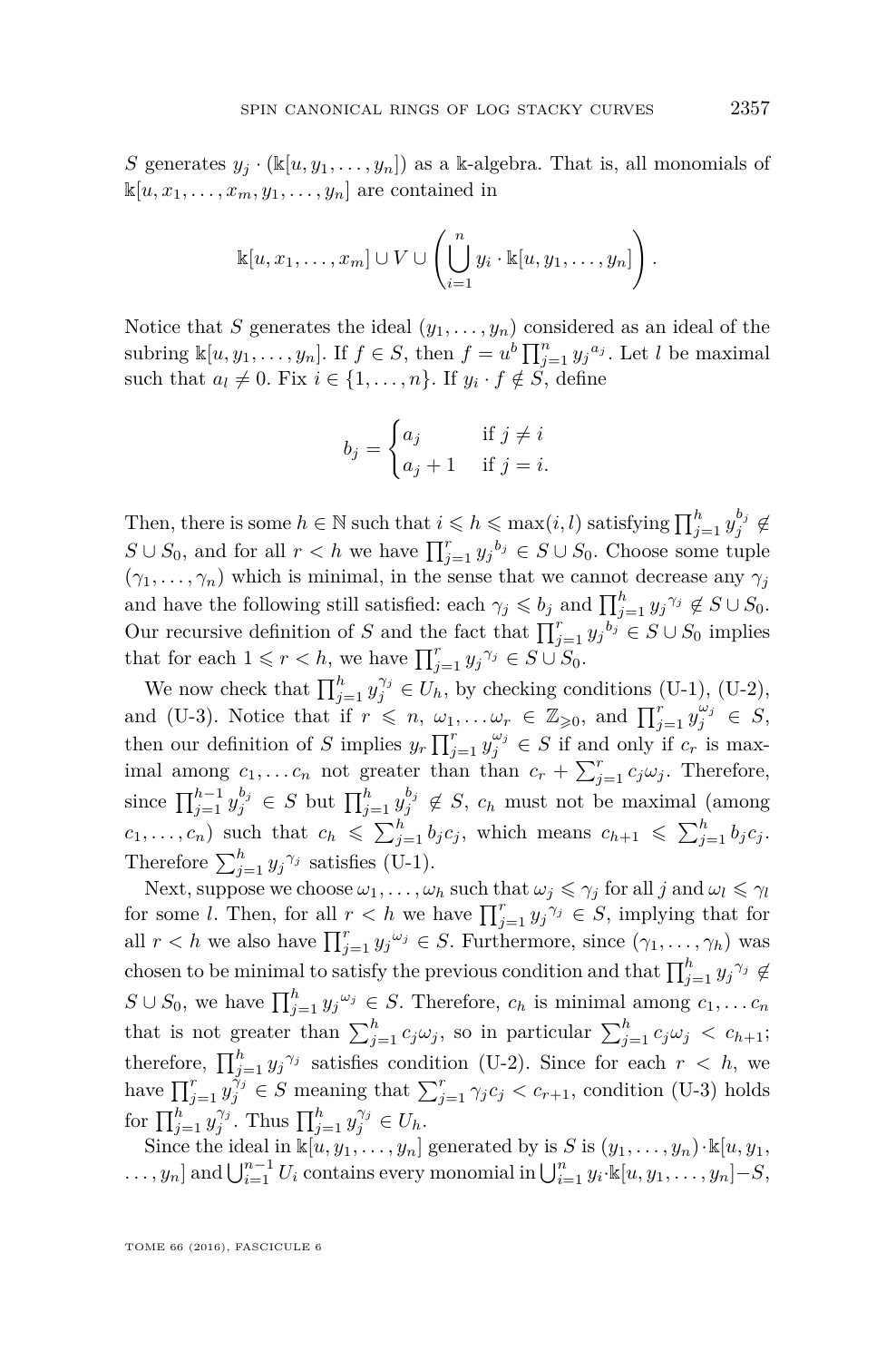*S* generates  $y_j \cdot (\mathbb{K}[u, y_1, \dots, y_n])$  as a k-algebra. That is, all monomials of  $\mathbb{K}[u, x_1, \ldots, x_m, y_1, \ldots, y_n]$  are contained in

$$
\mathbb{k}[u,x_1,\ldots,x_m]\cup V\cup\left(\bigcup_{i=1}^n y_i\cdot\mathbb{k}[u,y_1,\ldots,y_n]\right).
$$

Notice that *S* generates the ideal  $(y_1, \ldots, y_n)$  considered as an ideal of the subring  $\mathbb{K}[u, y_1, \dots, y_n]$ . If  $f \in S$ , then  $f = u^b \prod_{j=1}^n y_j^{a_j}$ . Let *l* be maximal such that  $a_l \neq 0$ . Fix  $i \in \{1, \ldots, n\}$ . If  $y_i \cdot f \notin S$ , define

$$
b_j = \begin{cases} a_j & \text{if } j \neq i \\ a_j + 1 & \text{if } j = i. \end{cases}
$$

Then, there is some  $h \in \mathbb{N}$  such that  $i \leqslant h \leqslant \max(i, l)$  satisfying  $\prod_{j=1}^{h} y_j^{b_j} \notin$ *S*∪ *S*<sub>0</sub>, and for all *r* < *h* we have  $\prod_{j=1}^{r} y_j^{b_j}$  ∈ *S* ∪ *S*<sub>0</sub>. Choose some tuple  $(\gamma_1, \ldots, \gamma_n)$  which is minimal, in the sense that we cannot decrease any  $\gamma_j$ and have the following still satisfied: each  $\gamma_j \leqslant b_j$  and  $\prod_{j=1}^h y_j^{\gamma_j} \notin S \cup S_0$ . Our recursive definition of *S* and the fact that  $\prod_{j=1}^{r} y_j^{b_j} \in S \cup S_0$  implies that for each  $1 \leq r < h$ , we have  $\prod_{j=1}^{r} y_j^{\gamma_j} \in S \cup S_0$ .

We now check that  $\prod_{j=1}^{h} y_j^{\gamma_j} \in U_h$ , by checking conditions [\(U-1\),](#page-16-2) [\(U-2\),](#page-16-3) and [\(U-3\).](#page-16-4) Notice that if  $r \leq n, \omega_1, \ldots, \omega_r \in \mathbb{Z}_{\geqslant 0}$ , and  $\prod_{j=1}^r y_j^{\omega_j} \in S$ , then our definition of *S* implies  $y_r \prod_{j=1}^r y_j^{\omega_j} \in S$  if and only if  $c_r$  is maximal among  $c_1, \ldots c_n$  not greater than than  $c_r + \sum_{j=1}^r c_j \omega_j$ . Therefore, since  $\prod_{j=1}^{h-1} y_j^{b_j} \in S$  but  $\prod_{j=1}^{h} y_j^{b_j} \notin S$ ,  $c_h$  must not be maximal (among  $c_1, \ldots, c_n$  such that  $c_h \leq \sum_{j=1}^h b_j c_j$ , which means  $c_{h+1} \leq \sum_{j=1}^h b_j c_j$ . Therefore  $\sum_{j=1}^{h} y_j^{\gamma_j}$  satisfies [\(U-1\).](#page-16-2)

Next, suppose we choose  $\omega_1, \ldots, \omega_h$  such that  $\omega_j \leq \gamma_j$  for all *j* and  $\omega_l \leq \gamma_l$ for some *l*. Then, for all  $r < h$  we have  $\prod_{j=1}^r y_j^{\gamma_j} \in S$ , implying that for all  $r < h$  we also have  $\prod_{j=1}^r y_j^{\omega_j} \in S$ . Furthermore, since  $(\gamma_1, \ldots, \gamma_h)$  was chosen to be minimal to satisfy the previous condition and that  $\prod_{j=1}^{h} y_j^{\gamma_j} \notin$ *S* ∪ *S*<sub>0</sub>, we have  $\prod_{j=1}^{h} y_j^{\omega_j} \in S$ . Therefore,  $c_h$  is minimal among  $c_1, \ldots c_n$ that is not greater than  $\sum_{j=1}^{h} c_j \omega_j$ , so in particular  $\sum_{j=1}^{h} c_j \omega_j < c_{h+1}$ ; therefore,  $\prod_{j=1}^{h} y_j^{\gamma_j}$  satisfies condition [\(U-2\).](#page-16-3) Since for each  $r < h$ , we have  $\prod_{j=1}^r y_j^{\gamma_j} \in S$  meaning that  $\sum_{j=1}^r \gamma_j c_j < c_{r+1}$ , condition [\(U-3\)](#page-16-4) holds for  $\prod_{j=1}^{h} y_j^{\gamma_j}$ . Thus  $\prod_{j=1}^{h} y_j^{\gamma_j} \in U_h$ .

Since the ideal in  $\mathbb{K}[u, y_1, \dots, y_n]$  generated by is *S* is  $(y_1, \dots, y_n) \cdot \mathbb{K}[u, y_1, \dots, y_n]$  $\dots$ ,  $y_n$  and  $\bigcup_{i=1}^{n-1} U_i$  contains every monomial in  $\bigcup_{i=1}^{n} y_i \mathbb{k}[u, y_1, \dots, y_n] - S$ ,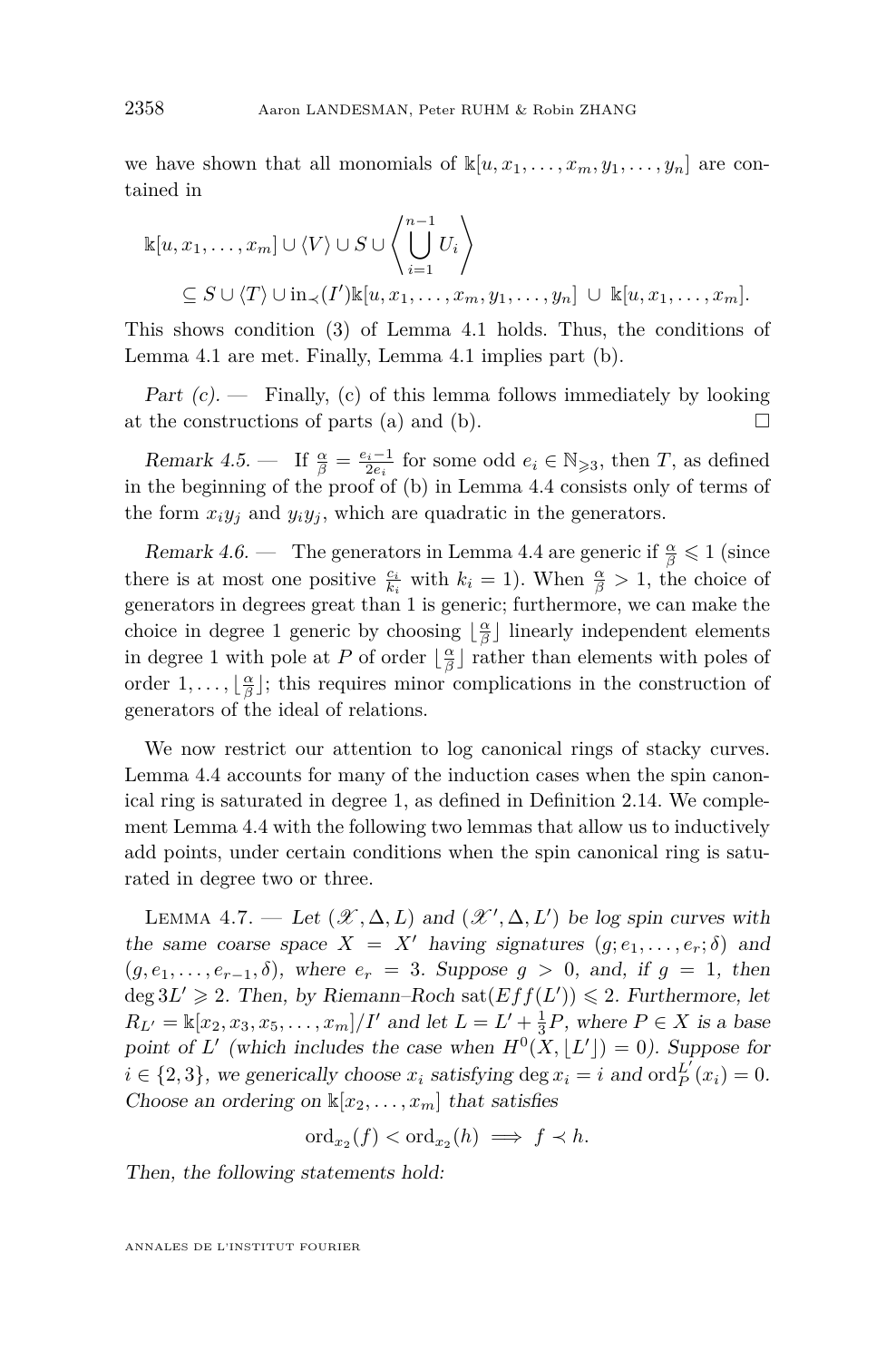we have shown that all monomials of  $\mathbb{K}[u, x_1, \ldots, x_m, y_1, \ldots, y_n]$  are contained in

$$
\mathbb{k}[u, x_1, \dots, x_m] \cup \langle V \rangle \cup S \cup \left\langle \bigcup_{i=1}^{n-1} U_i \right\rangle
$$
  
\n
$$
\subseteq S \cup \langle T \rangle \cup \text{in}_{\prec} (I') \mathbb{k}[u, x_1, \dots, x_m, y_1, \dots, y_n] \cup \mathbb{k}[u, x_1, \dots, x_m].
$$

This shows condition (3) of Lemma [4.1](#page-14-5) holds. Thus, the conditions of Lemma [4.1](#page-14-5) are met. Finally, Lemma [4.1](#page-14-5) implies part (b).

Part  $(c)$ . – Finally,  $(c)$  of this lemma follows immediately by looking at the constructions of parts (a) and (b).  $\Box$ 

Remark 4.5. — If  $\frac{\alpha}{\beta} = \frac{e_i - 1}{2e_i}$  for some odd  $e_i \in \mathbb{N}_{\geqslant 3}$ , then *T*, as defined in the beginning of the proof of (b) in Lemma [4.4](#page-16-0) consists only of terms of the form  $x_i y_j$  and  $y_i y_j$ , which are quadratic in the generators.

Remark 4.6. — The generators in Lemma [4.4](#page-16-0) are generic if  $\frac{\alpha}{\beta} \leq 1$  (since there is at most one positive  $\frac{c_i}{k_i}$  with  $k_i = 1$ ). When  $\frac{\alpha}{\beta} > 1$ , the choice of generators in degrees great than 1 is generic; furthermore, we can make the choice in degree 1 generic by choosing  $\lfloor \frac{\alpha}{\beta} \rfloor$  linearly independent elements in degree 1 with pole at *P* of order  $\lfloor \frac{\alpha}{\beta} \rfloor$  rather than elements with poles of order  $1, \ldots, \lfloor \frac{\alpha}{\beta} \rfloor$ ; this requires minor complications in the construction of generators of the ideal of relations.

We now restrict our attention to log canonical rings of stacky curves. Lemma [4.4](#page-16-0) accounts for many of the induction cases when the spin canonical ring is saturated in degree 1, as defined in Definition [2.14.](#page-8-1) We complement Lemma [4.4](#page-16-0) with the following two lemmas that allow us to inductively add points, under certain conditions when the spin canonical ring is saturated in degree two or three.

<span id="page-20-0"></span>LEMMA 4.7. — Let  $(\mathcal{X}, \Delta, L)$  and  $(\mathcal{X}', \Delta, L')$  be log spin curves with the same coarse space  $X = X'$  having signatures  $(g; e_1, \ldots, e_r; \delta)$  and  $(g, e_1, \ldots, e_{r-1}, \delta)$ , where  $e_r = 3$ . Suppose  $g > 0$ , and, if  $g = 1$ , then  $\deg 3L' \geq 2$ . Then, by Riemann–Roch  $\mathrm{sat}(Eff(L')) \leq 2$ . Furthermore, let  $R_{L'} = \mathbb{k}[x_2, x_3, x_5, \dots, x_m]/I'$  and let  $L = L' + \frac{1}{3}P$ , where  $P \in X$  is a base point of *L'* (which includes the case when  $H^0(X, |L'|) = 0$ ). Suppose for  $i \in \{2, 3\}$ , we generically choose  $x_i$  satisfying deg  $x_i = i$  and  $\text{ord}_P^{L'}(x_i) = 0$ . Choose an ordering on  $\mathbb{K}[x_2, \ldots, x_m]$  that satisfies

 $\mathrm{ord}_{x_2}(f) < \mathrm{ord}_{x_2}(h) \implies f \prec h.$ 

Then, the following statements hold: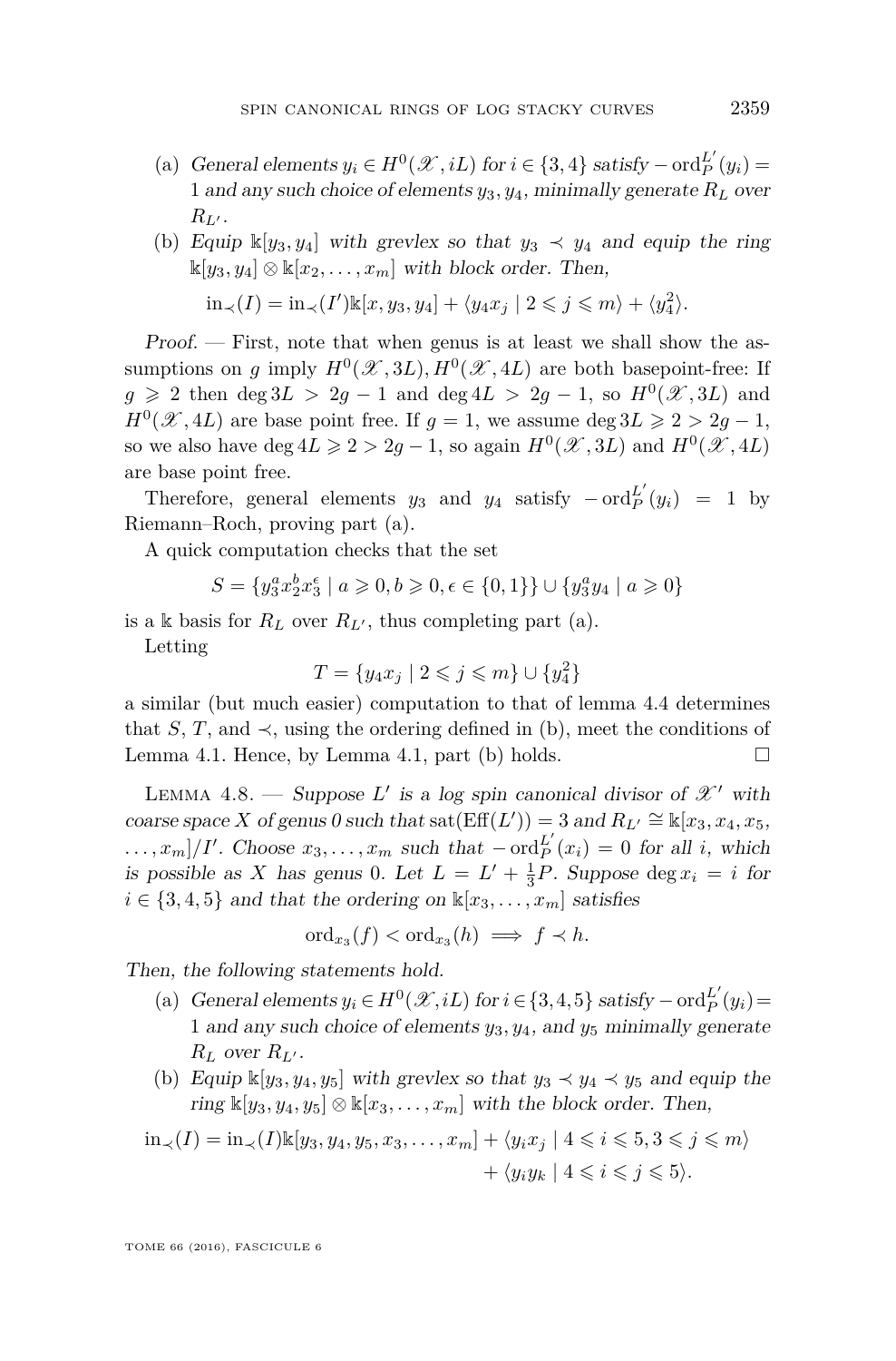- (a) General elements  $y_i \in H^0(\mathcal{X}, iL)$  for  $i \in \{3, 4\}$  satisfy  $-\text{ord}_P^{L'}(y_i) =$ 1 and any such choice of elements  $y_3, y_4$ , minimally generate  $R_L$  over  $R_{L}$ .
- (b) Equip  $\mathbb{K}[y_3, y_4]$  with grevlex so that  $y_3 \prec y_4$  and equip the ring  $\mathbb{K}[y_3, y_4] \otimes \mathbb{K}[x_2, \ldots, x_m]$  with block order. Then,  $\sin \left( \frac{I}{I} \right) = \sin \left( \frac{I'}{\kappa} \right)$  k[*x, y*<sub>3</sub>*, y*<sub>4</sub>] +  $\langle y_4 x_j | 2 \leq j \leq m \rangle + \langle y_4^2 \rangle$ .

Proof. — First, note that when genus is at least we shall show the assumptions on *g* imply  $H^0(\mathcal{X}, 3L)$ ,  $H^0(\mathcal{X}, 4L)$  are both basepoint-free: If  $g \ge 2$  then  $\deg 3L > 2g - 1$  and  $\deg 4L > 2g - 1$ , so  $H^0(\mathcal{X}, 3L)$  and  $H^0(\mathcal{X}, 4L)$  are base point free. If  $g = 1$ , we assume deg  $3L \geq 2 > 2g - 1$ , so we also have  $\deg 4L \geqslant 2 > 2g - 1$ , so again  $H^0(\mathcal{X}, 3L)$  and  $H^0(\mathcal{X}, 4L)$ are base point free.

Therefore, general elements  $y_3$  and  $y_4$  satisfy  $-\operatorname{ord}_P^{L'}(y_i) = 1$  by Riemann–Roch, proving part (a).

A quick computation checks that the set

$$
S=\{y_3^ax_2^bx_3^{\epsilon}\mid a\geqslant 0, b\geqslant 0, \epsilon\in\{0,1\}\}\cup\{y_3^ay_4\mid a\geqslant 0\}
$$

is a k basis for  $R_L$  over  $R_{L}$ , thus completing part (a).

Letting

$$
T=\{y_4x_j\mid 2\leqslant j\leqslant m\}\cup\{y_4^2\}
$$

a similar (but much easier) computation to that of lemma [4](#page-16-0)*.*4 determines that *S*, *T*, and  $\prec$ , using the ordering defined in (b), meet the conditions of Lemma [4.1.](#page-14-5) Hence, by Lemma [4.1,](#page-14-5) part (b) holds.  $\square$ 

<span id="page-21-0"></span>LEMMA 4.8. — Suppose  $L'$  is a log spin canonical divisor of  $\mathscr{X}'$  with coarse space *X* of genus 0 such that  $\text{sat}(\text{Eff}(L')) = 3$  and  $R_{L'} \cong \mathbb{k}[x_3, x_4, x_5,$  $\dots, x_m]/I'$ . Choose  $x_3, \dots, x_m$  such that  $-\text{ord}_P^{L'}(x_i) = 0$  for all *i*, which is possible as *X* has genus 0. Let  $L = L' + \frac{1}{3}P$ . Suppose deg  $x_i = i$  for  $i \in \{3, 4, 5\}$  and that the ordering on  $\mathbb{K}[x_3, \ldots, x_m]$  satisfies

$$
\mathrm{ord}_{x_3}(f) < \mathrm{ord}_{x_3}(h) \implies f \prec h.
$$

Then, the following statements hold.

- (a) General elements  $y_i \in H^0(\mathcal{X}, iL)$  for  $i \in \{3, 4, 5\}$  satisfy  $-\text{ord}_P^{L'}(y_i) =$ 1 and any such choice of elements *y*3*, y*4, and *y*<sup>5</sup> minimally generate  $R_L$  over  $R_{L}$ .
- (b) Equip  $\mathbb{K}[y_3, y_4, y_5]$  with grevlex so that  $y_3 \prec y_4 \prec y_5$  and equip the ring  $\mathbb{K}[y_3, y_4, y_5] \otimes \mathbb{K}[x_3, \ldots, x_m]$  with the block order. Then,

$$
\text{in}_{\prec}(I) = \text{in}_{\prec}(I) \mathbb{k}[y_3, y_4, y_5, x_3, \dots, x_m] + \langle y_i x_j \mid 4 \leq i \leq 5, 3 \leq j \leq m \rangle
$$

$$
+ \langle y_i y_k \mid 4 \leq i \leq j \leq 5 \rangle.
$$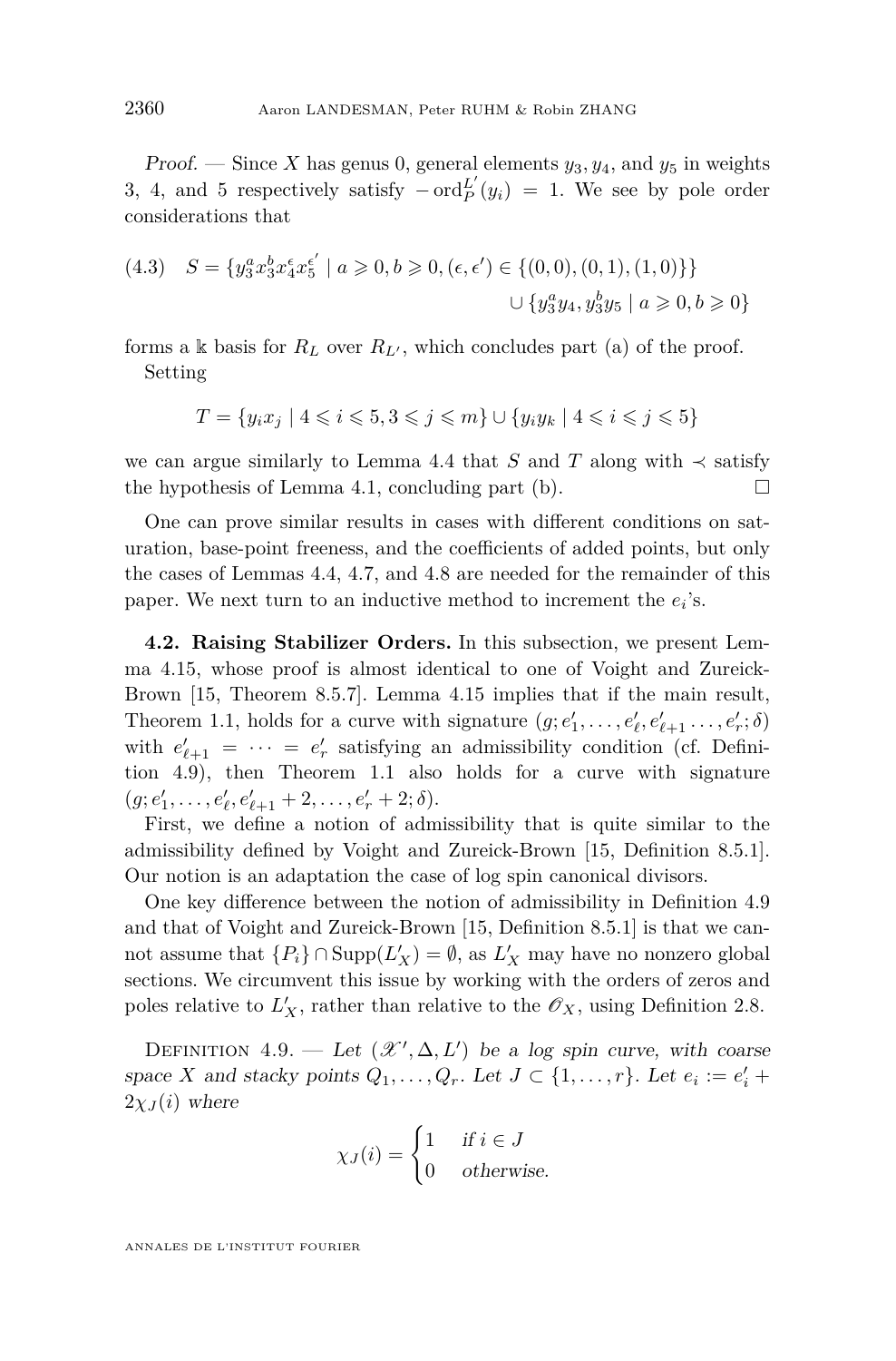Proof. — Since X has genus 0, general elements  $y_3, y_4$ , and  $y_5$  in weights 3, 4, and 5 respectively satisfy  $-\operatorname{ord}_{P}^{L'}(y_i) = 1$ . We see by pole order considerations that

(4.3) 
$$
S = \{y_3^a x_3^b x_4^c x_5^{e'} \mid a \ge 0, b \ge 0, (\epsilon, \epsilon') \in \{(0, 0), (0, 1), (1, 0)\}\}\
$$

$$
\cup \{y_3^a y_4, y_3^b y_5 \mid a \ge 0, b \ge 0\}
$$

forms a k basis for  $R_L$  over  $R_{L}$ , which concludes part (a) of the proof. Setting

$$
T = \{ y_i x_j \mid 4 \leqslant i \leqslant 5, 3 \leqslant j \leqslant m \} \cup \{ y_i y_k \mid 4 \leqslant i \leqslant j \leqslant 5 \}
$$

we can argue similarly to Lemma [4.4](#page-16-0) that *S* and *T* along with  $\prec$  satisfy the hypothesis of Lemma [4.1,](#page-14-5) concluding part (b).  $\Box$ 

One can prove similar results in cases with different conditions on saturation, base-point freeness, and the coefficients of added points, but only the cases of Lemmas [4.4,](#page-16-0) [4.7,](#page-20-0) and [4.8](#page-21-0) are needed for the remainder of this paper. We next turn to an inductive method to increment the  $e_i$ 's.

<span id="page-22-0"></span>**4.2. Raising Stabilizer Orders.** In this subsection, we present Lemma [4.15,](#page-25-0) whose proof is almost identical to one of Voight and Zureick-Brown [\[15,](#page-45-0) Theorem 8.5.7]. Lemma [4.15](#page-25-0) implies that if the main result, Theorem [1.1,](#page-3-0) holds for a curve with signature  $(g; e'_1, \ldots, e'_\ell, e'_{\ell+1}, \ldots, e'_r; \delta)$ with  $e'_{\ell+1} = \cdots = e'_{r}$  satisfying an admissibility condition (cf. Definition [4.9\)](#page-22-1), then Theorem [1.1](#page-3-0) also holds for a curve with signature  $(g; e'_1, \ldots, e'_{\ell}, e'_{\ell+1} + 2, \ldots, e'_r + 2; \delta).$ 

First, we define a notion of admissibility that is quite similar to the admissibility defined by Voight and Zureick-Brown [\[15,](#page-45-0) Definition 8.5.1]. Our notion is an adaptation the case of log spin canonical divisors.

One key difference between the notion of admissibility in Definition [4.9](#page-22-1) and that of Voight and Zureick-Brown [\[15,](#page-45-0) Definition 8.5.1] is that we cannot assume that  ${P_i} \cap \text{Supp}(L'_X) = \emptyset$ , as  $L'_X$  may have no nonzero global sections. We circumvent this issue by working with the orders of zeros and poles relative to  $L'_X$ , rather than relative to the  $\mathscr{O}_X$ , using Definition [2.8.](#page-8-2)

<span id="page-22-1"></span>DEFINITION 4.9. — Let  $(\mathcal{X}', \Delta, L')$  be a log spin curve, with coarse space *X* and stacky points  $Q_1, \ldots, Q_r$ . Let  $J \subset \{1, \ldots, r\}$ . Let  $e_i := e'_i +$  $2\chi_J(i)$  where

$$
\chi_J(i) = \begin{cases} 1 & \text{if } i \in J \\ 0 & \text{otherwise.} \end{cases}
$$

ANNALES DE L'INSTITUT FOURIER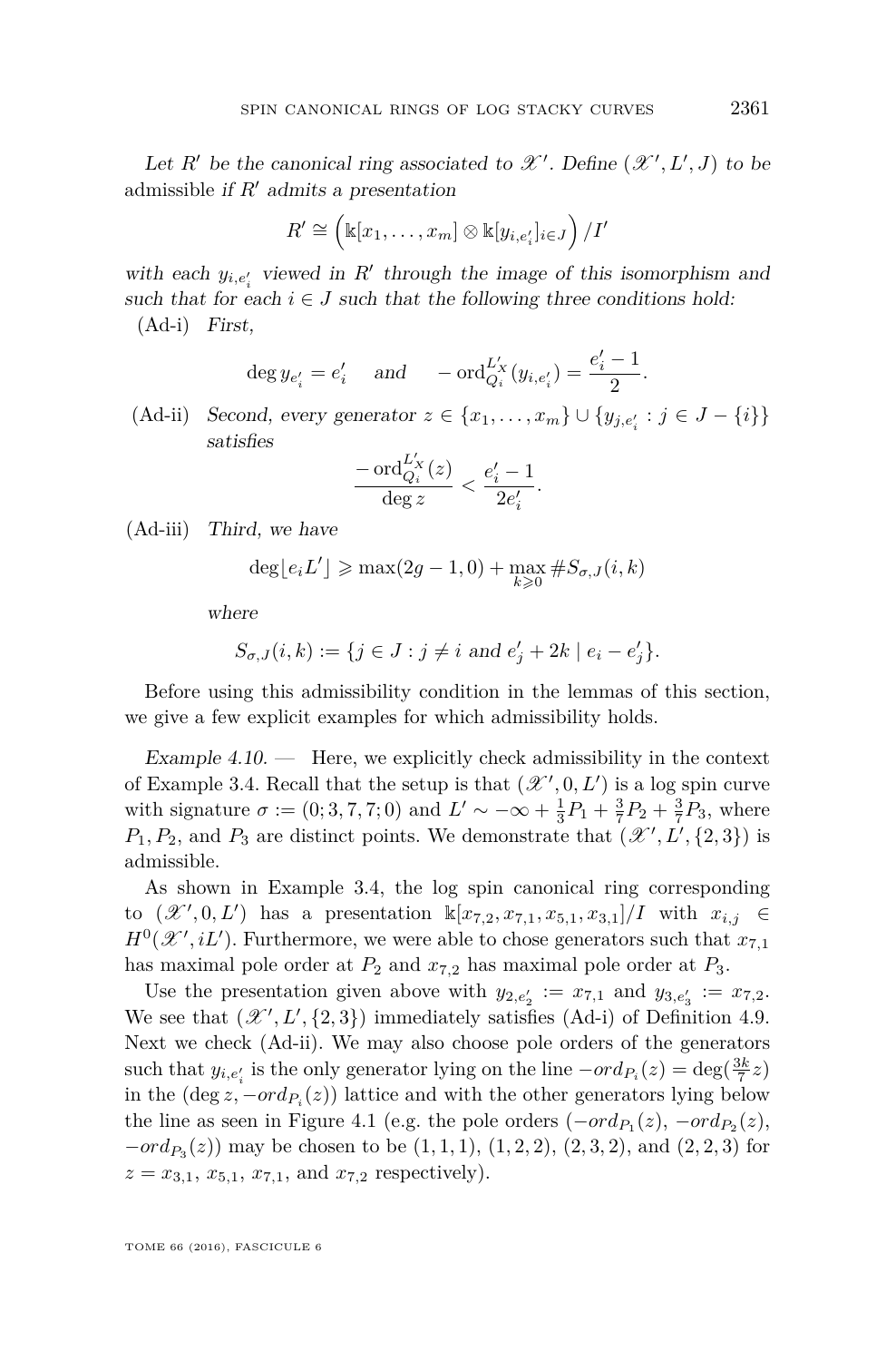Let *R'* be the canonical ring associated to  $\mathscr{X}'$ . Define  $(\mathscr{X}', L', J)$  to be admissible if  $R'$  admits a presentation

$$
R' \cong \left(\mathbb{k}[x_1,\ldots,x_m]\otimes\mathbb{k}[y_{i,e'_i}]_{i\in J}\right)/I'
$$

<span id="page-23-1"></span>with each  $y_{i,e'_i}$  viewed in  $R'$  through the image of this isomorphism and such that for each  $i \in J$  such that the following three conditions hold: (Ad-i) First,

$$
deg y_{e'_i} = e'_i
$$
 and  $-\text{ord}_{Q_i}^{L'_X}(y_{i,e'_i}) = \frac{e'_i - 1}{2}$ 

<span id="page-23-2"></span> $(Ad-ii)$  *Second, every generator*  $z \in \{x_1, ..., x_m\} \cup \{y_{j,e'_i} : j \in J - \{i\}\}\$ satisfies

$$
\frac{-\operatorname{ord}_{Q_i}^{L_X'}(z)}{\operatorname{deg} z} < \frac{e_i'-1}{2e_i'}
$$

*.*

<span id="page-23-3"></span>(Ad-iii) Third, we have

$$
\deg \lfloor e_i L' \rfloor \geqslant \max(2g-1,0) + \max_{k \geqslant 0} \#S_{\sigma,J}(i,k)
$$

where

$$
S_{\sigma,J}(i,k) := \{ j \in J : j \neq i \text{ and } e'_j + 2k \mid e_i - e'_j \}.
$$

Before using this admissibility condition in the lemmas of this section, we give a few explicit examples for which admissibility holds.

<span id="page-23-0"></span>Example  $4.10.$  — Here, we explicitly check admissibility in the context of Example [3.4.](#page-11-1) Recall that the setup is that  $(\mathcal{X}', 0, L')$  is a log spin curve with signature  $\sigma := (0; 3, 7, 7; 0)$  and  $L' \sim -\infty + \frac{1}{3}P_1 + \frac{3}{7}P_2 + \frac{3}{7}P_3$ , where  $P_1, P_2$ , and  $P_3$  are distinct points. We demonstrate that  $(\mathcal{X}', L', \{2, 3\})$  is admissible.

As shown in Example [3.4,](#page-11-1) the log spin canonical ring corresponding to  $(\mathscr{X}', 0, L')$  has a presentation  $\mathbb{K}[x_{7,2}, x_{7,1}, x_{5,1}, x_{3,1}]/I$  with  $x_{i,j} \in$  $H^0(\mathcal{X}', iL')$ . Furthermore, we were able to chose generators such that  $x_{7,1}$ has maximal pole order at  $P_2$  and  $x_{7,2}$  has maximal pole order at  $P_3$ .

Use the presentation given above with  $y_{2,e'_2} := x_{7,1}$  and  $y_{3,e'_3} := x_{7,2}$ . We see that  $(\mathcal{X}', L', \{2, 3\})$  immediately satisfies [\(Ad-i\)](#page-23-1) of Definition [4.9.](#page-22-1) Next we check [\(Ad-ii\).](#page-23-2) We may also choose pole orders of the generators such that  $y_{i,e'_i}$  is the only generator lying on the line  $-ord_{P_i}(z) = deg(\frac{3k}{7}z)$ in the  $(\deg z, -ord_{P_i}(z))$  lattice and with the other generators lying below the line as seen in Figure [4.1](#page-24-1) (e.g. the pole orders  $(-ord_{P_1}(z), -ord_{P_2}(z),$ *−ord*<sub>*P*3</sub>(*z*)) may be chosen to be (1*,* 1*,* 1*)*, (1*,* 2*,* 2*)*, (2*,* 3*,* 2*)*, and (2*,* 2*,* 3*)* for  $z = x_{3,1}, x_{5,1}, x_{7,1}, \text{ and } x_{7,2} \text{ respectively}.$ 

*.*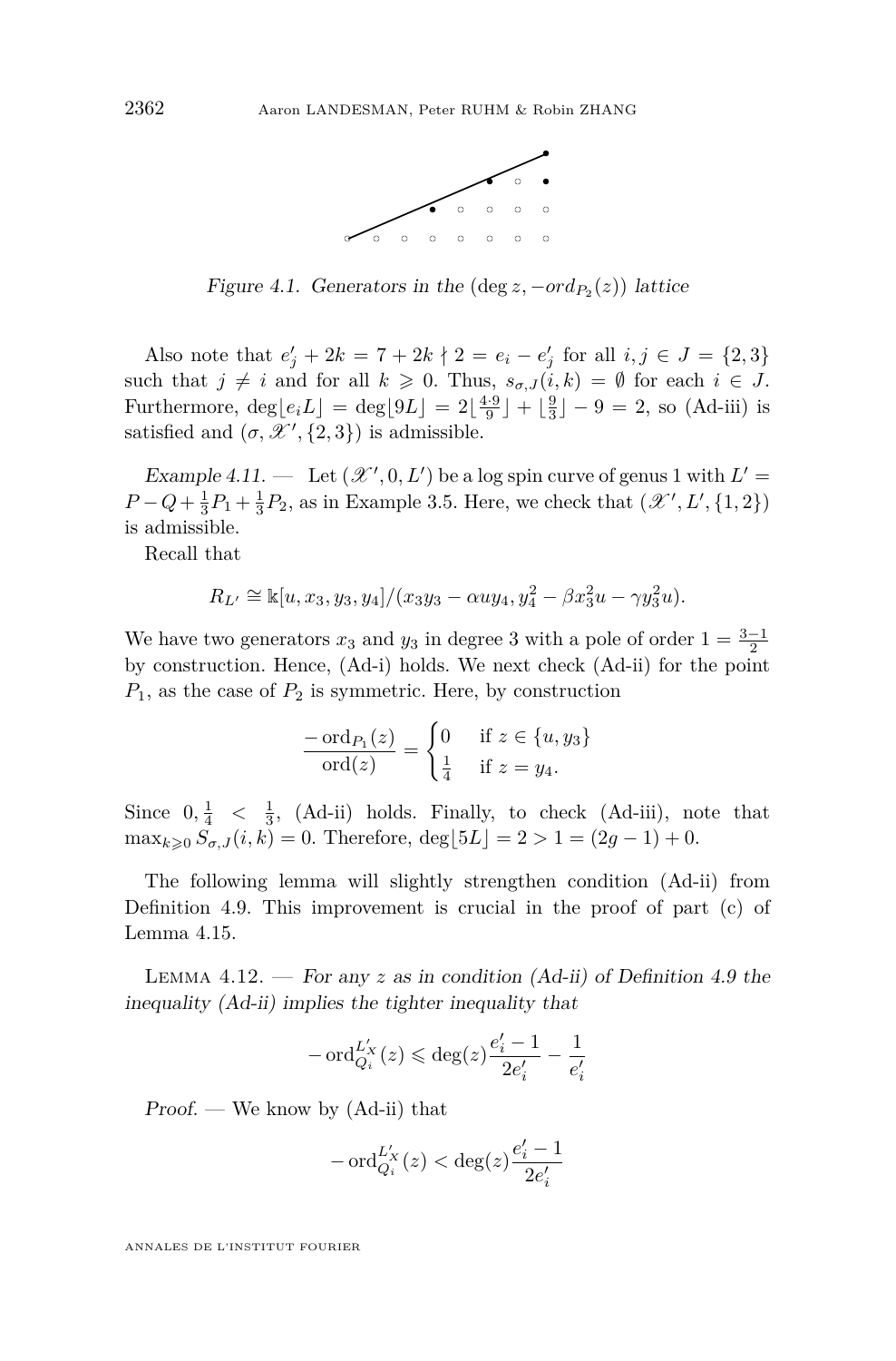

<span id="page-24-1"></span>Figure 4.1. Generators in the  $(\deg z, -ord_{P_2}(z))$  lattice

Also note that  $e'_{j} + 2k = 7 + 2k \nmid 2 = e_{i} - e'_{j}$  for all  $i, j \in J = \{2, 3\}$ such that  $j \neq i$  and for all  $k \geq 0$ . Thus,  $s_{\sigma,J}(i,k) = \emptyset$  for each  $i \in J$ . Furthermore,  $\deg\lfloor e_i L\rfloor = \deg\lfloor 9L\rfloor = 2\lfloor \frac{4\cdot 9}{9} \rfloor + \lfloor \frac{9}{3} \rfloor - 9 = 2$ , so [\(Ad-iii\)](#page-23-3) is satisfied and  $(\sigma, \mathcal{X}', \{2, 3\})$  is admissible.

<span id="page-24-0"></span>Example 4.11.  $-$  Let  $(\mathcal{X}', 0, L')$  be a log spin curve of genus 1 with  $L' =$  $P - Q + \frac{1}{3}P_1 + \frac{1}{3}P_2$ , as in Example [3.5.](#page-13-0) Here, we check that  $(\mathcal{X}', L', \{1, 2\})$ is admissible.

Recall that

$$
R_{L'} \cong \mathbb{k}[u, x_3, y_3, y_4]/(x_3y_3 - \alpha uy_4, y_4^2 - \beta x_3^2u - \gamma y_3^2u).
$$

We have two generators  $x_3$  and  $y_3$  in degree 3 with a pole of order  $1 = \frac{3-1}{2}$ by construction. Hence, [\(Ad-i\)](#page-23-1) holds. We next check [\(Ad-ii\)](#page-23-2) for the point  $P_1$ , as the case of  $P_2$  is symmetric. Here, by construction

$$
\frac{-\operatorname{ord}_{P_1}(z)}{\operatorname{ord}(z)} = \begin{cases} 0 & \text{if } z \in \{u, y_3\} \\ \frac{1}{4} & \text{if } z = y_4. \end{cases}
$$

Since  $0, \frac{1}{4} < \frac{1}{3}$ , [\(Ad-ii\)](#page-23-2) holds. Finally, to check [\(Ad-iii\),](#page-23-3) note that  $\max_{k \geq 0} \overline{S}_{\sigma,J}(i,k) = 0.$  Therefore,  $\deg[5L] = 2 > 1 = (2g-1) + 0.$ 

The following lemma will slightly strengthen condition [\(Ad-ii\)](#page-23-2) from Definition [4.9.](#page-22-1) This improvement is crucial in the proof of part (c) of Lemma [4.15.](#page-25-0)

<span id="page-24-2"></span>LEMMA  $4.12.$  – For any  $z$  as in condition  $(Ad-ii)$  of Definition [4.9](#page-22-1) the inequality [\(Ad-ii\)](#page-23-2) implies the tighter inequality that

$$
-\operatorname{ord}_{Q_i}^{L_X'}(z) \leqslant \deg(z)\frac{e_i'-1}{2e_i'}-\frac{1}{e_i'}
$$

 $Proof.$  — We know by  $(Ad-ii)$  that

$$
-\operatorname{ord}_{Q_i}^{L_X'}(z) < \deg(z)\frac{e_i'-1}{2e_i'}
$$

ANNALES DE L'INSTITUT FOURIER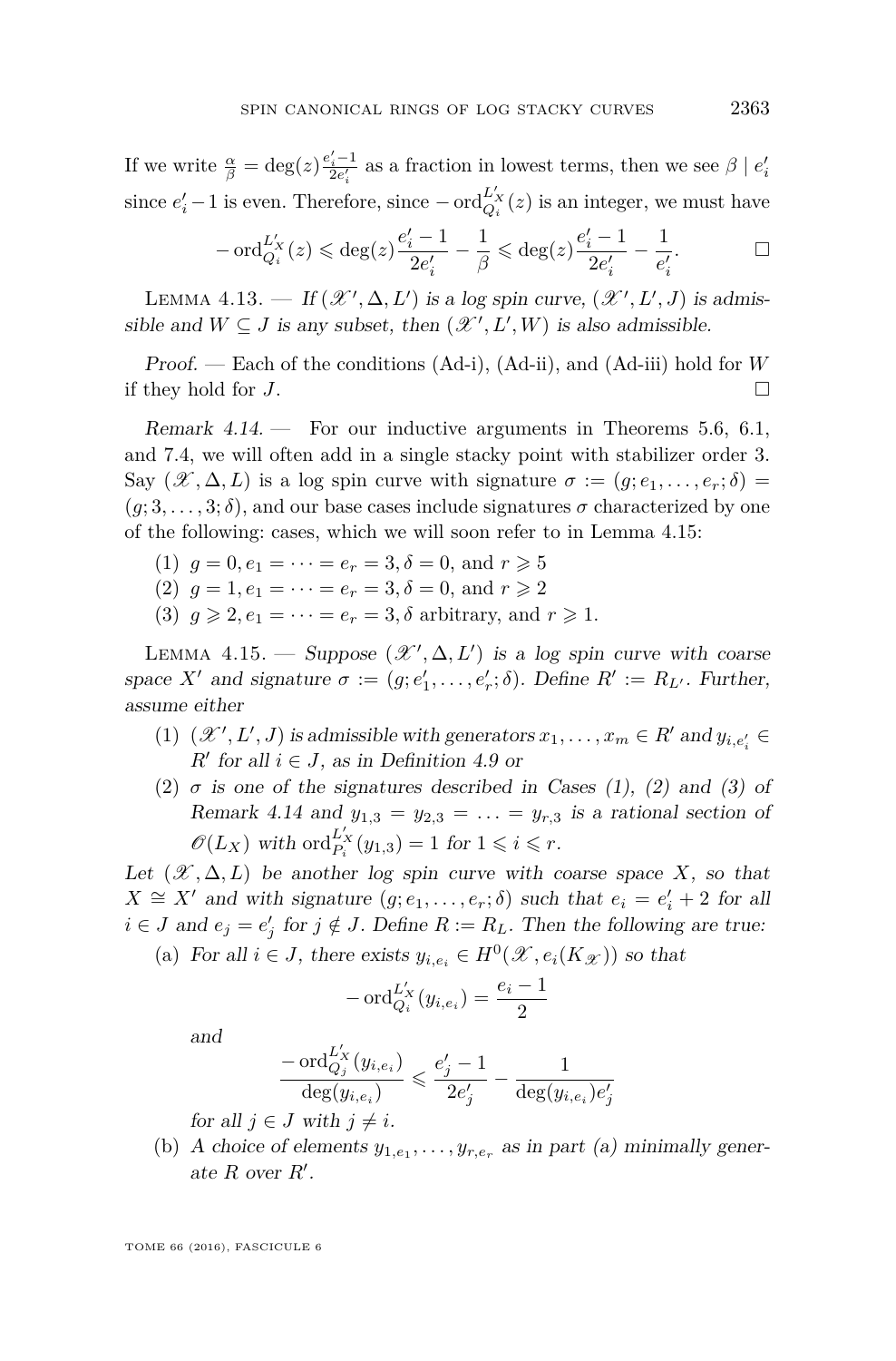If we write  $\frac{\alpha}{\beta} = \deg(z) \frac{e_i'-1}{2e_i'}$  as a fraction in lowest terms, then we see  $\beta \mid e_i'$ *i* since  $e'_i - 1$  is even. Therefore, since  $-\text{ord}_{Q_i}^{L'_X}(z)$  is an integer, we must have

$$
-\operatorname{ord}_{Q_i}^{L_X'}(z) \leqslant \deg(z) \frac{e_i'-1}{2e_i'} - \frac{1}{\beta} \leqslant \deg(z) \frac{e_i'-1}{2e_i'} - \frac{1}{e_i'}.
$$

<span id="page-25-2"></span>LEMMA 4.13. — If  $(\mathcal{X}', \Delta, L')$  is a log spin curve,  $(\mathcal{X}', L', J)$  is admissible and  $W \subseteq J$  is any subset, then  $(\mathcal{X}', L', W)$  is also admissible.

Proof. — Each of the conditions [\(Ad-i\),](#page-23-1) [\(Ad-ii\),](#page-23-2) and [\(Ad-iii\)](#page-23-3) hold for *W* if they hold for *J*.

<span id="page-25-1"></span>Remark  $4.14.$  – For our inductive arguments in Theorems [5.6,](#page-32-0) [6.1,](#page-34-1) and [7.4,](#page-40-1) we will often add in a single stacky point with stabilizer order 3. Say  $(\mathscr{X}, \Delta, L)$  is a log spin curve with signature  $\sigma := (q, e_1, \ldots, e_r; \delta)$  $(g; 3, \ldots, 3; \delta)$ , and our base cases include signatures  $\sigma$  characterized by one of the following: cases, which we will soon refer to in Lemma [4.15:](#page-25-0)

- (1)  $q = 0, e_1 = \cdots = e_r = 3, \delta = 0, \text{ and } r \geq 5$
- (2)  $g = 1, e_1 = \cdots = e_r = 3, \delta = 0, \text{ and } r \geq 2$
- (3)  $q \ge 2, e_1 = \cdots = e_r = 3, \delta$  arbitrary, and  $r \ge 1$ .

<span id="page-25-0"></span>LEMMA 4.15. — Suppose  $(\mathcal{X}', \Delta, L')$  is a log spin curve with coarse space *X*<sup>*t*</sup> and signature  $\sigma := (g; e'_1, \ldots, e'_r; \delta)$ . Define  $R' := R_{L'}$ . Further, assume either

- (1)  $(\mathcal{X}', L', J)$  is admissible with generators  $x_1, \ldots, x_m \in R'$  and  $y_{i,e'_i} \in$  $R'$  for all  $i \in J$ , as in Definition [4.9](#page-22-1) or
- (2)  $\sigma$  is one of the signatures described in Cases (1), (2) and (3) of Remark [4.14](#page-25-1) and  $y_{1,3} = y_{2,3} = \ldots = y_{r,3}$  is a rational section of  $\mathscr{O}(L_X)$  with  $\mathrm{ord}_{P_i}^{L'_X}(y_{1,3}) = 1$  for  $1 \leq i \leq r$ .

Let  $(\mathcal{X}, \Delta, L)$  be another log spin curve with coarse space X, so that  $X \cong X'$  and with signature  $(g; e_1, \ldots, e_r; \delta)$  such that  $e_i = e'_i + 2$  for all *i* ∈ *J* and  $e_j = e'_j$  for  $j \notin J$ . Define  $R := R_L$ . Then the following are true:

(a) For all  $i \in J$ , there exists  $y_{i,e_i} \in H^0(\mathcal{X}, e_i(K_{\mathcal{X}}))$  so that

$$
-\operatorname{ord}_{Q_i}^{L_X'}(y_{i,e_i}) = \frac{e_i - 1}{2}
$$

and

$$
\frac{-\operatorname{ord}_{Q_j}^{L_X'}(y_{i,e_i})}{\deg(y_{i,e_i})} \leqslant \frac{e_j'-1}{2e_j'} - \frac{1}{\deg(y_{i,e_i})e_j'}
$$

for all  $j \in J$  with  $j \neq i$ .

(b) A choice of elements  $y_{1,e_1}, \ldots, y_{r,e_r}$  as in part (a) minimally generate  $R$  over  $R'$ .

TOME 66 (2016), FASCICULE 6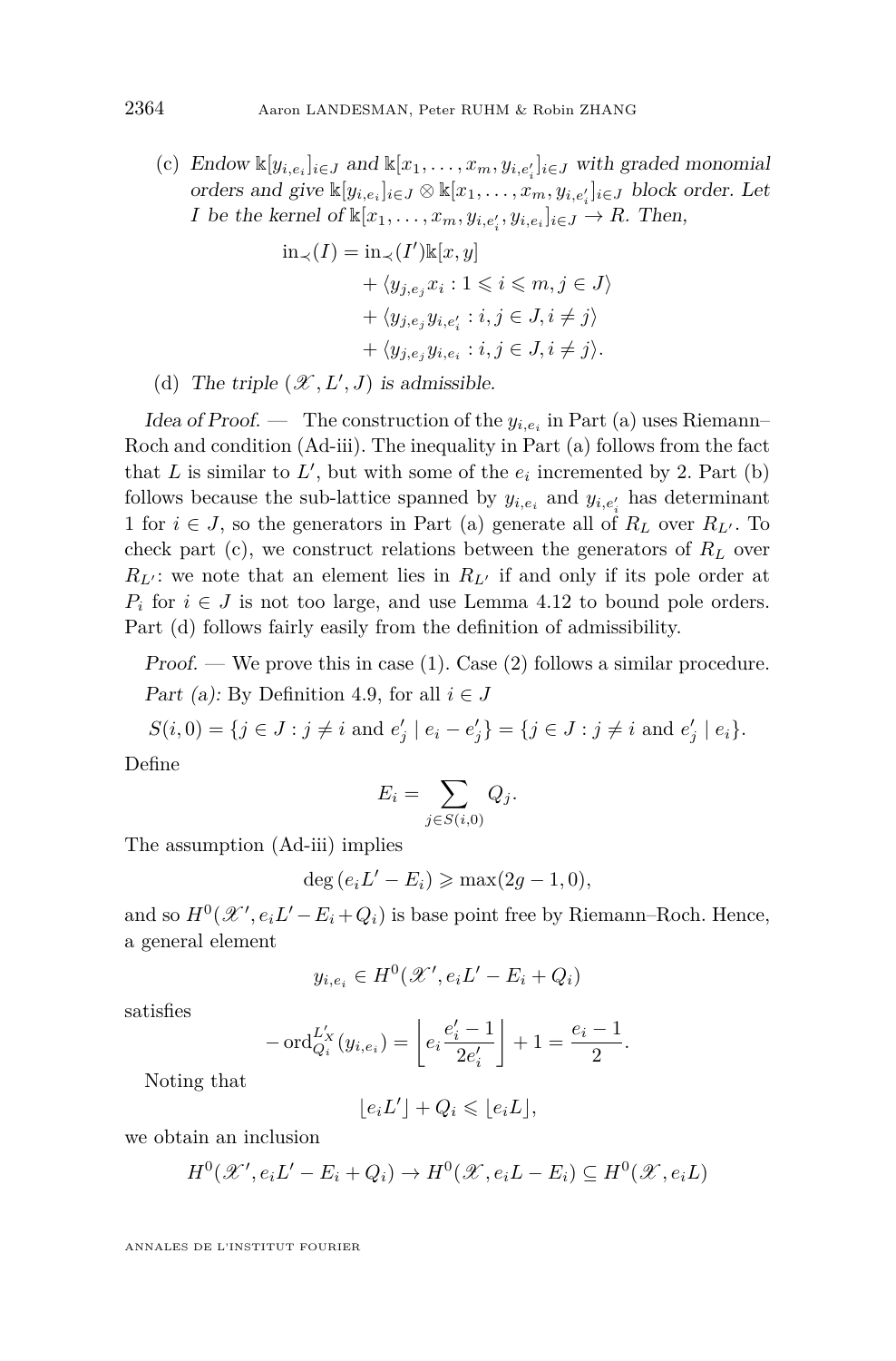(c) Endow  $\mathbb{K}[y_{i,e_i}]_{i \in J}$  and  $\mathbb{K}[x_1, \ldots, x_m, y_{i,e'_i}]_{i \in J}$  with graded monomial orders and give  $\mathbb{K}[y_{i,e_i}]_{i \in J} \otimes \mathbb{K}[x_1,\ldots,x_m,y_{i,e'_i}]_{i \in J}$  block order. Let *I* be the kernel of  $\mathbb{K}[x_1, \ldots, x_m, y_{i,e_i}, y_{i,e_i}]_{i \in J} \to R$ . Then,

$$
\begin{aligned} \text{in}_{\prec}(I) &= \text{in}_{\prec}(I') \mathbb{k}[x, y] \\ &+ \langle y_{j, e_j} x_i : 1 \leqslant i \leqslant m, j \in J \rangle \\ &+ \langle y_{j, e_j} y_{i, e'_i} : i, j \in J, i \neq j \rangle \\ &+ \langle y_{j, e_j} y_{i, e_i} : i, j \in J, i \neq j \rangle. \end{aligned}
$$

(d) The triple  $(\mathcal{X}, L', J)$  is admissible.

Idea of Proof. — The construction of the  $y_{i,e_i}$  in Part (a) uses Riemann-Roch and condition [\(Ad-iii\).](#page-23-3) The inequality in Part (a) follows from the fact that  $L$  is similar to  $L'$ , but with some of the  $e_i$  incremented by 2. Part (b) follows because the sub-lattice spanned by  $y_{i,e_i}$  and  $y_{i,e'_i}$  has determinant 1 for  $i \in J$ , so the generators in Part (a) generate all of  $R_L$  over  $R_{L'}$ . To check part (c), we construct relations between the generators of  $R_L$  over  $R_{L'}$ : we note that an element lies in  $R_{L'}$  if and only if its pole order at  $P_i$  for  $i \in J$  is not too large, and use Lemma [4.12](#page-24-2) to bound pole orders. Part (d) follows fairly easily from the definition of admissibility.

Proof. — We prove this in case  $(1)$ . Case  $(2)$  follows a similar procedure. Part (a): By Definition [4.9,](#page-22-1) for all  $i \in J$ 

 $S(i, 0) = \{j \in J : j \neq i \text{ and } e'_j \mid e_i - e'_j\} = \{j \in J : j \neq i \text{ and } e'_j \mid e_i\}.$ 

Define

$$
E_i = \sum_{j \in S(i,0)} Q_j.
$$

The assumption [\(Ad-iii\)](#page-23-3) implies

$$
deg (e_i L' - E_i) \geqslant max(2g - 1, 0),
$$

and so  $H^0(\mathcal{X}', e_i L' - E_i + Q_i)$  is base point free by Riemann–Roch. Hence, a general element

$$
y_{i,e_i} \in H^0(\mathcal{X}',e_iL'-E_i+Q_i)
$$

satisfies

$$
-\operatorname{ord}_{Q_i}^{L_X'}(y_{i,e_i}) = \left\lfloor e_i \frac{e_i' - 1}{2e_i'} \right\rfloor + 1 = \frac{e_i - 1}{2}.
$$

Noting that

$$
\lfloor e_i L' \rfloor + Q_i \leqslant \lfloor e_i L \rfloor,
$$

we obtain an inclusion

$$
H^{0}(\mathcal{X}',e_{i}L'-E_{i}+Q_{i}) \to H^{0}(\mathcal{X},e_{i}L-E_{i}) \subseteq H^{0}(\mathcal{X},e_{i}L)
$$

ANNALES DE L'INSTITUT FOURIER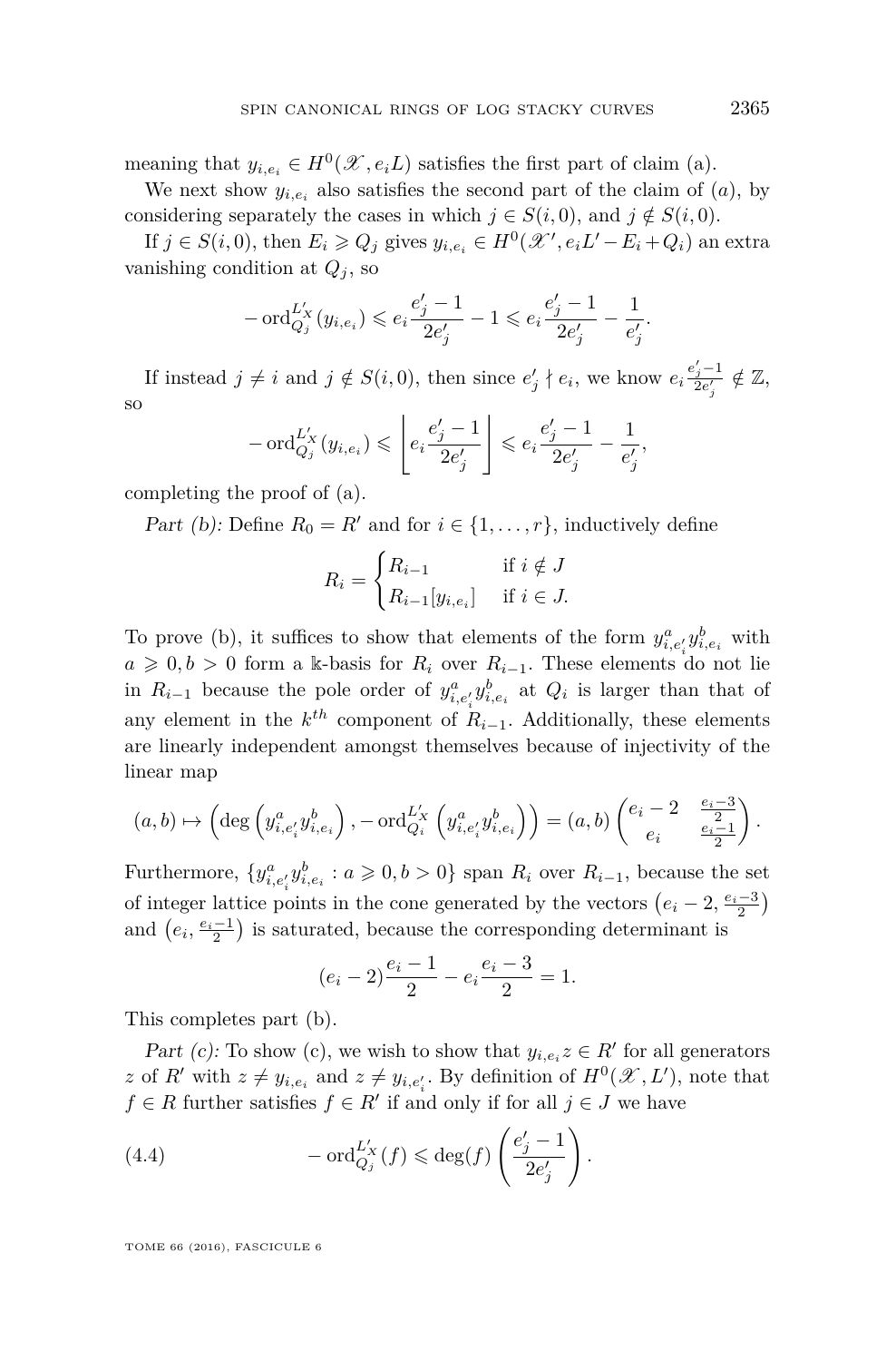meaning that  $y_{i,e_i} \in H^0(\mathcal{X}, e_i L)$  satisfies the first part of claim (a).

We next show  $y_{i,e_i}$  also satisfies the second part of the claim of  $(a)$ , by considering separately the cases in which  $j \in S(i,0)$ , and  $j \notin S(i,0)$ .

If  $j \in S(i, 0)$ , then  $E_i \geqslant Q_j$  gives  $y_{i, e_i} \in H^0(\mathcal{X}', e_i L' - E_i + Q_i)$  an extra vanishing condition at  $Q_i$ , so

$$
-\operatorname{ord}_{Q_j}^{L_X'}(y_{i,e_i}) \leqslant e_i \frac{e_j'-1}{2e_j'}-1 \leqslant e_i \frac{e_j'-1}{2e_j'}-\frac{1}{e_j'}.
$$

If instead  $j \neq i$  and  $j \notin S(i, 0)$ , then since  $e'_{j} \nmid e_{i}$ , we know  $e_{i} \frac{e'_{j} - 1}{2e'_{j}} \notin \mathbb{Z}$ , so

$$
-\text{ord}_{Q_j}^{L'_X}(y_{i,e_i}) \leqslant \left\lfloor e_i \frac{e'_j - 1}{2e'_j} \right\rfloor \leqslant e_i \frac{e'_j - 1}{2e'_j} - \frac{1}{e'_j},
$$

completing the proof of (a).

Part (b): Define  $R_0 = R'$  and for  $i \in \{1, \ldots, r\}$ , inductively define

$$
R_i = \begin{cases} R_{i-1} & \text{if } i \notin J \\ R_{i-1}[y_{i,e_i}] & \text{if } i \in J. \end{cases}
$$

To prove (b), it suffices to show that elements of the form  $y_{i,e'_i}^a y_{i,e_i}^b$  with  $a \geq 0, b > 0$  form a k-basis for  $R_i$  over  $R_{i-1}$ . These elements do not lie in  $R_{i-1}$  because the pole order of  $y_{i,e_i}^a y_{i,e_i}^b$  at  $Q_i$  is larger than that of any element in the  $k^{th}$  component of  $R_{i-1}$ . Additionally, these elements are linearly independent amongst themselves because of injectivity of the linear map

$$
(a,b)\mapsto \left(\deg\left(y^a_{i,e'_i}y^b_{i,e_i}\right),-\mathrm{ord}_{Q_i}^{L_X'}\left(y^a_{i,e'_i}y^b_{i,e_i}\right)\right)=(a,b)\begin{pmatrix}e_i-2&\frac{e_i-3}{2}\\e_i&\frac{e_i-1}{2}\end{pmatrix}.
$$

Furthermore,  $\{y_{i,e'_i}^a y_{i,e_i}^b : a \geq 0, b > 0\}$  span  $R_i$  over  $R_{i-1}$ , because the set of integer lattice points in the cone generated by the vectors  $(e_i - 2, \frac{e_i - 3}{2})$ and  $(e_i, \frac{e_i-1}{2})$  is saturated, because the corresponding determinant is

$$
(e_i - 2)\frac{e_i - 1}{2} - e_i \frac{e_i - 3}{2} = 1.
$$

This completes part (b).

Part (c): To show (c), we wish to show that  $y_{i,e_i}z \in R'$  for all generators *z* of *R*<sup> $\prime$ </sup> with  $z \neq y_{i,e_i}$  and  $z \neq y_{i,e'_i}$ . By definition of  $H^0(\mathcal{X}, L')$ , note that  $f \in R$  further satisfies  $f \in R'$  if and only if for all  $j \in J$  we have

<span id="page-27-0"></span>(4.4) 
$$
-\operatorname{ord}_{Q_j}^{L_X'}(f) \leqslant \deg(f) \left( \frac{e_j'-1}{2e_j'} \right).
$$

TOME 66 (2016), FASCICULE 6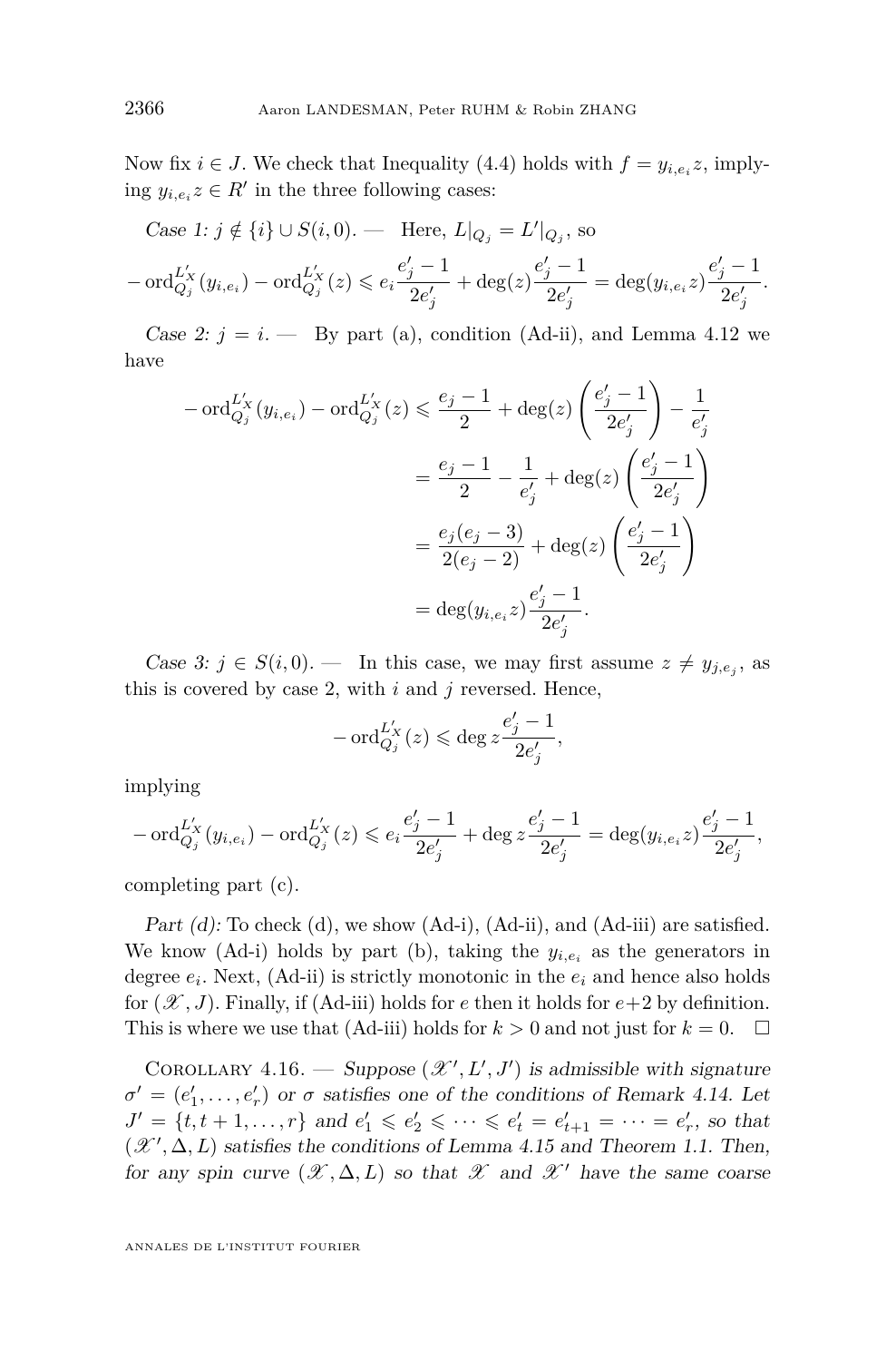Now fix  $i \in J$ . We check that Inequality [\(4.4\)](#page-27-0) holds with  $f = y_{i,e_i}z$ , implying  $y_{i,e_i}z \in R'$  in the three following cases:

Case 1: 
$$
j \notin \{i\} \cup S(i, 0)
$$
. — Here,  $L|_{Q_j} = L'|_{Q_j}$ , so  
  $-\text{ord}_{Q_j}^{L'_X}(y_{i, e_i}) - \text{ord}_{Q_j}^{L'_X}(z) \le e_i \frac{e'_j - 1}{2e'_j} + \text{deg}(z) \frac{e'_j - 1}{2e'_j} = \text{deg}(y_{i, e_i} z) \frac{e'_j - 1}{2e'_j}.$ 

Case 2:  $j = i$ . — By part (a), condition [\(Ad-ii\),](#page-23-2) and Lemma [4.12](#page-24-2) we have

$$
-\operatorname{ord}_{Q_j}^{L'_X}(y_{i,e_i}) - \operatorname{ord}_{Q_j}^{L'_X}(z) \le \frac{e_j - 1}{2} + \deg(z) \left(\frac{e'_j - 1}{2e'_j}\right) - \frac{1}{e'_j}
$$
  

$$
= \frac{e_j - 1}{2} - \frac{1}{e'_j} + \deg(z) \left(\frac{e'_j - 1}{2e'_j}\right)
$$
  

$$
= \frac{e_j(e_j - 3)}{2(e_j - 2)} + \deg(z) \left(\frac{e'_j - 1}{2e'_j}\right)
$$
  

$$
= \deg(y_{i,e_i}z) \frac{e'_j - 1}{2e'_j}.
$$

Case 3:  $j \in S(i, 0)$ . — In this case, we may first assume  $z \neq y_{j,e_j}$ , as this is covered by case 2, with *i* and *j* reversed. Hence,

$$
-\operatorname{ord}_{Q_j}^{L_X'}(z) \leqslant \deg z \frac{e_j'-1}{2e_j'},
$$

implying

$$
-\operatorname{ord}_{Q_j}^{L_X'}(y_{i,e_i})-\operatorname{ord}_{Q_j}^{L_X'}(z)\leqslant e_i\frac{e_j'-1}{2e_j'}+\deg z\frac{e_j'-1}{2e_j'}=\deg (y_{i,e_i}z)\frac{e_j'-1}{2e_j'},
$$

completing part (c).

Part  $(d)$ : To check  $(d)$ , we show  $(Ad-i)$ ,  $(Ad-ii)$ , and  $(Ad-iii)$  are satisfied. We know [\(Ad-i\)](#page-23-1) holds by part (b), taking the  $y_{i,e_i}$  as the generators in degree *e<sup>i</sup>* . Next, [\(Ad-ii\)](#page-23-2) is strictly monotonic in the *e<sup>i</sup>* and hence also holds for  $(\mathscr{X}, J)$ . Finally, if [\(Ad-iii\)](#page-23-3) holds for *e* then it holds for  $e+2$  by definition. This is where we use that [\(Ad-iii\)](#page-23-3) holds for  $k > 0$  and not just for  $k = 0$ .  $\Box$ 

<span id="page-28-0"></span>COROLLARY 4.16. — Suppose  $(\mathcal{X}', L', J')$  is admissible with signature  $\sigma' = (e'_1, \ldots, e'_r)$  or  $\sigma$  satisfies one of the conditions of Remark [4.14.](#page-25-1) Let  $J' = \{t, t + 1, \ldots, r\}$  and  $e'_1 \leqslant e'_2 \leqslant \cdots \leqslant e'_t = e'_{t+1} = \cdots = e'_r$ , so that  $(\mathcal{X}', \Delta, L)$  satisfies the conditions of Lemma [4.15](#page-25-0) and Theorem [1.1.](#page-3-0) Then, for any spin curve  $(\mathscr{X}, \Delta, L)$  so that  $\mathscr{X}$  and  $\mathscr{X}'$  have the same coarse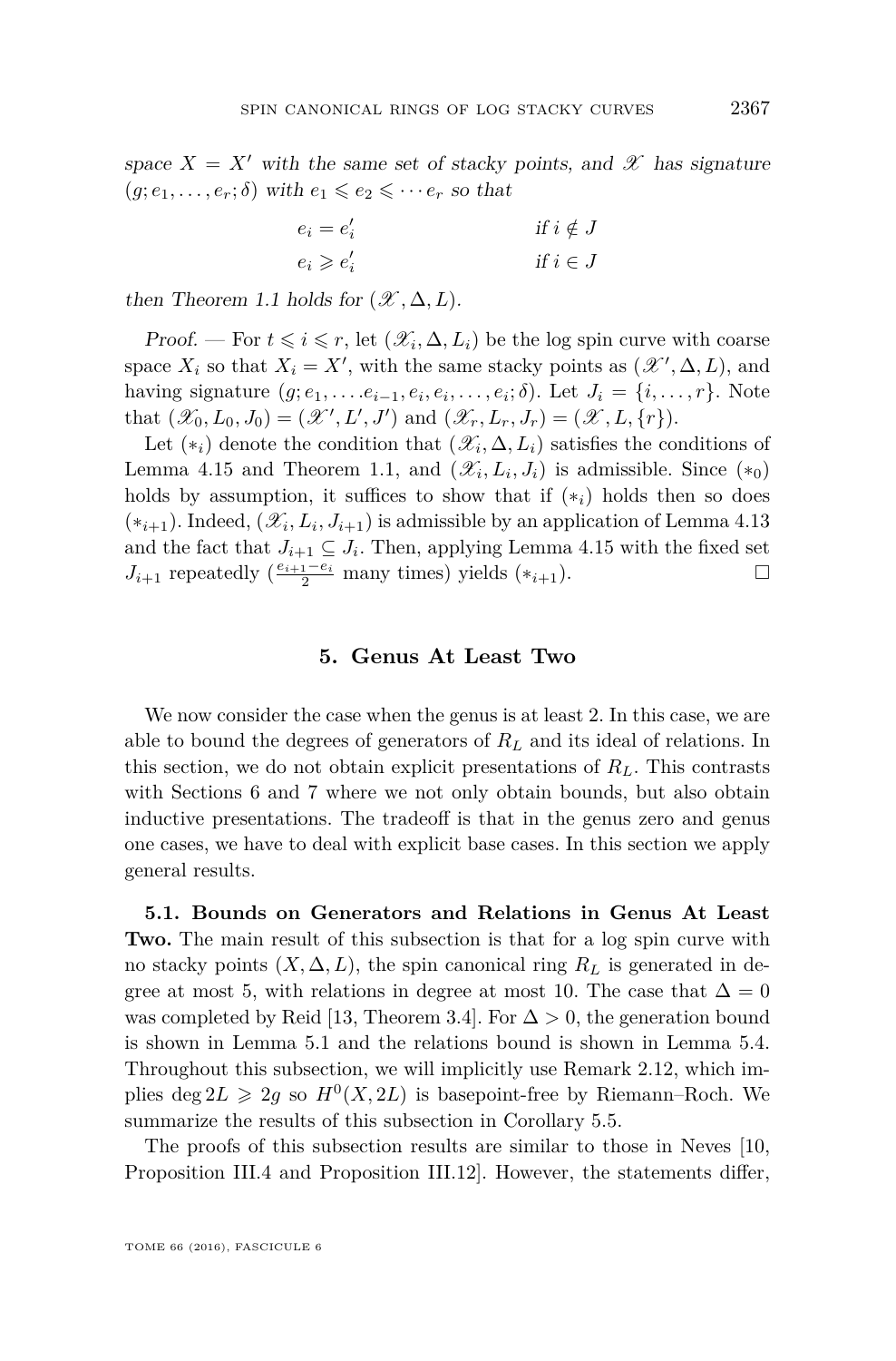space  $X = X'$  with the same set of stacky points, and  $\mathscr X$  has signature  $(g; e_1, \ldots, e_r; \delta)$  with  $e_1 \leqslant e_2 \leqslant \cdots e_r$  so that

$$
e_i = e'_i
$$
  
\n
$$
e_i \geq e'_i
$$
  
\nif  $i \notin J$   
\nif  $i \in J$ 

then Theorem [1.1](#page-3-0) holds for  $(\mathcal{X}, \Delta, L)$ .

Proof. — For  $t \leq i \leq r$ , let  $(\mathcal{X}_i, \Delta, L_i)$  be the log spin curve with coarse space  $X_i$  so that  $X_i = X'$ , with the same stacky points as  $(\mathcal{X}', \Delta, L)$ , and having signature  $(g, e_1, \ldots, e_{i-1}, e_i, e_i, \ldots, e_i; \delta)$ . Let  $J_i = \{i, \ldots, r\}$ . Note that  $(\mathscr{X}_0, L_0, J_0) = (\mathscr{X}', L', J')$  and  $(\mathscr{X}_r, L_r, J_r) = (\mathscr{X}, L, \{r\})$ .

Let  $(*_i)$  denote the condition that  $(\mathscr{X}_i, \Delta, L_i)$  satisfies the conditions of Lemma [4.15](#page-25-0) and Theorem [1.1,](#page-3-0) and  $(\mathcal{X}_i, L_i, J_i)$  is admissible. Since  $(*_0)$ holds by assumption, it suffices to show that if  $(*_i)$  holds then so does  $(*_{i+1})$ . Indeed,  $(\mathscr{X}_i, L_i, J_{i+1})$  is admissible by an application of Lemma [4.13](#page-25-2) and the fact that  $J_{i+1} \subseteq J_i$ . Then, applying Lemma [4.15](#page-25-0) with the fixed set  $J_{i+1}$  repeatedly  $\left(\frac{e_{i+1}-e_i}{2} \text{ many times}\right)$  yields  $(*_{i+1})$ .

#### **5. Genus At Least Two**

<span id="page-29-0"></span>We now consider the case when the genus is at least 2. In this case, we are able to bound the degrees of generators of *R<sup>L</sup>* and its ideal of relations. In this section, we do not obtain explicit presentations of *RL*. This contrasts with Sections [6](#page-33-1) and [7](#page-36-1) where we not only obtain bounds, but also obtain inductive presentations. The tradeoff is that in the genus zero and genus one cases, we have to deal with explicit base cases. In this section we apply general results.

<span id="page-29-1"></span>**5.1. Bounds on Generators and Relations in Genus At Least Two.** The main result of this subsection is that for a log spin curve with no stacky points  $(X, \Delta, L)$ , the spin canonical ring  $R_L$  is generated in degree at most 5, with relations in degree at most 10. The case that  $\Delta = 0$ was completed by Reid [\[13,](#page-45-8) Theorem 3.4]. For  $\Delta > 0$ , the generation bound is shown in Lemma [5.1](#page-30-0) and the relations bound is shown in Lemma [5.4.](#page-31-0) Throughout this subsection, we will implicitly use Remark [2.12,](#page-8-3) which implies deg  $2L \geq 2g$  so  $H^0(X, 2L)$  is basepoint-free by Riemann–Roch. We summarize the results of this subsection in Corollary [5.5.](#page-32-2)

The proofs of this subsection results are similar to those in Neves [\[10,](#page-45-3) Proposition III.4 and Proposition III.12]. However, the statements differ,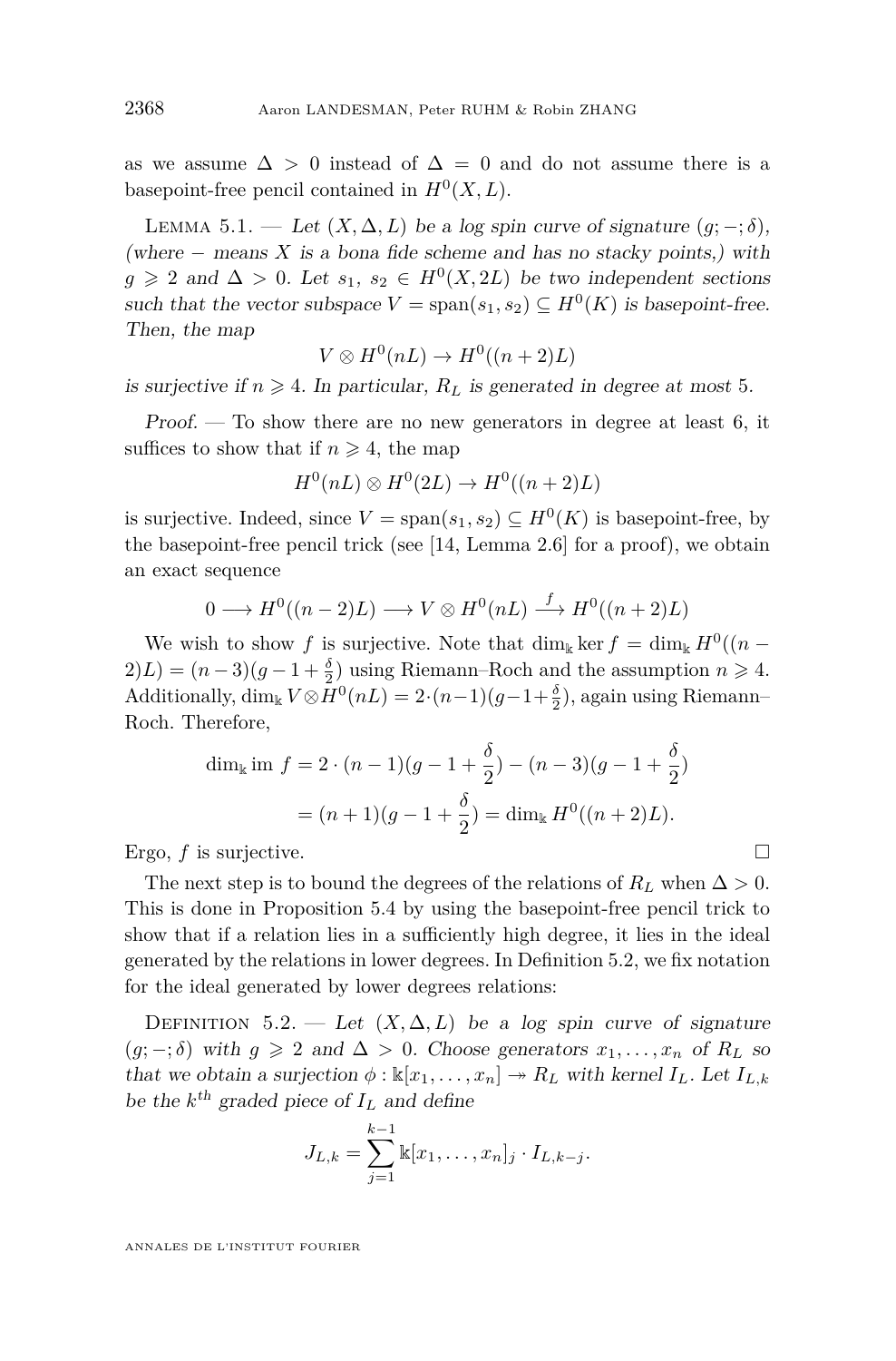as we assume  $\Delta > 0$  instead of  $\Delta = 0$  and do not assume there is a basepoint-free pencil contained in  $H^0(X, L)$ .

<span id="page-30-0"></span>LEMMA 5.1. — Let  $(X, \Delta, L)$  be a log spin curve of signature  $(g; -; \delta)$ , (where  $-$  means  $X$  is a bona fide scheme and has no stacky points,) with *g* ≥ 2 and  $\Delta$  > 0. Let  $s_1, s_2 \in H^0(X, 2L)$  be two independent sections such that the vector subspace  $V = \text{span}(s_1, s_2) \subseteq H^0(K)$  is basepoint-free. Then, the map

$$
V \otimes H^0(nL) \to H^0((n+2)L)
$$

is surjective if  $n \geq 4$ . In particular,  $R_L$  is generated in degree at most 5.

Proof. — To show there are no new generators in degree at least 6, it suffices to show that if  $n \geq 4$ , the map

$$
H^0(nL) \otimes H^0(2L) \to H^0((n+2)L)
$$

is surjective. Indeed, since  $V = \text{span}(s_1, s_2) \subseteq H^0(K)$  is basepoint-free, by the basepoint-free pencil trick (see [\[14,](#page-45-1) Lemma 2.6] for a proof), we obtain an exact sequence

$$
0 \longrightarrow H^0((n-2)L) \longrightarrow V \otimes H^0(nL) \stackrel{f}{\longrightarrow} H^0((n+2)L)
$$

We wish to show *f* is surjective. Note that  $\dim_{\mathbb{k}} \ker f = \dim_{\mathbb{k}} H^0((n 2(L) = (n-3)(g-1+\frac{\delta}{2})$  using Riemann–Roch and the assumption  $n \geq 4$ . Additionally, dim<sub>k</sub>  $V \otimes H^0(nL) = 2 \cdot (n-1)(g-1+\frac{\delta}{2})$ , again using Riemann– Roch. Therefore,

$$
\dim_{\mathbb{k}} \text{im } f = 2 \cdot (n-1)(g - 1 + \frac{\delta}{2}) - (n-3)(g - 1 + \frac{\delta}{2})
$$

$$
= (n+1)(g - 1 + \frac{\delta}{2}) = \dim_{\mathbb{k}} H^0((n+2)L).
$$

Ergo,  $f$  is surjective.

The next step is to bound the degrees of the relations of  $R_L$  when  $\Delta > 0$ . This is done in Proposition [5.4](#page-31-0) by using the basepoint-free pencil trick to show that if a relation lies in a sufficiently high degree, it lies in the ideal generated by the relations in lower degrees. In Definition [5.2,](#page-30-1) we fix notation for the ideal generated by lower degrees relations:

<span id="page-30-1"></span>DEFINITION 5.2. — Let  $(X, \Delta, L)$  be a log spin curve of signature  $(g; -; \delta)$  with  $g \geq 2$  and  $\Delta > 0$ . Choose generators  $x_1, \ldots, x_n$  of  $R_L$  so that we obtain a surjection  $\phi : \mathbb{k}[x_1, \ldots, x_n] \to R_L$  with kernel  $I_L$ . Let  $I_{L,k}$ be the  $k^{\text{th}}$  graded piece of  $I_L$  and define

$$
J_{L,k} = \sum_{j=1}^{k-1} \mathbb{k}[x_1, \dots, x_n]_j \cdot I_{L,k-j}.
$$

ANNALES DE L'INSTITUT FOURIER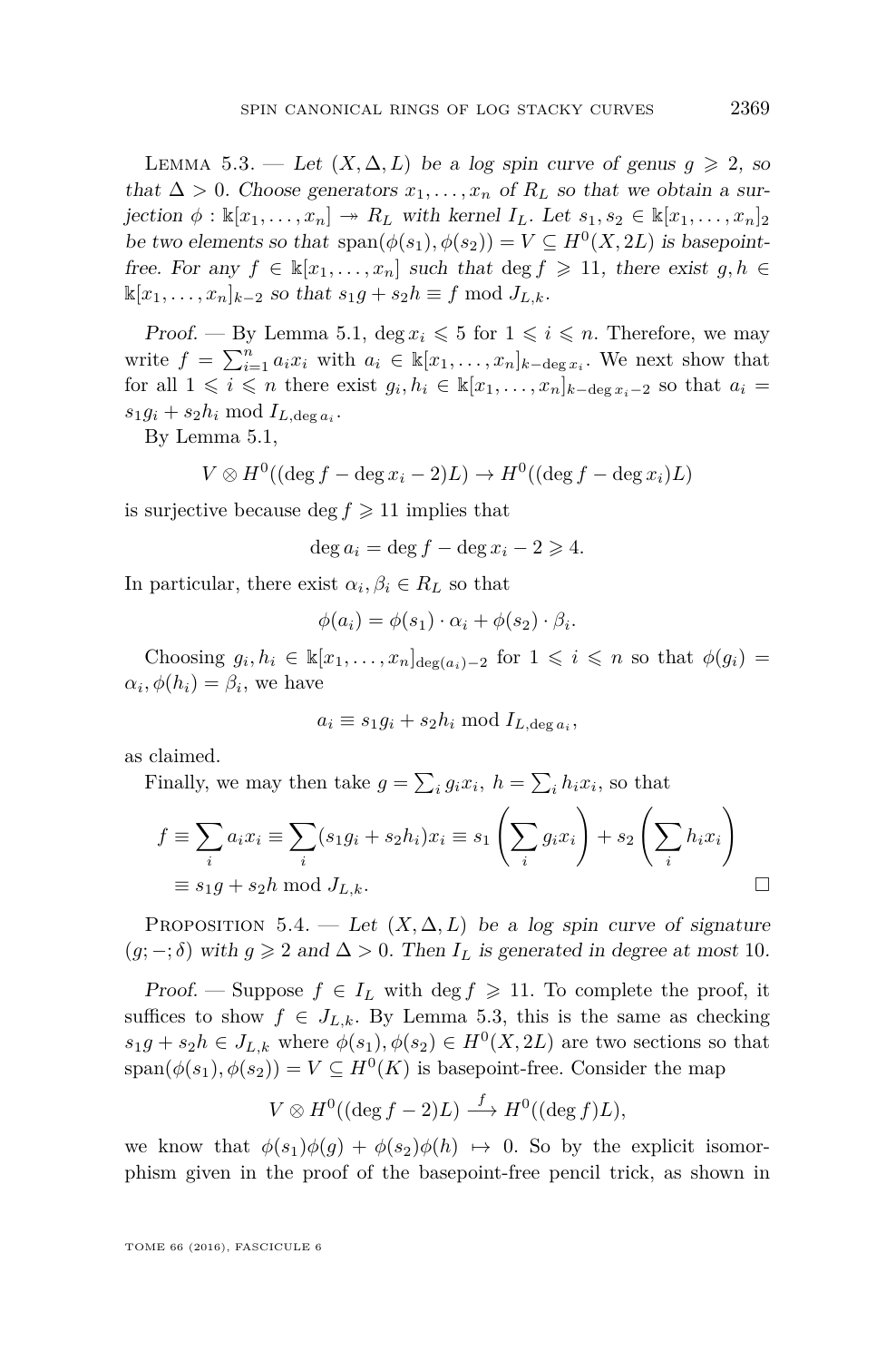<span id="page-31-1"></span>LEMMA 5.3. — Let  $(X, \Delta, L)$  be a log spin curve of genus  $g \ge 2$ , so that  $\Delta > 0$ . Choose generators  $x_1, \ldots, x_n$  of  $R_L$  so that we obtain a surjection  $\phi : \mathbb{k}[x_1,\ldots,x_n] \to R_L$  with kernel  $I_L$ . Let  $s_1, s_2 \in \mathbb{k}[x_1,\ldots,x_n]_2$ be two elements so that  $\text{span}(\phi(s_1), \phi(s_2)) = V \subseteq H^0(X, 2L)$  is basepointfree. For any  $f \in \mathbb{k}[x_1,\ldots,x_n]$  such that  $\deg f \geq 11$ , there exist  $g, h \in$  $\mathbb{K}[x_1, \ldots, x_n]_{k-2}$  so that  $s_1g + s_2h \equiv f \mod J_{L,k}$ .

Proof. — By Lemma [5.1,](#page-30-0) deg  $x_i \leqslant 5$  for  $1 \leqslant i \leqslant n$ . Therefore, we may write  $f = \sum_{i=1}^n a_i x_i$  with  $a_i \in \mathbb{K}[x_1, \ldots, x_n]_{k-\deg x_i}$ . We next show that for all  $1 \leq i \leq n$  there exist  $g_i, h_i \in \mathbb{K}[x_1, \ldots, x_n]_{k-\deg x_i-2}$  so that  $a_i =$  $s_1 g_i + s_2 h_i \mod I_{L, \deg a_i}$ .

By Lemma [5.1,](#page-30-0)

$$
V \otimes H^0((\deg f - \deg x_i - 2)L) \to H^0((\deg f - \deg x_i)L)
$$

is surjective because deg  $f \geq 11$  implies that

$$
\deg a_i = \deg f - \deg x_i - 2 \geqslant 4.
$$

In particular, there exist  $\alpha_i, \beta_i \in R_L$  so that

$$
\phi(a_i) = \phi(s_1) \cdot \alpha_i + \phi(s_2) \cdot \beta_i.
$$

Choosing  $g_i, h_i \in \mathbb{K}[x_1, \ldots, x_n]_{\deg(a_i)-2}$  for  $1 \leq i \leq n$  so that  $\phi(g_i) =$  $\alpha_i, \phi(h_i) = \beta_i$ , we have

$$
a_i \equiv s_1 g_i + s_2 h_i \bmod I_{L, \deg a_i},
$$

as claimed.

Finally, we may then take  $g = \sum_i g_i x_i$ ,  $h = \sum_i h_i x_i$ , so that

$$
f \equiv \sum_{i} a_i x_i \equiv \sum_{i} (s_1 g_i + s_2 h_i) x_i \equiv s_1 \left( \sum_{i} g_i x_i \right) + s_2 \left( \sum_{i} h_i x_i \right)
$$
  

$$
\equiv s_1 g + s_2 h \mod J_{L,k}.
$$

<span id="page-31-0"></span>PROPOSITION 5.4. — Let  $(X, \Delta, L)$  be a log spin curve of signature  $(g; -; \delta)$  with  $g \geq 2$  and  $\Delta > 0$ . Then  $I_L$  is generated in degree at most 10.

Proof. — Suppose  $f \in I_L$  with deg  $f \geq 11$ . To complete the proof, it suffices to show  $f \in J_{L,k}$ . By Lemma [5.3,](#page-31-1) this is the same as checking  $s_1g + s_2h \in J_{L,k}$  where  $\phi(s_1), \phi(s_2) \in H^0(X, 2L)$  are two sections so that  $span(\phi(s_1), \phi(s_2)) = V \subseteq H^0(K)$  is basepoint-free. Consider the map

$$
V \otimes H^0((\deg f - 2)L) \stackrel{f}{\longrightarrow} H^0((\deg f)L),
$$

we know that  $\phi(s_1)\phi(g) + \phi(s_2)\phi(h) \mapsto 0$ . So by the explicit isomorphism given in the proof of the basepoint-free pencil trick, as shown in

TOME 66 (2016), FASCICULE 6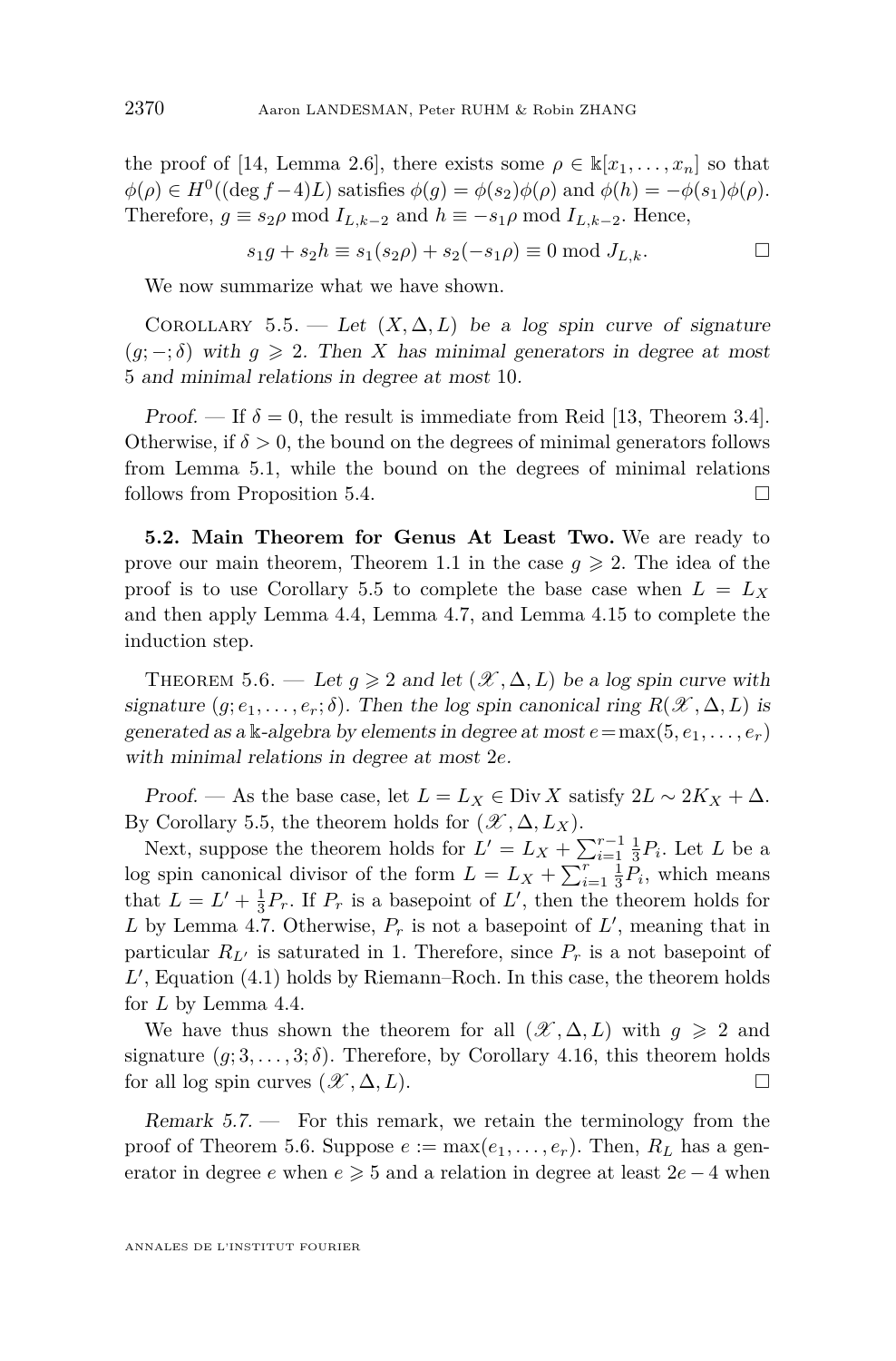the proof of [\[14,](#page-45-1) Lemma 2.6], there exists some  $\rho \in \mathbb{k}[x_1, \ldots, x_n]$  so that  $\phi(\rho) \in H^0((\deg f - 4)L)$  satisfies  $\phi(g) = \phi(s_2)\phi(\rho)$  and  $\phi(h) = -\phi(s_1)\phi(\rho)$ . Therefore,  $g \equiv s_2 \rho \mod I_{L,k-2}$  and  $h \equiv -s_1 \rho \mod I_{L,k-2}$ . Hence,

$$
s_1 g + s_2 h \equiv s_1(s_2 \rho) + s_2(-s_1 \rho) \equiv 0 \mod J_{L,k}.
$$

We now summarize what we have shown.

<span id="page-32-2"></span>COROLLARY 5.5. — Let  $(X, \Delta, L)$  be a log spin curve of signature  $(g; -; \delta)$  with  $g \geq 2$ . Then *X* has minimal generators in degree at most 5 and minimal relations in degree at most 10.

*Proof.* — If  $\delta = 0$ , the result is immediate from Reid [\[13,](#page-45-8) Theorem 3.4]. Otherwise, if  $\delta > 0$ , the bound on the degrees of minimal generators follows from Lemma [5.1,](#page-30-0) while the bound on the degrees of minimal relations follows from Proposition [5.4.](#page-31-0)

**5.2. Main Theorem for Genus At Least Two.** We are ready to prove our main theorem, Theorem [1.1](#page-3-0) in the case  $g \ge 2$ . The idea of the proof is to use Corollary [5.5](#page-32-2) to complete the base case when  $L = L_X$ and then apply Lemma [4.4,](#page-16-0) Lemma [4.7,](#page-20-0) and Lemma [4.15](#page-25-0) to complete the induction step.

<span id="page-32-0"></span>THEOREM 5.6. — Let  $g \ge 2$  and let  $(\mathcal{X}, \Delta, L)$  be a log spin curve with signature  $(g; e_1, \ldots, e_r; \delta)$ . Then the log spin canonical ring  $R(\mathscr{X}, \Delta, L)$  is generated as a k-algebra by elements in degree at most  $e = \max(5, e_1, \ldots, e_r)$ with minimal relations in degree at most 2*e*.

Proof. — As the base case, let  $L = L_X \in \text{Div } X$  satisfy  $2L \sim 2K_X + \Delta$ . By Corollary [5.5,](#page-32-2) the theorem holds for  $(\mathscr{X}, \Delta, L_X)$ .

Next, suppose the theorem holds for  $L' = L_X + \sum_{i=1}^{r-1} \frac{1}{3} P_i$ . Let *L* be a log spin canonical divisor of the form  $L = L_X + \sum_{i=1}^r \frac{1}{3} P_i$ , which means that  $L = L' + \frac{1}{3}P_r$ . If  $P_r$  is a basepoint of  $L'$ , then the theorem holds for L by Lemma [4.7.](#page-20-0) Otherwise,  $P_r$  is not a basepoint of  $L'$ , meaning that in particular  $R_{L}$  is saturated in 1. Therefore, since  $P_r$  is a not basepoint of  $L'$ , Equation  $(4.1)$  holds by Riemann–Roch. In this case, the theorem holds for *L* by Lemma [4.4.](#page-16-0)

We have thus shown the theorem for all  $(\mathscr{X}, \Delta, L)$  with  $g \geq 2$  and signature  $(g; 3, \ldots, 3; \delta)$ . Therefore, by Corollary [4.16,](#page-28-0) this theorem holds for all log spin curves  $(\mathcal{X}, \Delta, L)$ .

<span id="page-32-1"></span>Remark  $5.7.$  – For this remark, we retain the terminology from the proof of Theorem [5.6.](#page-32-0) Suppose  $e := \max(e_1, \ldots, e_r)$ . Then,  $R_L$  has a generator in degree *e* when  $e \ge 5$  and a relation in degree at least  $2e - 4$  when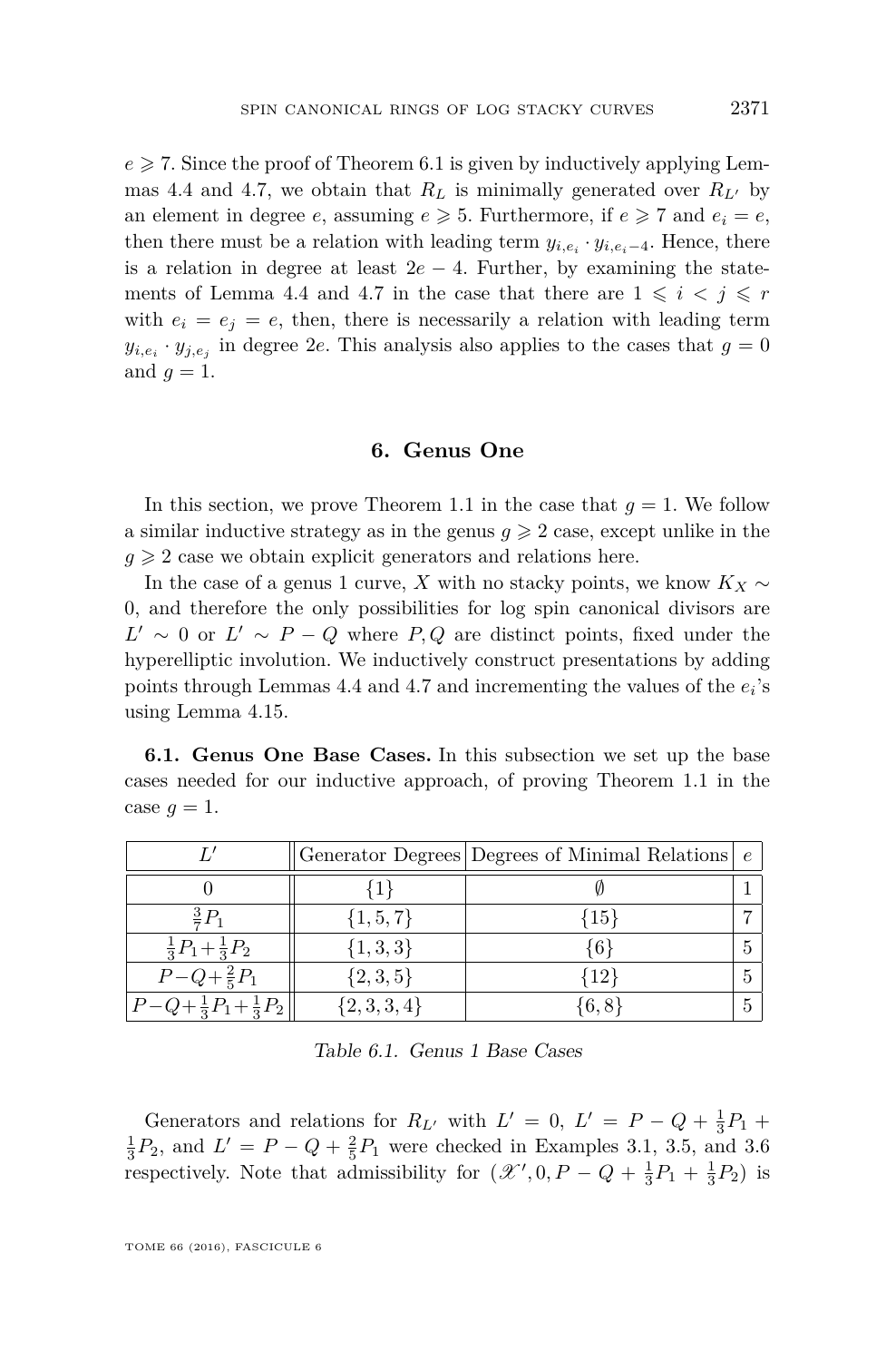$e \geqslant 7$ . Since the proof of Theorem [6.1](#page-34-1) is given by inductively applying Lem-mas [4.4](#page-16-0) and [4.7,](#page-20-0) we obtain that  $R_L$  is minimally generated over  $R_{L}$ <sup>0</sup> by an element in degree *e*, assuming  $e \ge 5$ . Furthermore, if  $e \ge 7$  and  $e_i = e$ , then there must be a relation with leading term  $y_{i,e_i} \cdot y_{i,e_i-4}$ . Hence, there is a relation in degree at least  $2e - 4$ . Further, by examining the state-ments of Lemma [4.4](#page-16-0) and [4.7](#page-20-0) in the case that there are  $1 \leq i \leq j \leq r$ with  $e_i = e_j = e$ , then, there is necessarily a relation with leading term  $y_{i,e_i} \cdot y_{j,e_j}$  in degree 2*e*. This analysis also applies to the cases that  $g = 0$ and  $q=1$ .

#### **6. Genus One**

<span id="page-33-1"></span>In this section, we prove Theorem [1.1](#page-3-0) in the case that  $q = 1$ . We follow a similar inductive strategy as in the genus  $q \geqslant 2$  case, except unlike in the  $g \geqslant 2$  case we obtain explicit generators and relations here.

In the case of a genus 1 curve, *X* with no stacky points, we know *K<sup>X</sup>* ∼ 0, and therefore the only possibilities for log spin canonical divisors are  $L' \sim 0$  or  $L' \sim P - Q$  where *P, Q* are distinct points, fixed under the hyperelliptic involution. We inductively construct presentations by adding points through Lemmas [4.4](#page-16-0) and [4.7](#page-20-0) and incrementing the values of the *e<sup>i</sup>* 's using Lemma [4.15.](#page-25-0)

<span id="page-33-2"></span>**6.1. Genus One Base Cases.** In this subsection we set up the base cases needed for our inductive approach, of proving Theorem [1.1](#page-3-0) in the case  $g = 1$ .

|                                     |               | Generator Degrees   Degrees of Minimal Relations $\vert e \vert$ |  |
|-------------------------------------|---------------|------------------------------------------------------------------|--|
|                                     |               |                                                                  |  |
| $rac{3}{2}P_1$                      | $\{1, 5, 7\}$ | ${15}$                                                           |  |
| $\frac{1}{3}P_1+\frac{1}{3}P_2$     | $\{1,3,3\}$   | :61                                                              |  |
| $P-Q+\frac{2}{5}P_1$                | $\{2,3,5\}$   | {12}                                                             |  |
| $P-Q+\frac{1}{3}P_1+\frac{1}{3}P_2$ | $\{2,3,3,4\}$ | $\{6, 8\}$                                                       |  |

<span id="page-33-0"></span>Table 6.1. Genus 1 Base Cases

Generators and relations for  $R_{L'}$  with  $L' = 0$ ,  $L' = P - Q + \frac{1}{3}P_1 +$  $\frac{1}{3}P_2$ , and  $L' = P - Q + \frac{2}{5}P_1$  were checked in Examples [3.1,](#page-10-1) [3.5,](#page-13-0) and [3.6](#page-13-1) respectively. Note that admissibility for  $(\mathcal{X}', 0, P - Q + \frac{1}{3}P_1 + \frac{1}{3}P_2)$  is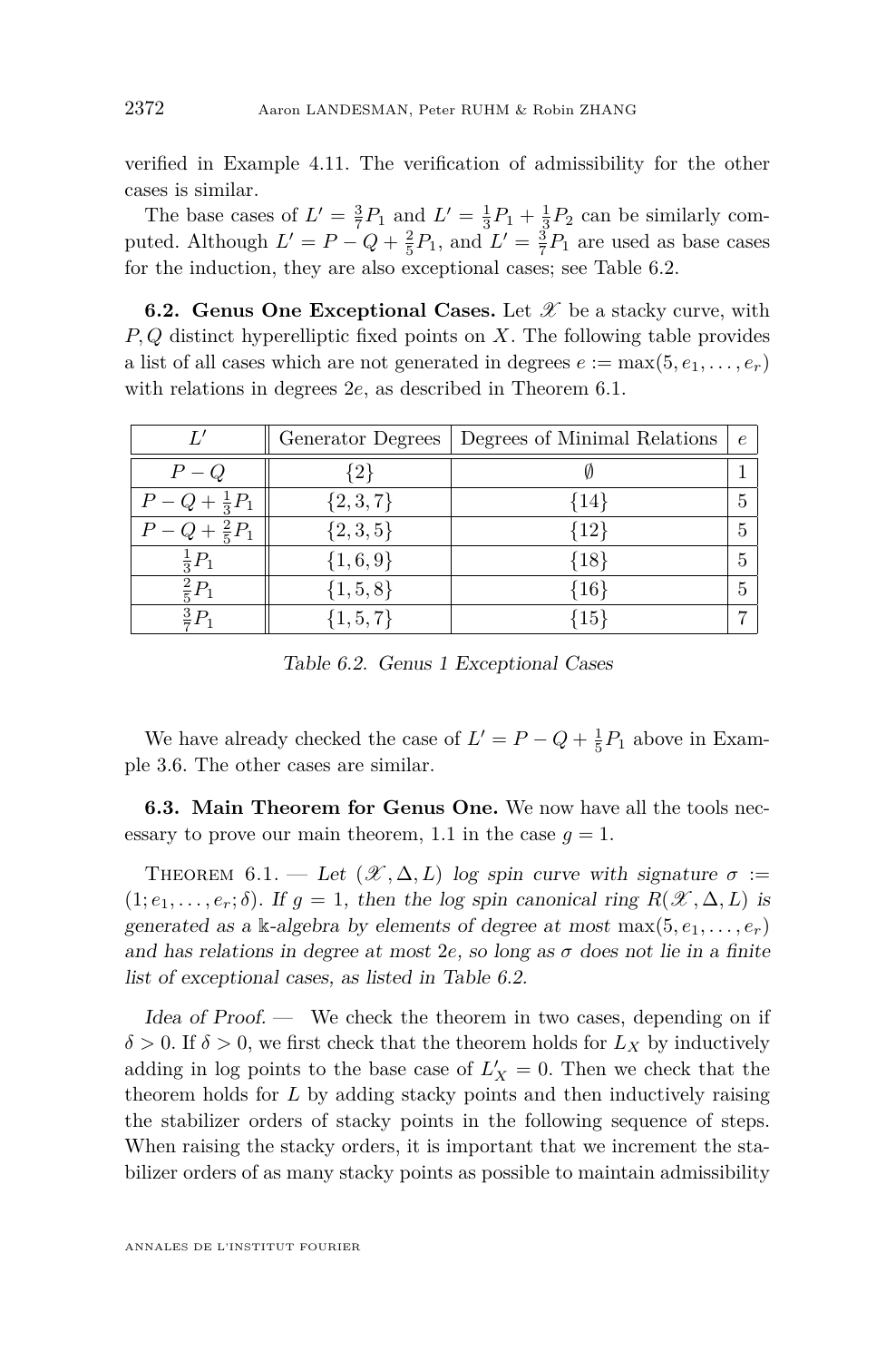verified in Example [4.11.](#page-24-0) The verification of admissibility for the other cases is similar.

The base cases of  $L' = \frac{3}{7}P_1$  and  $L' = \frac{1}{3}P_1 + \frac{1}{3}P_2$  can be similarly computed. Although  $L' = P - Q + \frac{2}{5}P_1$ , and  $L' = \frac{3}{7}P_1$  are used as base cases for the induction, they are also exceptional cases; see Table [6.2.](#page-34-0)

**6.2. Genus One Exceptional Cases.** Let  $\mathscr X$  be a stacky curve, with *P, Q* distinct hyperelliptic fixed points on *X*. The following table provides a list of all cases which are not generated in degrees  $e := \max(5, e_1, \ldots, e_r)$ with relations in degrees 2*e*, as described in Theorem [6.1.](#page-34-1)

|                          | Generator Degrees | Degrees of Minimal Relations | $\epsilon$ |
|--------------------------|-------------------|------------------------------|------------|
| $P-Q$                    | $\{2\}$           |                              |            |
| $P - Q + \frac{1}{3}P_1$ | $\{2,3,7\}$       | $\{14\}$                     |            |
| $P-Q+\frac{2}{5}P_1$     | $\{2,3,5\}$       | ${12}$                       | 5          |
| $\frac{1}{3}P_1$         | $\{1,6,9\}$       | ${18}$                       |            |
| $\frac{2}{5}P_1$         | $\{1, 5, 8\}$     | ${16}$                       |            |
| $\frac{3}{7}P_1$         | $\{1, 5, 7\}$     | $+15$                        |            |

<span id="page-34-0"></span>Table 6.2. Genus 1 Exceptional Cases

We have already checked the case of  $L' = P - Q + \frac{1}{5}P_1$  above in Example [3.6.](#page-13-1) The other cases are similar.

**6.3. Main Theorem for Genus One.** We now have all the tools nec-essary to prove our main theorem, [1.1](#page-3-0) in the case  $g = 1$ .

<span id="page-34-1"></span>THEOREM 6.1. — Let  $(\mathcal{X}, \Delta, L)$  log spin curve with signature  $\sigma :=$  $(1; e_1, \ldots, e_r; \delta)$ . If  $q = 1$ , then the log spin canonical ring  $R(\mathscr{X}, \Delta, L)$  is generated as a k-algebra by elements of degree at most  $\max(5, e_1, \ldots, e_r)$ and has relations in degree at most  $2e$ , so long as  $\sigma$  does not lie in a finite list of exceptional cases, as listed in Table [6.2.](#page-34-0)

Idea of Proof. — We check the theorem in two cases, depending on if  $\delta > 0$ . If  $\delta > 0$ , we first check that the theorem holds for  $L_X$  by inductively adding in log points to the base case of  $L'_X = 0$ . Then we check that the theorem holds for *L* by adding stacky points and then inductively raising the stabilizer orders of stacky points in the following sequence of steps. When raising the stacky orders, it is important that we increment the stabilizer orders of as many stacky points as possible to maintain admissibility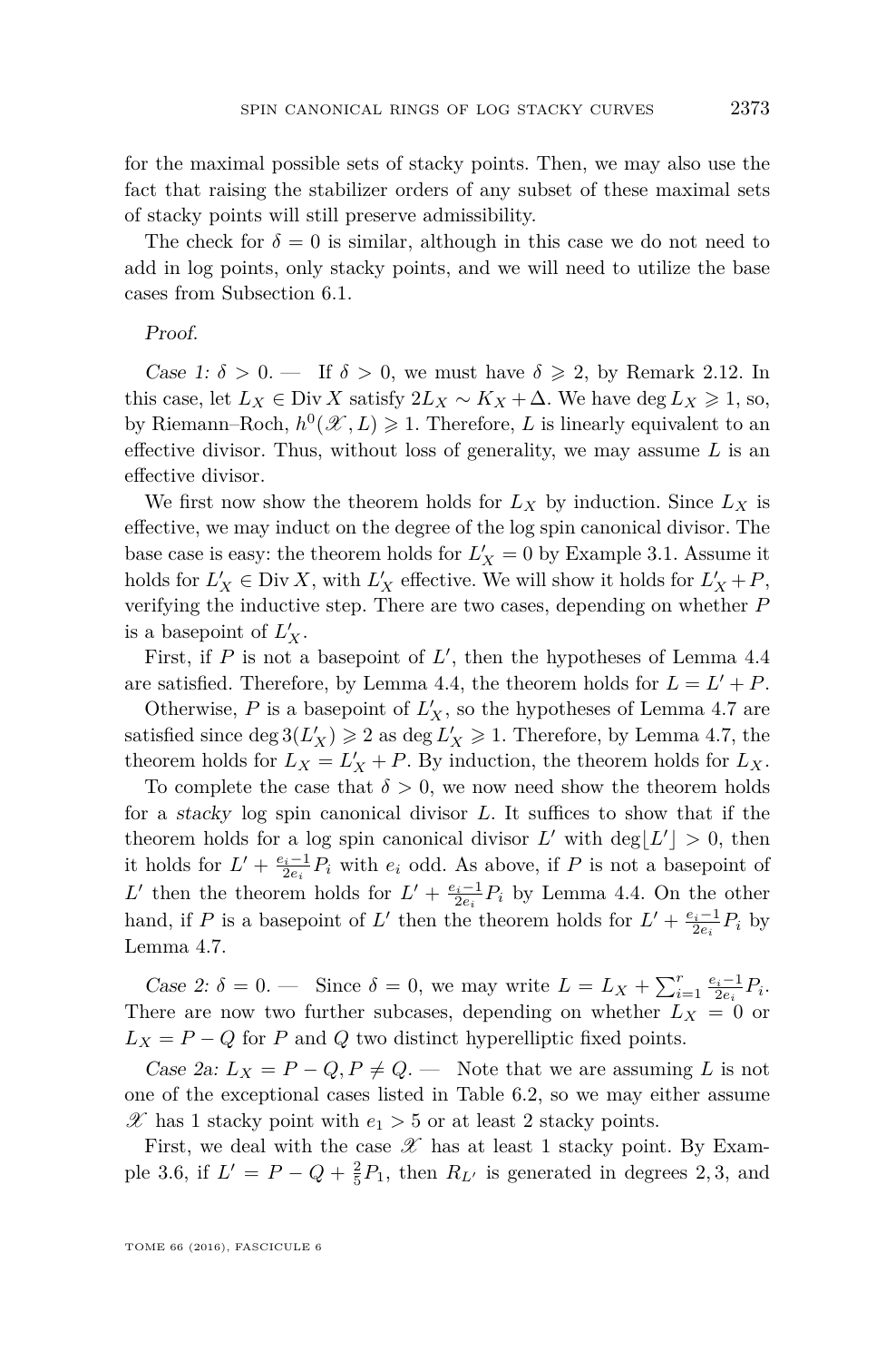for the maximal possible sets of stacky points. Then, we may also use the fact that raising the stabilizer orders of any subset of these maximal sets of stacky points will still preserve admissibility.

The check for  $\delta = 0$  is similar, although in this case we do not need to add in log points, only stacky points, and we will need to utilize the base cases from Subsection [6.1.](#page-33-2)

#### Proof.

Case 1:  $\delta > 0$ . — If  $\delta > 0$ , we must have  $\delta \ge 2$ , by Remark [2.12.](#page-8-3) In this case, let  $L_X \in \text{Div } X$  satisfy  $2L_X \sim K_X + \Delta$ . We have deg  $L_X \geq 1$ , so, by Riemann–Roch,  $h^0(\mathcal{X}, L) \geq 1$ . Therefore, *L* is linearly equivalent to an effective divisor. Thus, without loss of generality, we may assume *L* is an effective divisor.

We first now show the theorem holds for  $L_X$  by induction. Since  $L_X$  is effective, we may induct on the degree of the log spin canonical divisor. The base case is easy: the theorem holds for  $L'_X = 0$  by Example [3.1.](#page-10-1) Assume it holds for  $L'_X \in \text{Div } X$ , with  $L'_X$  effective. We will show it holds for  $L'_X + P$ , verifying the inductive step. There are two cases, depending on whether *P* is a basepoint of  $L'_X$ .

First, if  $P$  is not a basepoint of  $L'$ , then the hypotheses of Lemma [4.4](#page-16-0) are satisfied. Therefore, by Lemma [4.4,](#page-16-0) the theorem holds for  $L = L' + P$ .

Otherwise,  $P$  is a basepoint of  $L_X'$ , so the hypotheses of Lemma [4.7](#page-20-0) are satisfied since  $\deg 3(L_X') \geq 2$  as  $\deg L_X' \geq 1$ . Therefore, by Lemma [4.7,](#page-20-0) the theorem holds for  $L_X = L'_X + P$ . By induction, the theorem holds for  $L_X$ .

To complete the case that  $\delta > 0$ , we now need show the theorem holds for a stacky log spin canonical divisor *L*. It suffices to show that if the theorem holds for a log spin canonical divisor  $L'$  with  $\deg\lfloor L'\rfloor > 0$ , then it holds for  $L' + \frac{e_i-1}{2e_i}P_i$  with  $e_i$  odd. As above, if *P* is not a basepoint of L' then the theorem holds for  $L' + \frac{e_i - 1}{2e_i} P_i$  by Lemma [4.4.](#page-16-0) On the other hand, if *P* is a basepoint of *L'* then the theorem holds for  $L' + \frac{e_i - 1}{2e_i}P_i$  by Lemma [4.7.](#page-20-0)

Case 2:  $\delta = 0$ . — Since  $\delta = 0$ , we may write  $L = L_X + \sum_{i=1}^r \frac{e_i - 1}{2e_i} P_i$ . There are now two further subcases, depending on whether  $L_X = 0$  or  $L_X = P - Q$  for *P* and *Q* two distinct hyperelliptic fixed points.

*Case 2a:*  $L_X = P - Q, P \neq Q$ . — Note that we are assuming L is not one of the exceptional cases listed in Table [6.2,](#page-34-0) so we may either assume  $\mathscr{X}$  has 1 stacky point with  $e_1 > 5$  or at least 2 stacky points.

First, we deal with the case  $\mathscr X$  has at least 1 stacky point. By Exam-ple [3.6,](#page-13-1) if  $L' = P - Q + \frac{2}{5}P_1$ , then  $R_{L'}$  is generated in degrees 2, 3, and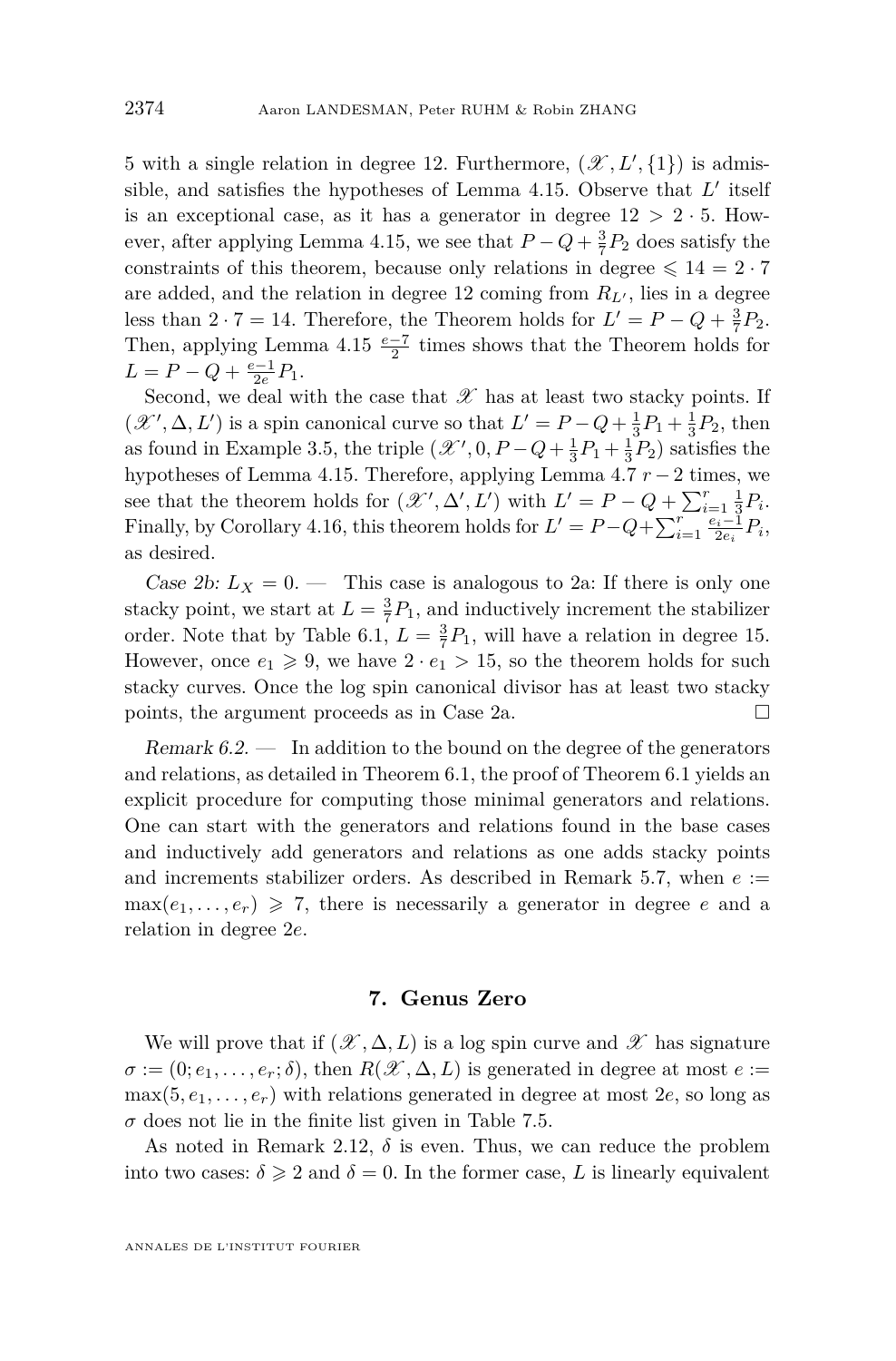5 with a single relation in degree 12. Furthermore,  $(\mathscr{X}, L', \{1\})$  is admissible, and satisfies the hypotheses of Lemma  $4.15$ . Observe that  $L'$  itself is an exceptional case, as it has a generator in degree  $12 > 2 \cdot 5$ . How-ever, after applying Lemma [4.15,](#page-25-0) we see that  $P - Q + \frac{3}{7}P_2$  does satisfy the constraints of this theorem, because only relations in degree  $\leq 14 = 2 \cdot 7$ are added, and the relation in degree 12 coming from  $R_{L}$ , lies in a degree less than  $2 \cdot 7 = 14$ . Therefore, the Theorem holds for  $L' = P - Q + \frac{3}{7}P_2$ . Then, applying Lemma  $4.15 \frac{e-7}{2}$  $4.15 \frac{e-7}{2}$  times shows that the Theorem holds for  $L = P - Q + \frac{e-1}{2e}P_1.$ 

Second, we deal with the case that  $\mathscr X$  has at least two stacky points. If  $(\mathcal{X}', \Delta, L')$  is a spin canonical curve so that  $L' = P - Q + \frac{1}{3}P_1 + \frac{1}{3}P_2$ , then as found in Example [3.5,](#page-13-0) the triple  $(\mathcal{X}', 0, P - Q + \frac{1}{3}P_1 + \frac{1}{3}P_2)$  satisfies the hypotheses of Lemma [4.15.](#page-25-0) Therefore, applying Lemma [4.7](#page-20-0) *r* −2 times, we see that the theorem holds for  $(\mathscr{X}', \Delta', L')$  with  $L' = P - Q + \sum_{i=1}^r \frac{1}{3}P_i$ . Finally, by Corollary [4.16,](#page-28-0) this theorem holds for  $L' = P - Q + \sum_{i=1}^{r} \frac{e_i - 1}{2e_i} P_i$ , as desired.

Case 2b:  $L_X = 0$ . — This case is analogous to 2a: If there is only one stacky point, we start at  $L = \frac{3}{7}P_1$ , and inductively increment the stabilizer order. Note that by Table [6.1,](#page-33-0)  $L = \frac{3}{7}P_1$ , will have a relation in degree 15. However, once  $e_1 \geq 9$ , we have  $2 \cdot e_1 > 15$ , so the theorem holds for such stacky curves. Once the log spin canonical divisor has at least two stacky points, the argument proceeds as in Case 2a.  $\Box$ 

<span id="page-36-0"></span>Remark  $6.2.$  — In addition to the bound on the degree of the generators and relations, as detailed in Theorem [6.1,](#page-34-1) the proof of Theorem [6.1](#page-34-1) yields an explicit procedure for computing those minimal generators and relations. One can start with the generators and relations found in the base cases and inductively add generators and relations as one adds stacky points and increments stabilizer orders. As described in Remark [5.7,](#page-32-1) when  $e :=$  $\max(e_1, \ldots, e_r) \geq 7$ , there is necessarily a generator in degree *e* and a relation in degree 2*e*.

#### **7. Genus Zero**

<span id="page-36-1"></span>We will prove that if  $(\mathscr{X}, \Delta, L)$  is a log spin curve and  $\mathscr{X}$  has signature  $\sigma := (0; e_1, \ldots, e_r; \delta)$ , then  $R(\mathscr{X}, \Delta, L)$  is generated in degree at most  $e :=$  $max(5, e_1, \ldots, e_r)$  with relations generated in degree at most 2*e*, so long as  $\sigma$  does not lie in the finite list given in Table [7.5.](#page-40-0)

As noted in Remark [2.12,](#page-8-3)  $\delta$  is even. Thus, we can reduce the problem into two cases:  $\delta \geq 2$  and  $\delta = 0$ . In the former case, *L* is linearly equivalent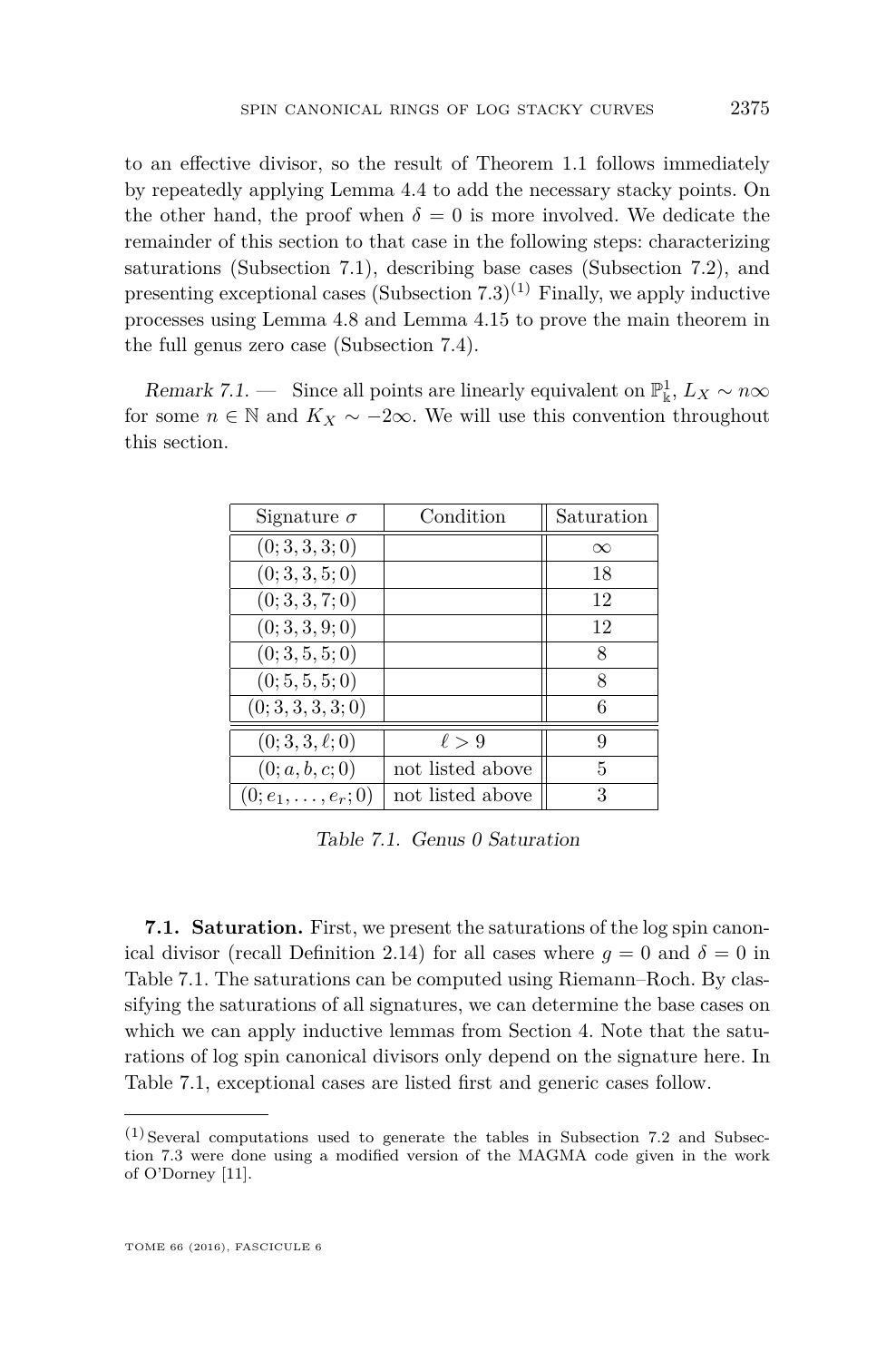to an effective divisor, so the result of Theorem [1.1](#page-3-0) follows immediately by repeatedly applying Lemma [4.4](#page-16-0) to add the necessary stacky points. On the other hand, the proof when  $\delta = 0$  is more involved. We dedicate the remainder of this section to that case in the following steps: characterizing saturations (Subsection [7.1\)](#page-37-0), describing base cases (Subsection [7.2\)](#page-38-1), and presenting exceptional cases (Subsection  $(7.3)^{(1)}$  $(7.3)^{(1)}$  $(7.3)^{(1)}$  Finally, we apply inductive processes using Lemma [4.8](#page-21-0) and Lemma [4.15](#page-25-0) to prove the main theorem in the full genus zero case (Subsection [7.4\)](#page-40-2).

<span id="page-37-0"></span>Remark 7.1. — Since all points are linearly equivalent on  $\mathbb{P}^1_k$ ,  $L_X \sim n\infty$ for some  $n \in \mathbb{N}$  and  $K_X \sim -2\infty$ . We will use this convention throughout this section.

| Signature $\sigma$         | Condition        | Saturation |
|----------------------------|------------------|------------|
| (0; 3, 3, 3; 0)            |                  | $\infty$   |
| (0; 3, 3, 5; 0)            |                  | 18         |
| (0; 3, 3, 7; 0)            |                  | 12         |
| (0; 3, 3, 9; 0)            |                  | 12         |
| (0; 3, 5, 5; 0)            |                  | 8          |
| (0; 5, 5, 5; 0)            |                  | 8          |
| (0; 3, 3, 3, 3; 0)         |                  | 6          |
| $(0; 3, 3, \ell; 0)$       | $\ell > 9$       | 9          |
| (0; a, b, c; 0)            | not listed above | 5          |
| $(0; e_1, \ldots, e_r; 0)$ | not listed above | 3          |

<span id="page-37-1"></span>Table 7.1. Genus 0 Saturation

**7.1. Saturation.** First, we present the saturations of the log spin canon-ical divisor (recall Definition [2.14\)](#page-8-1) for all cases where  $g = 0$  and  $\delta = 0$  in Table [7.1.](#page-37-1) The saturations can be computed using Riemann–Roch. By classifying the saturations of all signatures, we can determine the base cases on which we can apply inductive lemmas from Section [4.](#page-14-0) Note that the saturations of log spin canonical divisors only depend on the signature here. In Table [7.1,](#page-37-1) exceptional cases are listed first and generic cases follow.

 $(1)$  Several computations used to generate the tables in Subsection [7.2](#page-38-1) and Subsection [7.3](#page-39-0) were done using a modified version of the MAGMA code given in the work of O'Dorney [\[11\]](#page-45-2).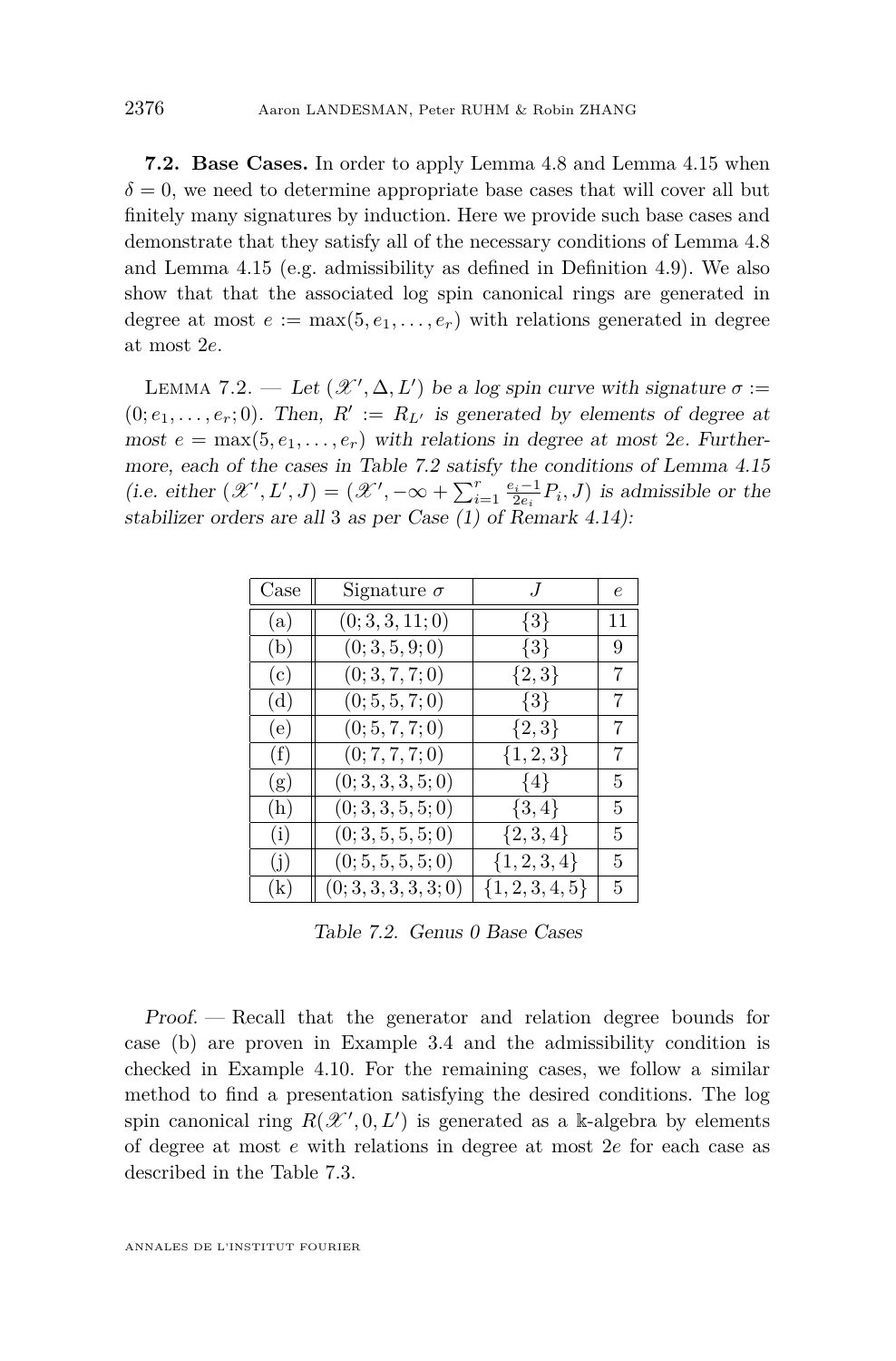<span id="page-38-1"></span>**7.2. Base Cases.** In order to apply Lemma [4.8](#page-21-0) and Lemma [4.15](#page-25-0) when  $\delta = 0$ , we need to determine appropriate base cases that will cover all but finitely many signatures by induction. Here we provide such base cases and demonstrate that they satisfy all of the necessary conditions of Lemma [4.8](#page-21-0) and Lemma [4.15](#page-25-0) (e.g. admissibility as defined in Definition [4.9\)](#page-22-1). We also show that that the associated log spin canonical rings are generated in degree at most  $e := \max(5, e_1, \ldots, e_r)$  with relations generated in degree at most 2*e*.

<span id="page-38-2"></span>LEMMA 7.2. — Let  $(\mathscr{X}', \Delta, L')$  be a log spin curve with signature  $\sigma :=$  $(0; e_1, \ldots, e_r; 0)$ . Then,  $R' := R_{L'}$  is generated by elements of degree at most  $e = \max(5, e_1, \ldots, e_r)$  with relations in degree at most 2*e*. Furthermore, each of the cases in Table [7.2](#page-38-0) satisfy the conditions of Lemma [4.15](#page-25-0) (i.e. either  $(\mathcal{X}', L', J) = (\mathcal{X}', -\infty + \sum_{i=1}^r \frac{e_i - 1}{2e_i} P_i, J)$  is admissible or the stabilizer orders are all 3 as per Case (1) of Remark [4.14\)](#page-25-1):

| Case                       | Signature $\sigma$    | $J_{\parallel}$  | е  |
|----------------------------|-----------------------|------------------|----|
| (a)                        | (0; 3, 3, 11; 0)      | $\{3\}$          | 11 |
| (b)                        | (0; 3, 5, 9; 0)       | $\{3\}$          | 9  |
| (c)                        | (0; 3, 7, 7; 0)       | $\{2,3\}$        | 7  |
| (d)                        | (0; 5, 5, 7; 0)       | $\{3\}$          | 7  |
| (e)                        | (0; 5, 7, 7; 0)       | $\{2,3\}$        | 7  |
| (f)                        | (0; 7, 7, 7; 0)       | $\{1, 2, 3\}$    | 7  |
| (g)                        | (0; 3, 3, 3, 5; 0)    | $\{4\}$          | 5  |
| (h)                        | (0; 3, 3, 5, 5; 0)    | $\{3,4\}$        | 5  |
| (i)                        | (0; 3, 5, 5, 5; 0)    | $\{2,3,4\}$      | 5. |
| (j)                        | (0; 5, 5, 5, 5; 0)    | $\{1, 2, 3, 4\}$ | 5  |
| $\left( \mathrm{k}\right)$ | (0; 3, 3, 3, 3, 3, 0) | $\{1,2,3,4,5\}$  | 5  |

<span id="page-38-0"></span>Table 7.2. Genus 0 Base Cases

Proof. — Recall that the generator and relation degree bounds for case (b) are proven in Example [3.4](#page-11-1) and the admissibility condition is checked in Example [4.10.](#page-23-0) For the remaining cases, we follow a similar method to find a presentation satisfying the desired conditions. The log spin canonical ring  $R(\mathcal{X}', 0, L')$  is generated as a k-algebra by elements of degree at most *e* with relations in degree at most 2*e* for each case as described in the Table [7.3.](#page-39-1)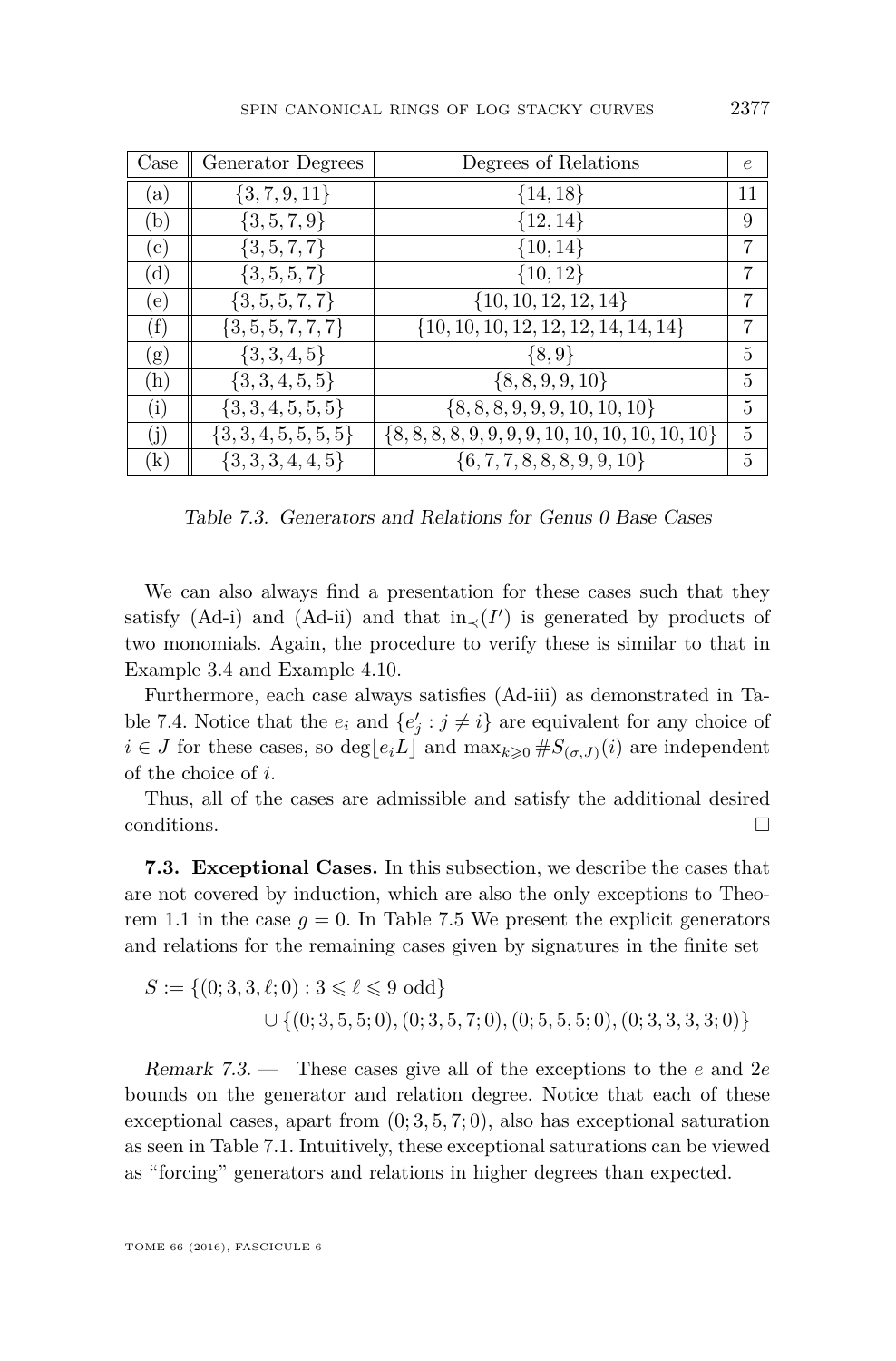| Case         | Generator Degrees      | Degrees of Relations                                 | $\epsilon$ |
|--------------|------------------------|------------------------------------------------------|------------|
| $\mathbf{a}$ | $\{3, 7, 9, 11\}$      | ${14, 18}$                                           | 11         |
| (b)          | $\{3, 5, 7, 9\}$       | ${12, 14}$                                           | 9          |
| (c)          | $\{3, 5, 7, 7\}$       | $\{10, 14\}$                                         | 7          |
| (d)          | $\{3, 5, 5, 7\}$       | ${10, 12}$                                           | 7          |
| (e)          | $\{3, 5, 5, 7, 7\}$    | $\{10, 10, 12, 12, 14\}$                             | 7          |
| (f)          | $\{3, 5, 5, 7, 7, 7\}$ | $\{10, 10, 10, 12, 12, 12, 14, 14, 14\}$             | 7          |
| (g)          | $\{3,3,4,5\}$          | $\{8, 9\}$                                           | 5          |
| (h)          | $\{3,3,4,5,5\}$        | $\{8, 8, 9, 9, 10\}$                                 | 5          |
| (i)          | $\{3,3,4,5,5,5\}$      | $\{8, 8, 8, 9, 9, 9, 10, 10, 10\}$                   | 5          |
| (j)          | $\{3,3,4,5,5,5,5\}$    | $\{8, 8, 8, 8, 9, 9, 9, 9, 10, 10, 10, 10, 10, 10\}$ | 5          |
| $\rm(k)$     | $\{3,3,3,4,4,5\}$      | $\{6, 7, 7, 8, 8, 8, 9, 9, 10\}$                     | 5          |

<span id="page-39-1"></span>Table 7.3. Generators and Relations for Genus 0 Base Cases

We can also always find a presentation for these cases such that they satisfy [\(Ad-i\)](#page-23-1) and [\(Ad-ii\)](#page-23-2) and that  $in_{\prec}(I')$  is generated by products of two monomials. Again, the procedure to verify these is similar to that in Example [3.4](#page-11-1) and Example [4.10.](#page-23-0)

Furthermore, each case always satisfies [\(Ad-iii\)](#page-23-3) as demonstrated in Ta-ble [7.4.](#page-40-3) Notice that the  $e_i$  and  $\{e'_j : j \neq i\}$  are equivalent for any choice of *i* ∈ *J* for these cases, so deg[ $e_i L$ ] and max $_k$ <sub>≥0</sub>  $#S$ ( $\sigma$ ,*J*)(*i*) are independent of the choice of *i*.

Thus, all of the cases are admissible and satisfy the additional desired conditions.  $\Box$ 

<span id="page-39-0"></span>**7.3. Exceptional Cases.** In this subsection, we describe the cases that are not covered by induction, which are also the only exceptions to Theo-rem [1.1](#page-3-0) in the case  $q = 0$ . In Table [7.5](#page-40-0) We present the explicit generators and relations for the remaining cases given by signatures in the finite set

$$
S := \{(0; 3, 3, \ell; 0) : 3 \leq \ell \leq 9 \text{ odd}\}\
$$
  

$$
\cup \{(0; 3, 5, 5; 0), (0; 3, 5, 7; 0), (0; 5, 5, 5; 0), (0; 3, 3, 3, 3; 0)\}\
$$

Remark 7.3. — These cases give all of the exceptions to the *e* and 2*e* bounds on the generator and relation degree. Notice that each of these exceptional cases, apart from (0; 3*,* 5*,* 7; 0), also has exceptional saturation as seen in Table [7.1.](#page-37-1) Intuitively, these exceptional saturations can be viewed as "forcing" generators and relations in higher degrees than expected.

TOME 66 (2016), FASCICULE 6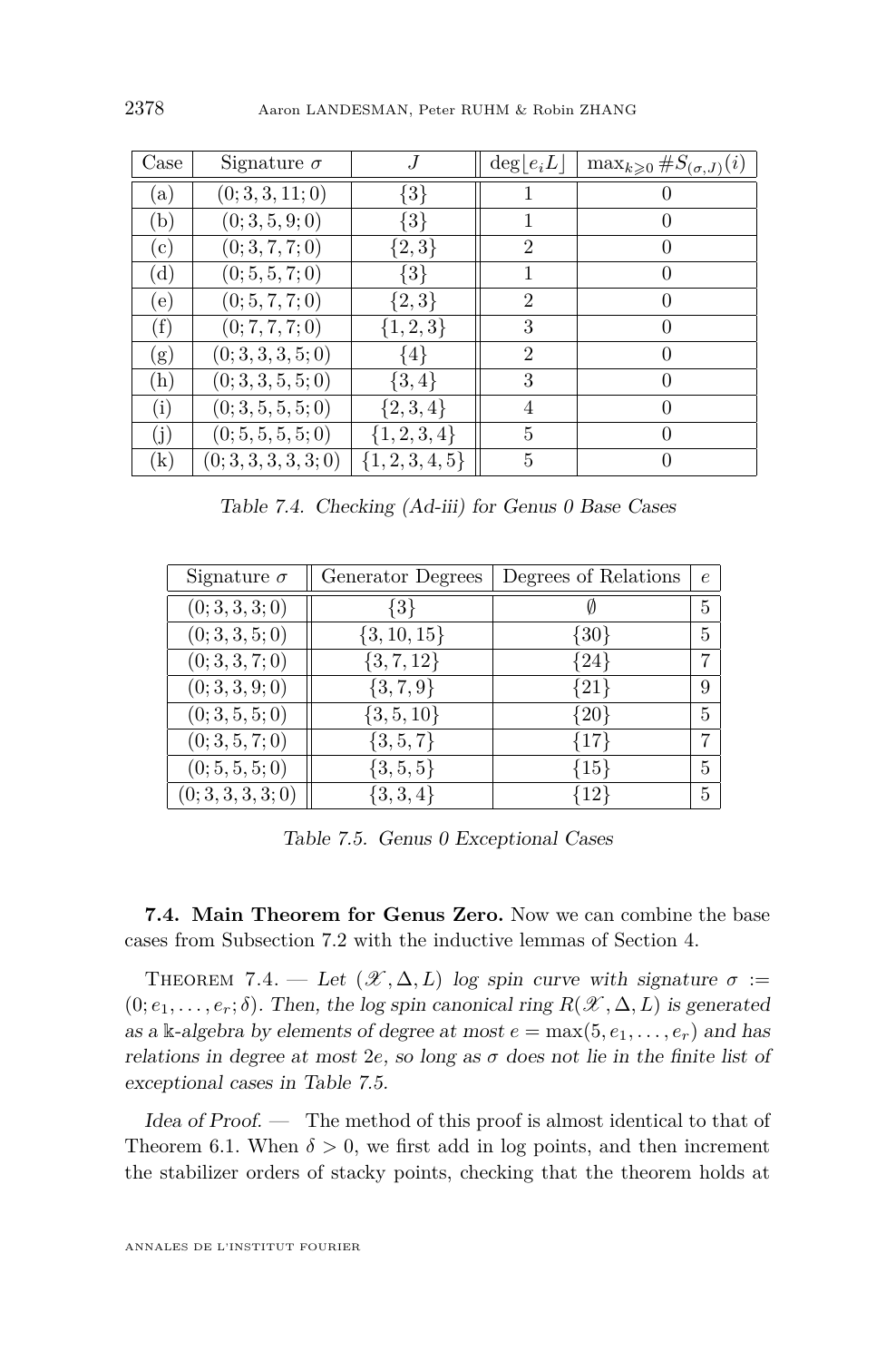| $\rm Case$     | Signature $\sigma$    | J                   | $\deg  e_i L $ | $\max_{k\geqslant 0} \#S_{(\sigma, J)}(i)$ |
|----------------|-----------------------|---------------------|----------------|--------------------------------------------|
| (a)            | (0; 3, 3, 11; 0)      | $\{3\}$             |                |                                            |
| (b)            | (0; 3, 5, 9; 0)       | $\{3\}$             |                | $\left( \right)$                           |
| $^{\rm (c)}$   | (0; 3, 7, 7; 0)       | $\{2,3\}$           | $\overline{2}$ | $\theta$                                   |
| $(\mathrm{d})$ | (0; 5, 5, 7; 0)       | $\{3\}$             |                | $\theta$                                   |
| (e)            | (0; 5, 7, 7; 0)       | $\{2,3\}$           | $\overline{2}$ | $\Omega$                                   |
| (f)            | (0; 7, 7, 7; 0)       | $\{1, 2, 3\}$       | 3              | $\theta$                                   |
| (g)            | (0; 3, 3, 3, 5; 0)    | {4}                 | $\overline{2}$ | $\theta$                                   |
| (h)            | (0; 3, 3, 5, 5; 0)    | $\{3,4\}$           | 3              | $\theta$                                   |
| (i)            | (0; 3, 5, 5, 5; 0)    | $\{2,3,4\}$         | 4              | $\Omega$                                   |
| (j)            | (0; 5, 5, 5, 5; 0)    | $\{1, 2, 3, 4\}$    | 5              | $\Omega$                                   |
| $\rm(k)$       | (0; 3, 3, 3, 3, 3, 3) | $\{1, 2, 3, 4, 5\}$ | 5              | $\left( \right)$                           |

<span id="page-40-3"></span>Table 7.4. Checking [\(Ad-iii\)](#page-23-3) for Genus 0 Base Cases

| Signature $\sigma$ | Generator Degrees | Degrees of Relations | $\epsilon$ |
|--------------------|-------------------|----------------------|------------|
| (0; 3, 3, 3; 0)    | $\{3\}$           |                      | 5          |
| (0; 3, 3, 5; 0)    | $\{3, 10, 15\}$   | ${30}$               | 5          |
| (0; 3, 3, 7; 0)    | $\{3, 7, 12\}$    | ${24}$               |            |
| (0; 3, 3, 9; 0)    | $\{3, 7, 9\}$     | ${21}$               | 9          |
| (0; 3, 5, 5; 0)    | $\{3, 5, 10\}$    | ${20}$               | 5          |
| (0; 3, 5, 7; 0)    | $\{3, 5, 7\}$     | ${17}$               | 7          |
| (0; 5, 5, 5; 0)    | $\{3, 5, 5\}$     | ${15}$               | 5          |
| (0; 3, 3, 3, 3; 0) | $\{3,3,4\}$       | $\{12\}$             | 5          |

<span id="page-40-0"></span>Table 7.5. Genus 0 Exceptional Cases

<span id="page-40-2"></span>**7.4. Main Theorem for Genus Zero.** Now we can combine the base cases from Subsection [7.2](#page-38-1) with the inductive lemmas of Section [4.](#page-14-0)

<span id="page-40-1"></span>THEOREM 7.4. — Let  $(\mathscr{X}, \Delta, L)$  log spin curve with signature  $\sigma :=$  $(0; e_1, \ldots, e_r; \delta)$ . Then, the log spin canonical ring  $R(\mathscr{X}, \Delta, L)$  is generated as a k-algebra by elements of degree at most  $e = \max(5, e_1, \ldots, e_r)$  and has relations in degree at most  $2e$ , so long as  $\sigma$  does not lie in the finite list of exceptional cases in Table [7.5.](#page-40-0)

Idea of Proof. — The method of this proof is almost identical to that of Theorem [6.1.](#page-34-1) When  $\delta > 0$ , we first add in log points, and then increment the stabilizer orders of stacky points, checking that the theorem holds at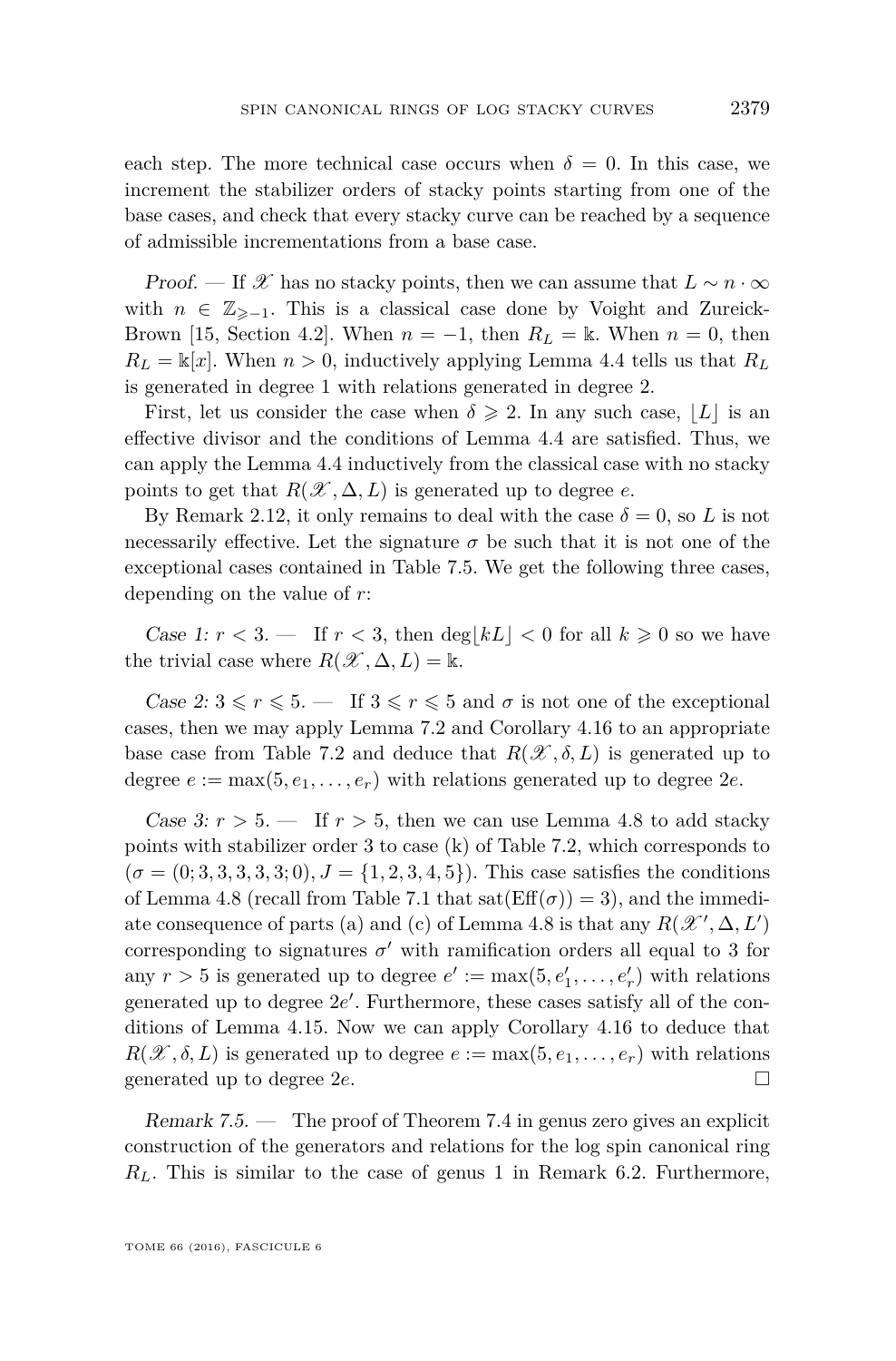each step. The more technical case occurs when  $\delta = 0$ . In this case, we increment the stabilizer orders of stacky points starting from one of the base cases, and check that every stacky curve can be reached by a sequence of admissible incrementations from a base case.

Proof. — If X has no stacky points, then we can assume that  $L \sim n \cdot \infty$ with  $n \in \mathbb{Z}_{\geq -1}$ . This is a classical case done by Voight and Zureick-Brown [\[15,](#page-45-0) Section 4.2]. When  $n = -1$ , then  $R_L = \mathbb{k}$ . When  $n = 0$ , then  $R_L = \mathbb{K}[x]$ . When  $n > 0$ , inductively applying Lemma [4.4](#page-16-0) tells us that  $R_L$ is generated in degree 1 with relations generated in degree 2.

First, let us consider the case when  $\delta \geq 2$ . In any such case,  $|L|$  is an effective divisor and the conditions of Lemma [4.4](#page-16-0) are satisfied. Thus, we can apply the Lemma [4.4](#page-16-0) inductively from the classical case with no stacky points to get that  $R(\mathcal{X}, \Delta, L)$  is generated up to degree *e*.

By Remark [2.12,](#page-8-3) it only remains to deal with the case  $\delta = 0$ , so *L* is not necessarily effective. Let the signature  $\sigma$  be such that it is not one of the exceptional cases contained in Table [7.5.](#page-40-0) We get the following three cases, depending on the value of *r*:

Case 1:  $r < 3$ . — If  $r < 3$ , then deg|kL|  $< 0$  for all  $k \geq 0$  so we have the trivial case where  $R(\mathcal{X}, \Delta, L) = \mathbb{k}$ .

Case 2:  $3 \le r \le 5$ . — If  $3 \le r \le 5$  and  $\sigma$  is not one of the exceptional cases, then we may apply Lemma [7.2](#page-38-2) and Corollary [4.16](#page-28-0) to an appropriate base case from Table [7.2](#page-38-0) and deduce that  $R(\mathscr{X}, \delta, L)$  is generated up to degree  $e := max(5, e_1, \ldots, e_r)$  with relations generated up to degree  $2e$ .

Case 3:  $r > 5$ . — If  $r > 5$ , then we can use Lemma [4.8](#page-21-0) to add stacky points with stabilizer order 3 to case (k) of Table [7.2,](#page-38-0) which corresponds to  $(\sigma = (0, 3, 3, 3, 3, 3, 0), J = \{1, 2, 3, 4, 5\})$ . This case satisfies the conditions of Lemma [4.8](#page-21-0) (recall from Table [7.1](#page-37-1) that  $sat(Eff(\sigma)) = 3$ ), and the immedi-ate consequence of parts (a) and (c) of Lemma [4.8](#page-21-0) is that any  $R(\mathcal{X}', \Delta, L')$ corresponding to signatures  $\sigma'$  with ramification orders all equal to 3 for any  $r > 5$  is generated up to degree  $e' := \max(5, e'_1, \ldots, e'_r)$  with relations generated up to degree  $2e'$ . Furthermore, these cases satisfy all of the conditions of Lemma [4.15.](#page-25-0) Now we can apply Corollary [4.16](#page-28-0) to deduce that  $R(\mathscr{X}, \delta, L)$  is generated up to degree  $e := \max(5, e_1, \ldots, e_r)$  with relations generated up to degree 2*e*.

<span id="page-41-0"></span>Remark 7.5. — The proof of Theorem [7.4](#page-40-1) in genus zero gives an explicit construction of the generators and relations for the log spin canonical ring *RL*. This is similar to the case of genus 1 in Remark [6.2.](#page-36-0) Furthermore,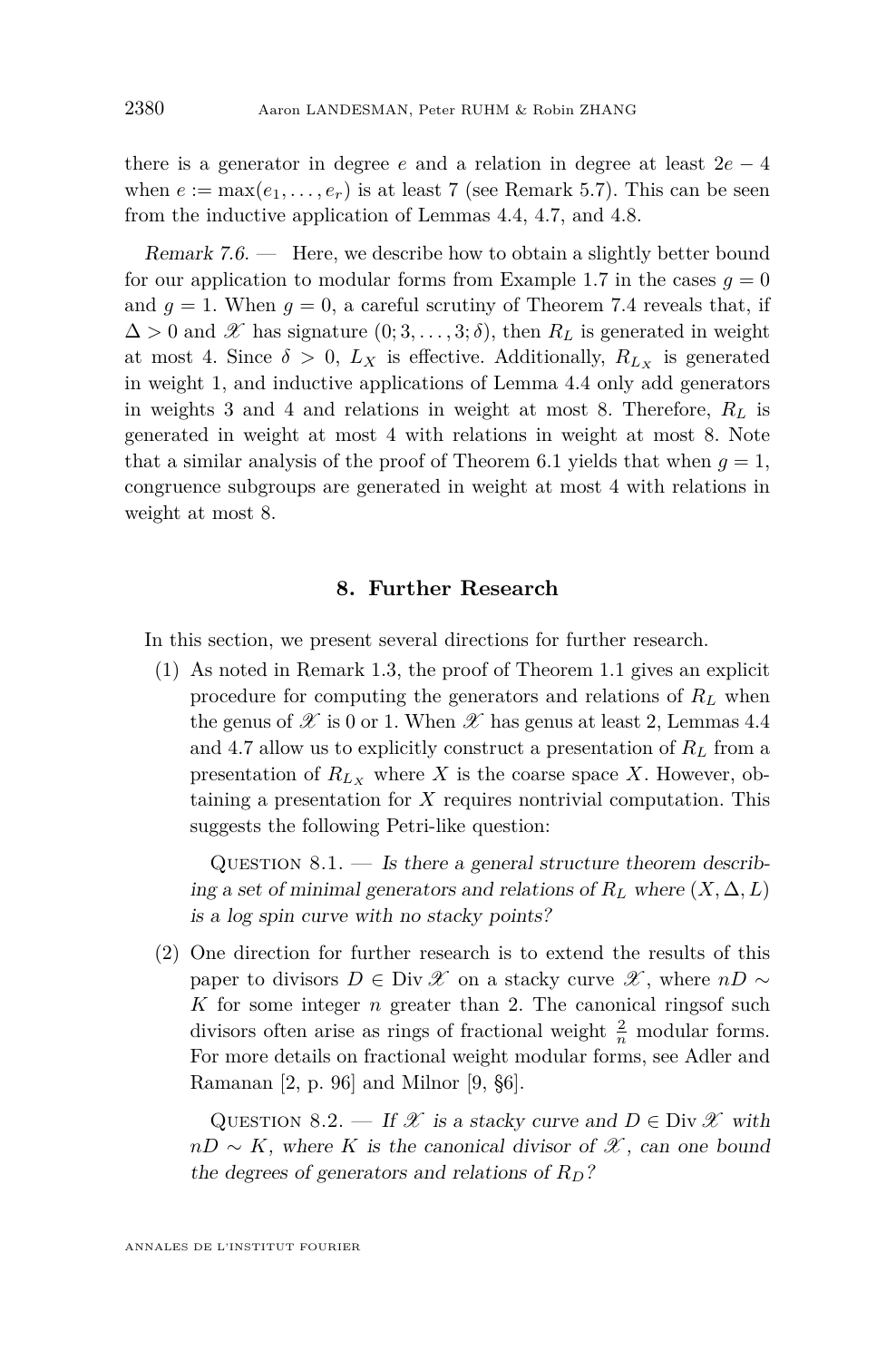there is a generator in degree *e* and a relation in degree at least 2*e* − 4 when  $e := \max(e_1, \ldots, e_r)$  is at least 7 (see Remark [5.7\)](#page-32-1). This can be seen from the inductive application of Lemmas [4.4,](#page-16-0) [4.7,](#page-20-0) and [4.8.](#page-21-0)

<span id="page-42-0"></span>Remark  $7.6.$  — Here, we describe how to obtain a slightly better bound for our application to modular forms from Example [1.7](#page-5-1) in the cases  $q = 0$ and  $g = 1$ . When  $g = 0$ , a careful scrutiny of Theorem [7.4](#page-40-1) reveals that, if  $\Delta > 0$  and X has signature  $(0; 3, \ldots, 3; \delta)$ , then  $R_L$  is generated in weight at most 4. Since  $\delta > 0$ ,  $L_X$  is effective. Additionally,  $R_{L_X}$  is generated in weight 1, and inductive applications of Lemma [4.4](#page-16-0) only add generators in weights 3 and 4 and relations in weight at most 8. Therefore,  $R_L$  is generated in weight at most 4 with relations in weight at most 8. Note that a similar analysis of the proof of Theorem [6.1](#page-34-1) yields that when  $g = 1$ , congruence subgroups are generated in weight at most 4 with relations in weight at most 8.

#### **8. Further Research**

<span id="page-42-1"></span>In this section, we present several directions for further research.

(1) As noted in Remark [1.3,](#page-3-1) the proof of Theorem [1.1](#page-3-0) gives an explicit procedure for computing the generators and relations of  $R_L$  when the genus of  $\mathscr X$  is 0 or 1. When  $\mathscr X$  has genus at least 2, Lemmas [4.4](#page-16-0) and [4](#page-20-0)*.*7 allow us to explicitly construct a presentation of *R<sup>L</sup>* from a presentation of  $R_{L_X}$  where  $X$  is the coarse space  $X$ . However, obtaining a presentation for *X* requires nontrivial computation. This suggests the following Petri-like question:

QUESTION  $8.1.$  — Is there a general structure theorem describing a set of minimal generators and relations of  $R_L$  where  $(X, \Delta, L)$ is a log spin curve with no stacky points?

(2) One direction for further research is to extend the results of this paper to divisors  $D \in \text{Div } \mathscr{X}$  on a stacky curve  $\mathscr{X}$ , where  $nD \sim$ *K* for some integer *n* greater than 2. The canonical ringsof such divisors often arise as rings of fractional weight  $\frac{2}{n}$  modular forms. For more details on fractional weight modular forms, see Adler and Ramanan [\[2,](#page-44-6) p. 96] and Milnor [\[9,](#page-45-9) §6].

<span id="page-42-2"></span>QUESTION 8.2. — If X is a stacky curve and  $D \in \text{Div } \mathscr{X}$  with  $nD \sim K$ , where *K* is the canonical divisor of  $\mathscr{X}$ , can one bound the degrees of generators and relations of *RD*?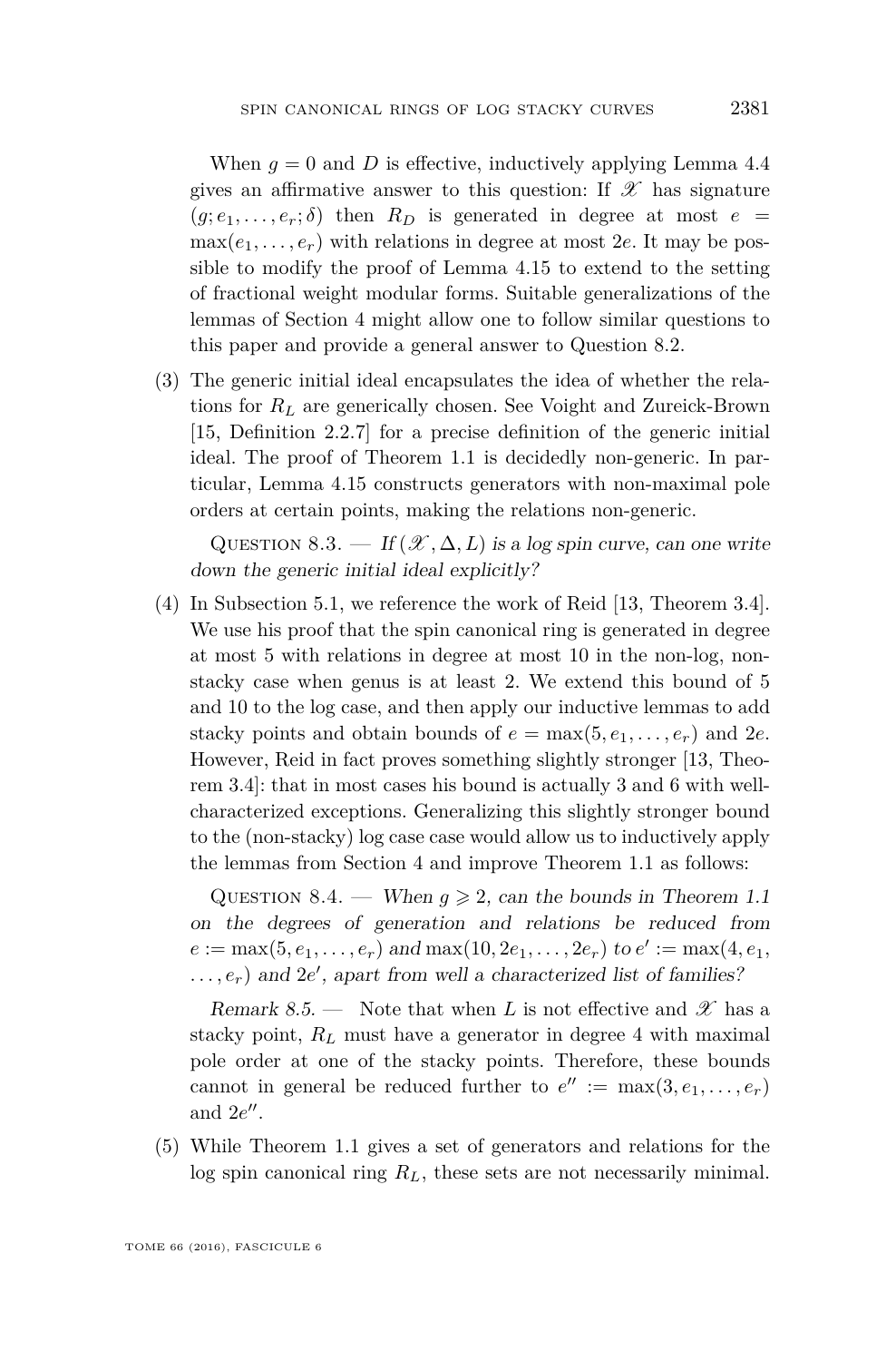When  $q = 0$  and D is effective, inductively applying Lemma [4.4](#page-16-0) gives an affirmative answer to this question: If  $\mathscr X$  has signature  $(g; e_1, \ldots, e_r; \delta)$  then  $R_D$  is generated in degree at most  $e =$  $\max(e_1, \ldots, e_r)$  with relations in degree at most 2*e*. It may be possible to modify the proof of Lemma [4.15](#page-25-0) to extend to the setting of fractional weight modular forms. Suitable generalizations of the lemmas of Section [4](#page-14-0) might allow one to follow similar questions to this paper and provide a general answer to Question [8.2.](#page-42-2)

(3) The generic initial ideal encapsulates the idea of whether the relations for *R<sup>L</sup>* are generically chosen. See Voight and Zureick-Brown [\[15,](#page-45-0) Definition 2.2.7] for a precise definition of the generic initial ideal. The proof of Theorem [1.1](#page-3-0) is decidedly non-generic. In particular, Lemma [4.15](#page-25-0) constructs generators with non-maximal pole orders at certain points, making the relations non-generic.

QUESTION 8.3. — If  $(\mathcal{X}, \Delta, L)$  is a log spin curve, can one write down the generic initial ideal explicitly?

(4) In Subsection [5.1,](#page-29-1) we reference the work of Reid [\[13,](#page-45-8) Theorem 3.4]. We use his proof that the spin canonical ring is generated in degree at most 5 with relations in degree at most 10 in the non-log, nonstacky case when genus is at least 2. We extend this bound of 5 and 10 to the log case, and then apply our inductive lemmas to add stacky points and obtain bounds of  $e = \max(5, e_1, \ldots, e_r)$  and  $2e$ . However, Reid in fact proves something slightly stronger [\[13,](#page-45-8) Theorem 3.4]: that in most cases his bound is actually 3 and 6 with wellcharacterized exceptions. Generalizing this slightly stronger bound to the (non-stacky) log case case would allow us to inductively apply the lemmas from Section [4](#page-14-0) and improve Theorem [1.1](#page-3-0) as follows:

QUESTION 8.4. — When  $g \ge 2$ , can the bounds in Theorem [1.1](#page-3-0) on the degrees of generation and relations be reduced from  $e := \max(5, e_1, \ldots, e_r)$  and  $\max(10, 2e_1, \ldots, 2e_r)$  to  $e' := \max(4, e_1, \ldots, e_r)$  $\dots, e_r$ ) and 2*e'*, apart from well a characterized list of families?

Remark 8.5. — Note that when L is not effective and  $\mathscr X$  has a stacky point,  $R_L$  must have a generator in degree 4 with maximal pole order at one of the stacky points. Therefore, these bounds cannot in general be reduced further to  $e'':=\max(3, e_1, \ldots, e_r)$ and  $2e''$ .

(5) While Theorem [1.1](#page-3-0) gives a set of generators and relations for the log spin canonical ring *RL*, these sets are not necessarily minimal.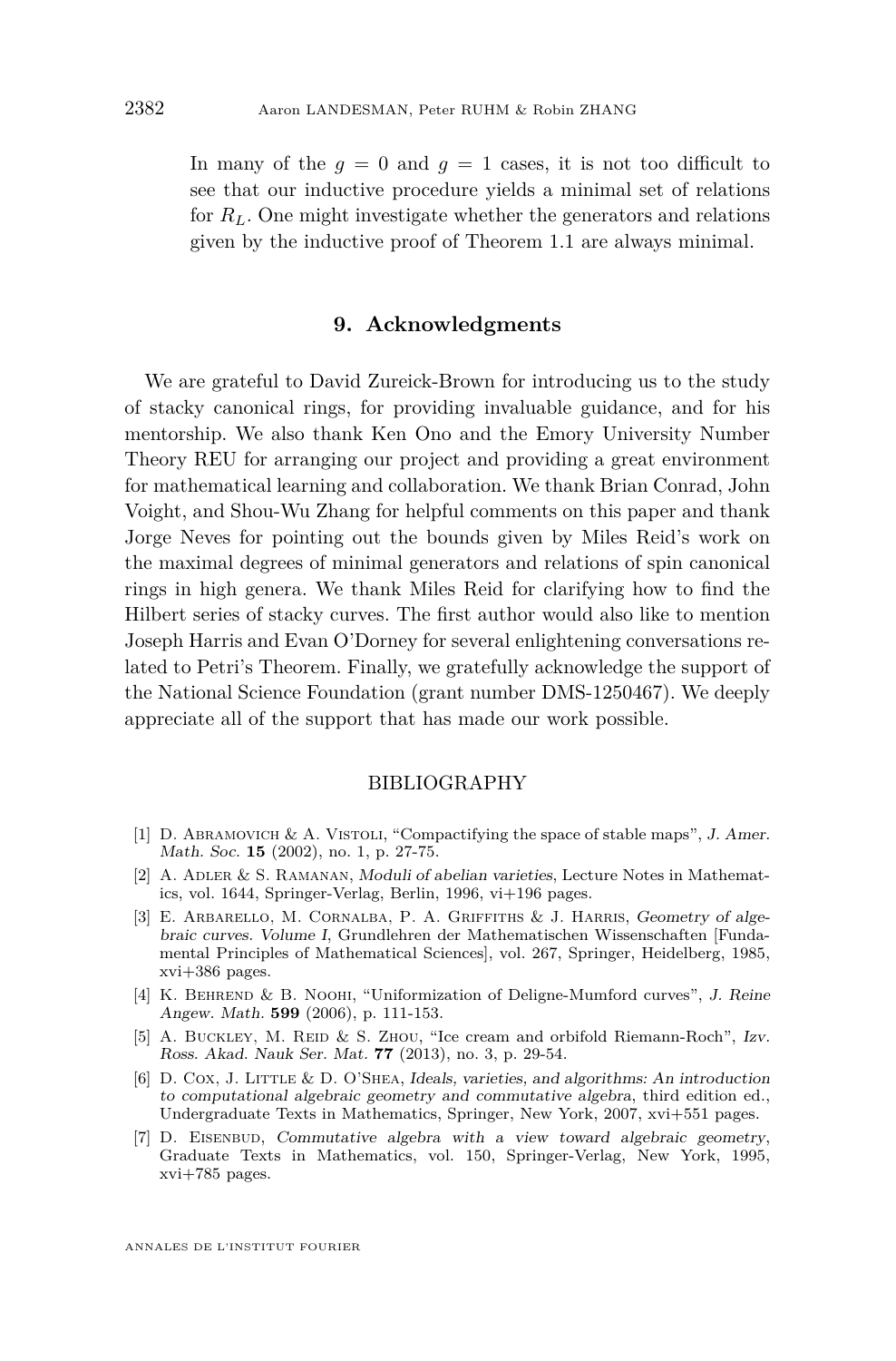In many of the  $q = 0$  and  $q = 1$  cases, it is not too difficult to see that our inductive procedure yields a minimal set of relations for *RL*. One might investigate whether the generators and relations given by the inductive proof of Theorem [1.1](#page-3-0) are always minimal.

#### **9. Acknowledgments**

We are grateful to David Zureick-Brown for introducing us to the study of stacky canonical rings, for providing invaluable guidance, and for his mentorship. We also thank Ken Ono and the Emory University Number Theory REU for arranging our project and providing a great environment for mathematical learning and collaboration. We thank Brian Conrad, John Voight, and Shou-Wu Zhang for helpful comments on this paper and thank Jorge Neves for pointing out the bounds given by Miles Reid's work on the maximal degrees of minimal generators and relations of spin canonical rings in high genera. We thank Miles Reid for clarifying how to find the Hilbert series of stacky curves. The first author would also like to mention Joseph Harris and Evan O'Dorney for several enlightening conversations related to Petri's Theorem. Finally, we gratefully acknowledge the support of the National Science Foundation (grant number DMS-1250467). We deeply appreciate all of the support that has made our work possible.

#### BIBLIOGRAPHY

- <span id="page-44-1"></span>[1] D. ABRAMOVICH & A. VISTOLI, "Compactifying the space of stable maps", J. Amer. Math. Soc. **15** (2002), no. 1, p. 27-75.
- <span id="page-44-6"></span>[2] A. Adler & S. Ramanan, Moduli of abelian varieties, Lecture Notes in Mathematics, vol. 1644, Springer-Verlag, Berlin, 1996, vi+196 pages.
- <span id="page-44-0"></span>[3] E. ARBARELLO, M. CORNALBA, P. A. GRIFFITHS & J. HARRIS, Geometry of algebraic curves. Volume I, Grundlehren der Mathematischen Wissenschaften [Fundamental Principles of Mathematical Sciences], vol. 267, Springer, Heidelberg, 1985, xvi+386 pages.
- <span id="page-44-2"></span>[4] K. Behrend & B. Noohi, "Uniformization of Deligne-Mumford curves", J. Reine Angew. Math. **599** (2006), p. 111-153.
- <span id="page-44-5"></span>[5] A. BUCKLEY, M. REID & S. ZHOU, "Ice cream and orbifold Riemann-Roch", Izv. Ross. Akad. Nauk Ser. Mat. **77** (2013), no. 3, p. 29-54.
- <span id="page-44-4"></span>[6] D. Cox, J. Little & D. O'Shea, Ideals, varieties, and algorithms: An introduction to computational algebraic geometry and commutative algebra, third edition ed., Undergraduate Texts in Mathematics, Springer, New York, 2007, xvi+551 pages.
- <span id="page-44-3"></span>[7] D. EISENBUD, Commutative algebra with a view toward algebraic geometry, Graduate Texts in Mathematics, vol. 150, Springer-Verlag, New York, 1995, xvi+785 pages.